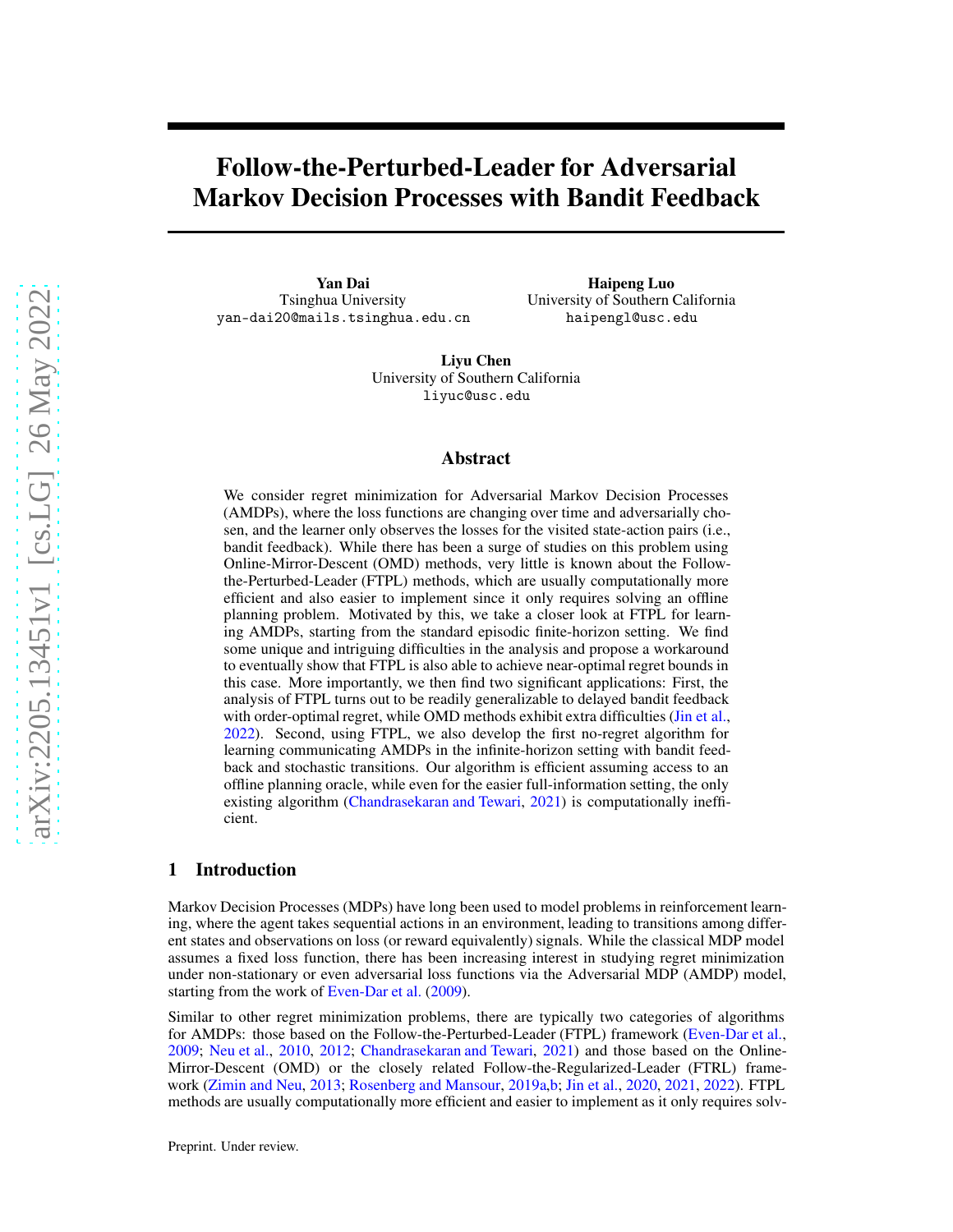# Follow-the-Perturbed-Leader for Adversarial Markov Decision Processes with Bandit Feedback

Yan Dai Tsinghua University yan-dai20@mails.tsinghua.edu.cn

Haipeng Luo University of Southern California haipengl@usc.edu

Liyu Chen University of Southern California liyuc@usc.edu

#### Abstract

We consider regret minimization for Adversarial Markov Decision Processes (AMDPs), where the loss functions are changing over time and adversarially chosen, and the learner only observes the losses for the visited state-action pairs (i.e., bandit feedback). While there has been a surge of studies on this problem using Online-Mirror-Descent (OMD) methods, very little is known about the Followthe-Perturbed-Leader (FTPL) methods, which are usually computationally more efficient and also easier to implement since it only requires solving an offline planning problem. Motivated by this, we take a closer look at FTPL for learning AMDPs, starting from the standard episodic finite-horizon setting. We find some unique and intriguing difficulties in the analysis and propose a workaround to eventually show that FTPL is also able to achieve near-optimal regret bounds in this case. More importantly, we then find two significant applications: First, the analysis of FTPL turns out to be readily generalizable to delayed bandit feedback with order-optimal regret, while OMD methods exhibit extra difficulties [\(Jin et al.,](#page-10-0) [2022\)](#page-10-0). Second, using FTPL, we also develop the first no-regret algorithm for learning communicating AMDPs in the infinite-horizon setting with bandit feedback and stochastic transitions. Our algorithm is efficient assuming access to an offline planning oracle, while even for the easier full-information setting, the only existing algorithm [\(Chandrasekaran and Tewari,](#page-9-0) [2021\)](#page-9-0) is computationally inefficient.

## 1 Introduction

Markov Decision Processes (MDPs) have long been used to model problems in reinforcement learning, where the agent takes sequential actions in an environment, leading to transitions among different states and observations on loss (or reward equivalently) signals. While the classical MDP model assumes a fixed loss function, there has been increasing interest in studying regret minimization under non-stationary or even adversarial loss functions via the Adversarial MDP (AMDP) model, starting from the work of [Even-Dar et al.](#page-10-1) [\(2009\)](#page-10-1).

Similar to other regret minimization problems, there are typically two categories of algorithms for AMDPs: those based on the Follow-the-Perturbed-Leader (FTPL) framework [\(Even-Dar et al.,](#page-10-1) [2009;](#page-10-1) [Neu et al.,](#page-10-2) [2010](#page-10-2), [2012;](#page-11-0) [Chandrasekaran and Tewari,](#page-9-0) [2021\)](#page-9-0) and those based on the Online-Mirror-Descent (OMD) or the closely related Follow-the-Regularized-Leader (FTRL) framework [\(Zimin and Neu](#page-11-1), [2013](#page-11-1); [Rosenberg and Mansour,](#page-11-2) [2019a](#page-11-2)[,b;](#page-11-3) [Jin et al.](#page-10-3), [2020,](#page-10-3) [2021](#page-10-4), [2022](#page-10-0)). FTPL methods are usually computationally more efficient and easier to implement as it only requires solv-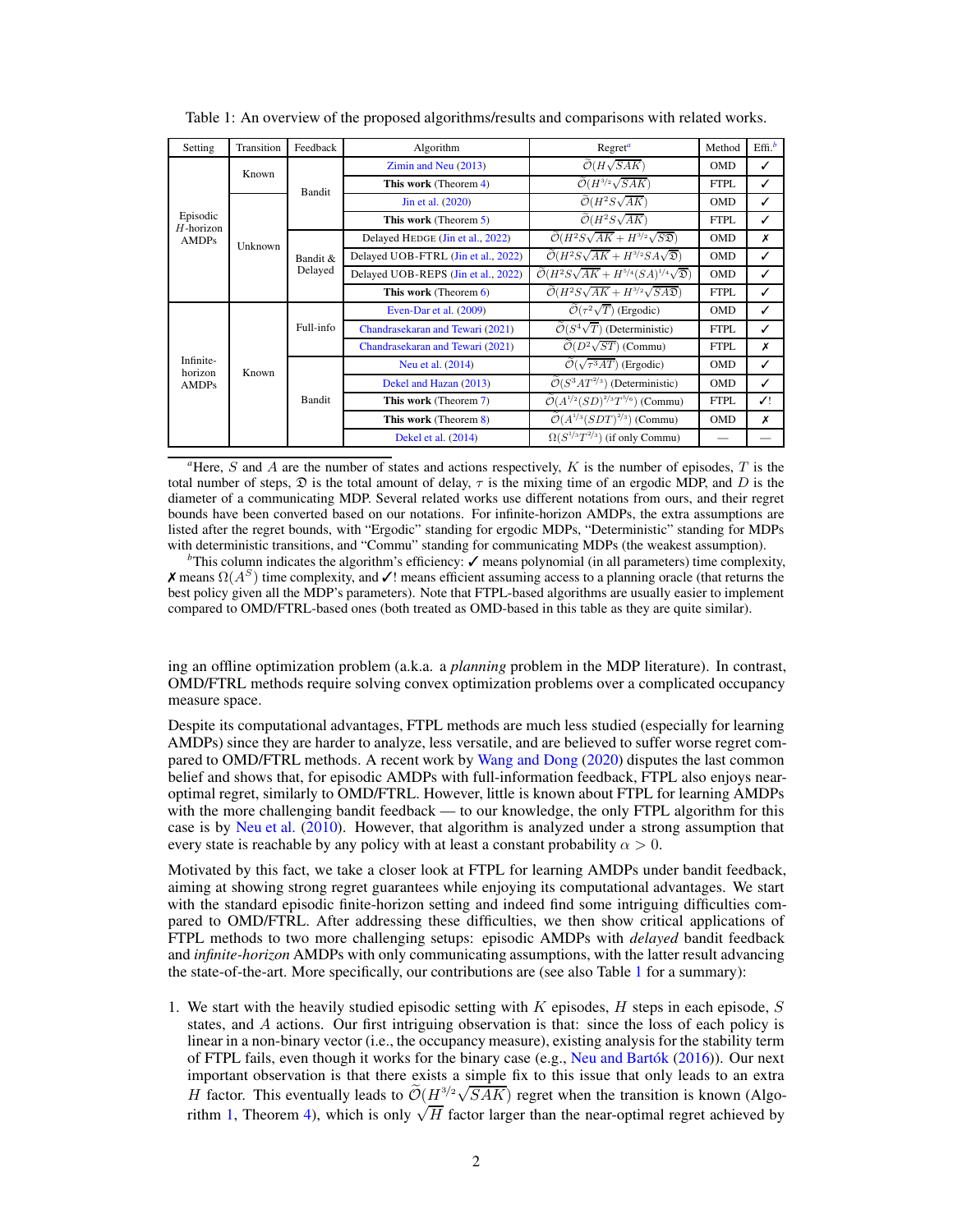| Setting                              | Transition | Feedback              | Algorithm                           | Regret <sup>a</sup>                                                           | Method      | Eff. <sup>b</sup> |
|--------------------------------------|------------|-----------------------|-------------------------------------|-------------------------------------------------------------------------------|-------------|-------------------|
|                                      | Known      | Bandit                | Zimin and Neu (2013)                | $\mathcal{O}(H\sqrt{SAK})$                                                    | <b>OMD</b>  | ✓                 |
|                                      |            |                       | This work (Theorem 4)               | $\widetilde{\mathcal{O}}(H^{3/2}\sqrt{SAK})$                                  | <b>FTPL</b> | ✓                 |
|                                      | Unknown    |                       | Jin et al. (2020)                   | $\widetilde{\mathcal{O}}(H^2S\sqrt{AK})$                                      | <b>OMD</b>  | ✓                 |
| Episodic<br>$H$ -horizon             |            |                       | This work (Theorem 5)               | $\widetilde{\mathcal{O}}(H^2S\sqrt{AK})$                                      | <b>FTPL</b> | ✓                 |
| <b>AMDPs</b>                         |            | Bandit $&$<br>Delayed | Delayed HEDGE (Jin et al., 2022)    | $\widetilde{\mathcal{O}}(H^2S\sqrt{AK+H^{3/2}}\sqrt{S\mathfrak{D}})$          | <b>OMD</b>  | x                 |
|                                      |            |                       | Delayed UOB-FTRL (Jin et al., 2022) | $\widetilde{\mathcal{O}}(H^2S\sqrt{AK}+H^{3/2}SA\sqrt{\mathfrak{D}})$         | <b>OMD</b>  | ✓                 |
|                                      |            |                       | Delayed UOB-REPS (Jin et al., 2022) | $\widetilde{\mathcal{O}}(H^2S\sqrt{AK}+H^{5/4}(SA)^{1/4}\sqrt{\mathfrak{D}})$ | <b>OMD</b>  | ✓                 |
|                                      |            |                       | This work (Theorem 6)               | $\widetilde{\mathcal{O}}(H^2S\sqrt{AK}+H^{3/2}\sqrt{SA\mathfrak{D}})$         | <b>FTPL</b> | ✓                 |
|                                      |            |                       | Even-Dar et al. (2009)              | $\overline{\mathcal{O}}(\tau^2\sqrt{T})$ (Ergodic)                            | <b>OMD</b>  | ✓                 |
|                                      | Known      | Full-info             | Chandrasekaran and Tewari (2021)    | $\widetilde{\mathcal{O}}(S^4\sqrt{T})$ (Deterministic)                        | <b>FTPL</b> | ✓                 |
| Infinite-<br>horizon<br><b>AMDPs</b> |            |                       | Chandrasekaran and Tewari (2021)    | $\widetilde{\mathcal{O}}(D^2\sqrt{ST})$ (Commu)                               | <b>FTPL</b> | x                 |
|                                      |            | Bandit                | Neu et al. (2014)                   | $\widetilde{\mathcal{O}}(\sqrt{\tau^3AT})$ (Ergodic)                          | <b>OMD</b>  | ✓                 |
|                                      |            |                       | Dekel and Hazan (2013)              | $\widetilde{\mathcal{O}}(S^3AT^{2/3})$ (Deterministic)                        | <b>OMD</b>  | ✓                 |
|                                      |            |                       | This work (Theorem 7)               | $\tilde{\mathcal{O}}(A^{1/2}(SD)^{2/3}T^{5/6})$ (Commu)                       | <b>FTPL</b> | ✓!                |
|                                      |            |                       | This work (Theorem 8)               | $\widetilde{\mathcal{O}}(A^{1/3}(SDT)^{2/3})$ (Commu)                         | <b>OMD</b>  | Х                 |
|                                      |            |                       | Dekel et al. (2014)                 | $\Omega(S^{1/3}T^{2/3})$ (if only Commu)                                      |             |                   |

<span id="page-1-1"></span>Table 1: An overview of the proposed algorithms/results and comparisons with related works.

<span id="page-1-0"></span><sup>a</sup>Here, S and A are the number of states and actions respectively, K is the number of episodes, T is the total number of steps,  $\mathcal{D}$  is the total amount of delay,  $\tau$  is the mixing time of an ergodic MDP, and D is the diameter of a communicating MDP. Several related works use different notations from ours, and their regret bounds have been converted based on our notations. For infinite-horizon AMDPs, the extra assumptions are listed after the regret bounds, with "Ergodic" standing for ergodic MDPs, "Deterministic" standing for MDPs with deterministic transitions, and "Commu" standing for communicating MDPs (the weakest assumption).

*b*This column indicates the algorithm's efficiency:  $\checkmark$  means polynomial (in all parameters) time complexity,  $\boldsymbol{\mathsf{X}}$  means  $\Omega(A^S)$  time complexity, and  $\boldsymbol{\mathsf{Z}}$ ! means efficient assuming access to a planning oracle (that returns the best policy given all the MDP's parameters). Note that FTPL-based algorithms are usually easier to implement compared to OMD/FTRL-based ones (both treated as OMD-based in this table as they are quite similar).

ing an offline optimization problem (a.k.a. a *planning* problem in the MDP literature). In contrast, OMD/FTRL methods require solving convex optimization problems over a complicated occupancy measure space.

Despite its computational advantages, FTPL methods are much less studied (especially for learning AMDPs) since they are harder to analyze, less versatile, and are believed to suffer worse regret com-pared to OMD/FTRL methods. A recent work by [Wang and Dong](#page-11-4) [\(2020](#page-11-4)) disputes the last common belief and shows that, for episodic AMDPs with full-information feedback, FTPL also enjoys nearoptimal regret, similarly to OMD/FTRL. However, little is known about FTPL for learning AMDPs with the more challenging bandit feedback — to our knowledge, the only FTPL algorithm for this case is by [Neu et al.](#page-10-2) [\(2010\)](#page-10-2). However, that algorithm is analyzed under a strong assumption that every state is reachable by any policy with at least a constant probability  $\alpha > 0$ .

Motivated by this fact, we take a closer look at FTPL for learning AMDPs under bandit feedback, aiming at showing strong regret guarantees while enjoying its computational advantages. We start with the standard episodic finite-horizon setting and indeed find some intriguing difficulties compared to OMD/FTRL. After addressing these difficulties, we then show critical applications of FTPL methods to two more challenging setups: episodic AMDPs with *delayed* bandit feedback and *infinite-horizon* AMDPs with only communicating assumptions, with the latter result advancing the state-of-the-art. More specifically, our contributions are (see also Table [1](#page-1-1) for a summary):

1. We start with the heavily studied episodic setting with  $K$  episodes,  $H$  steps in each episode,  $S$ states, and A actions. Our first intriguing observation is that: since the loss of each policy is linear in a non-binary vector (i.e., the occupancy measure), existing analysis for the stability term of FTPL fails, even though it works for the binary case (e.g., [Neu and Bartók](#page-10-5) [\(2016\)](#page-10-5)). Our next important observation is that there exists a simple fix to this issue that only leads to an extra H factor. This eventually leads to  $\widetilde{\mathcal{O}}(\underline{H}^{3/2}\sqrt{SAK})$  regret when the transition is known (Algo-rithm [1,](#page-5-0) Theorem [4\)](#page-6-0), which is only  $\sqrt{H}$  factor larger than the near-optimal regret achieved by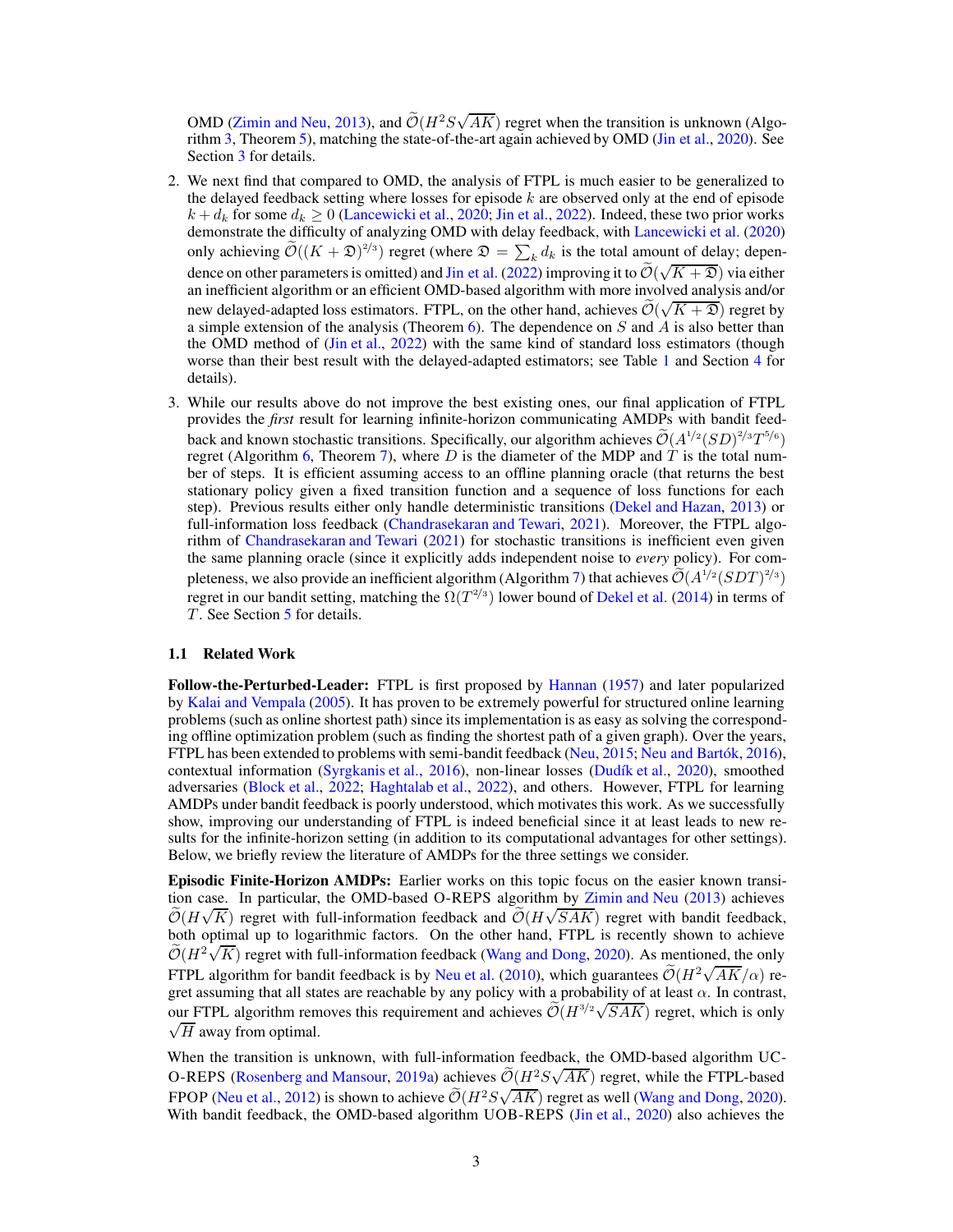OMD [\(Zimin and Neu](#page-11-1), [2013](#page-11-1)), and  $\widetilde{\mathcal{O}}(H^2 S \sqrt{AK})$  regret when the transition is unknown (Algorithm [3,](#page-17-0) Theorem [5\)](#page-7-0), matching the state-of-the-art again achieved by OMD [\(Jin et al.](#page-10-3), [2020\)](#page-10-3). See Section [3](#page-4-0) for details.

- 2. We next find that compared to OMD, the analysis of FTPL is much easier to be generalized to the delayed feedback setting where losses for episode  $k$  are observed only at the end of episode  $k + d_k$  for some  $d_k \ge 0$  [\(Lancewicki et al.](#page-10-6), [2020;](#page-10-6) [Jin et al.](#page-10-0), [2022](#page-10-0)). Indeed, these two prior works demonstrate the difficulty of analyzing OMD with delay feedback, with [Lancewicki et al.](#page-10-6) [\(2020\)](#page-10-6) only achieving  $\widetilde{\mathcal{O}}((K+\mathfrak{D})^{2/3})$  regret (where  $\mathfrak{D} = \sum_k d_k$  is the total amount of delay; depen-dence on other parameters is omitted) and [Jin et al.](#page-10-0) [\(2022\)](#page-10-0) improving it to  $\tilde{\mathcal{O}}(\sqrt{K+2})$  via either an inefficient algorithm or an efficient OMD-based algorithm with more involved analysis and/or new delayed-adapted loss estimators. FTPL, on the other hand, achieves  $\widetilde{\mathcal{O}}(\sqrt{K+2})$  regret by a simple extension of the analysis (Theorem [6\)](#page-7-1). The dependence on  $S$  and  $\overline{A}$  is also better than the OMD method of [\(Jin et al.](#page-10-0), [2022](#page-10-0)) with the same kind of standard loss estimators (though worse than their best result with the delayed-adapted estimators; see Table [1](#page-1-1) and Section [4](#page-7-2) for details).
- 3. While our results above do not improve the best existing ones, our final application of FTPL provides the *first* result for learning infinite-horizon communicating AMDPs with bandit feedback and known stochastic transitions. Specifically, our algorithm achieves  $\mathcal{O}(A^{1/2} (SD)^{2/3} T^{5/6})$ regret (Algorithm [6,](#page-31-0) Theorem [7\)](#page-8-0), where D is the diameter of the MDP and T is the total number of steps. It is efficient assuming access to an offline planning oracle (that returns the best stationary policy given a fixed transition function and a sequence of loss functions for each step). Previous results either only handle deterministic transitions [\(Dekel and Hazan,](#page-9-1) [2013](#page-9-1)) or full-information loss feedback [\(Chandrasekaran and Tewari,](#page-9-0) [2021\)](#page-9-0). Moreover, the FTPL algorithm of [Chandrasekaran and Tewari](#page-9-0) [\(2021\)](#page-9-0) for stochastic transitions is inefficient even given the same planning oracle (since it explicitly adds independent noise to *every* policy). For com-pleteness, we also provide an inefficient algorithm (Algorithm [7\)](#page-35-0) that achieves  $\mathcal{O}(A^{1/2}(SDT)^{2/3})$ regret in our bandit setting, matching the  $\Omega(T^{2/3})$  lower bound of [Dekel et al.](#page-9-3) [\(2014\)](#page-9-3) in terms of  $T$ . See Section [5](#page-7-3) for details.

## 1.1 Related Work

Follow-the-Perturbed-Leader: FTPL is first proposed by [Hannan](#page-10-7) [\(1957\)](#page-10-7) and later popularized by [Kalai and Vempala](#page-10-8) [\(2005](#page-10-8)). It has proven to be extremely powerful for structured online learning problems (such as online shortest path) since its implementation is as easy as solving the corresponding offline optimization problem (such as finding the shortest path of a given graph). Over the years, FTPL has been extended to problems with semi-bandit feedback [\(Neu,](#page-10-9) [2015](#page-10-9); [Neu and Bartók,](#page-10-5) [2016\)](#page-10-5), contextual information [\(Syrgkanis et al.](#page-11-5), [2016\)](#page-11-5), non-linear losses [\(Dudík et al.,](#page-10-10) [2020](#page-10-10)), smoothed adversaries [\(Block et al.](#page-9-4), [2022](#page-9-4); [Haghtalab et al.](#page-10-11), [2022\)](#page-10-11), and others. However, FTPL for learning AMDPs under bandit feedback is poorly understood, which motivates this work. As we successfully show, improving our understanding of FTPL is indeed beneficial since it at least leads to new results for the infinite-horizon setting (in addition to its computational advantages for other settings). Below, we briefly review the literature of AMDPs for the three settings we consider.

Episodic Finite-Horizon AMDPs: Earlier works on this topic focus on the easier known transition case. In particular, the OMD-based O-REPS algorithm by [Zimin and Neu](#page-11-1) [\(2013](#page-11-1)) achieves  $\widetilde{\mathcal{O}}(H\sqrt{K})$  regret with full-information feedback and  $\widetilde{\mathcal{O}}(H\sqrt{SAK})$  regret with bandit feedback, both optimal up to logarithmic factors. On the other hand, FTPL is recently shown to achieve  $\widetilde{\mathcal{O}}(H^2\sqrt{K})$  regret with full-information feedback [\(Wang and Dong,](#page-11-4) [2020\)](#page-11-4). As mentioned, the only FTPL algorithm for bandit feedback is by [Neu et al.](#page-10-2) [\(2010](#page-10-2)), which guarantees  $\tilde{\mathcal{O}}(H^2\sqrt{AK}/\alpha)$  regret assuming that all states are reachable by any policy with a probability of at least  $\alpha$ . In contrast, our FTPL algorithm removes this requirement and achieves  $\widetilde{\mathcal{O}}(H^{3/2}\sqrt{SAK})$  regret, which is only  $\sqrt{H}$  away from optimal.

When the transition is unknown, with full-information feedback, the OMD-based algorithm UC-O-REPS [\(Rosenberg and Mansour,](#page-11-2) [2019a\)](#page-11-2) achieves  $\widetilde{\mathcal{O}}(H^2 S \sqrt{AK})$  regret, while the FTPL-based FPOP [\(Neu et al.,](#page-11-0) [2012\)](#page-11-0) is shown to achieve  $\tilde{\mathcal{O}}(H^2S\sqrt{AK})$  regret as well [\(Wang and Dong](#page-11-4), [2020\)](#page-11-4). With bandit feedback, the OMD-based algorithm UOB-REPS [\(Jin et al.,](#page-10-3) [2020\)](#page-10-3) also achieves the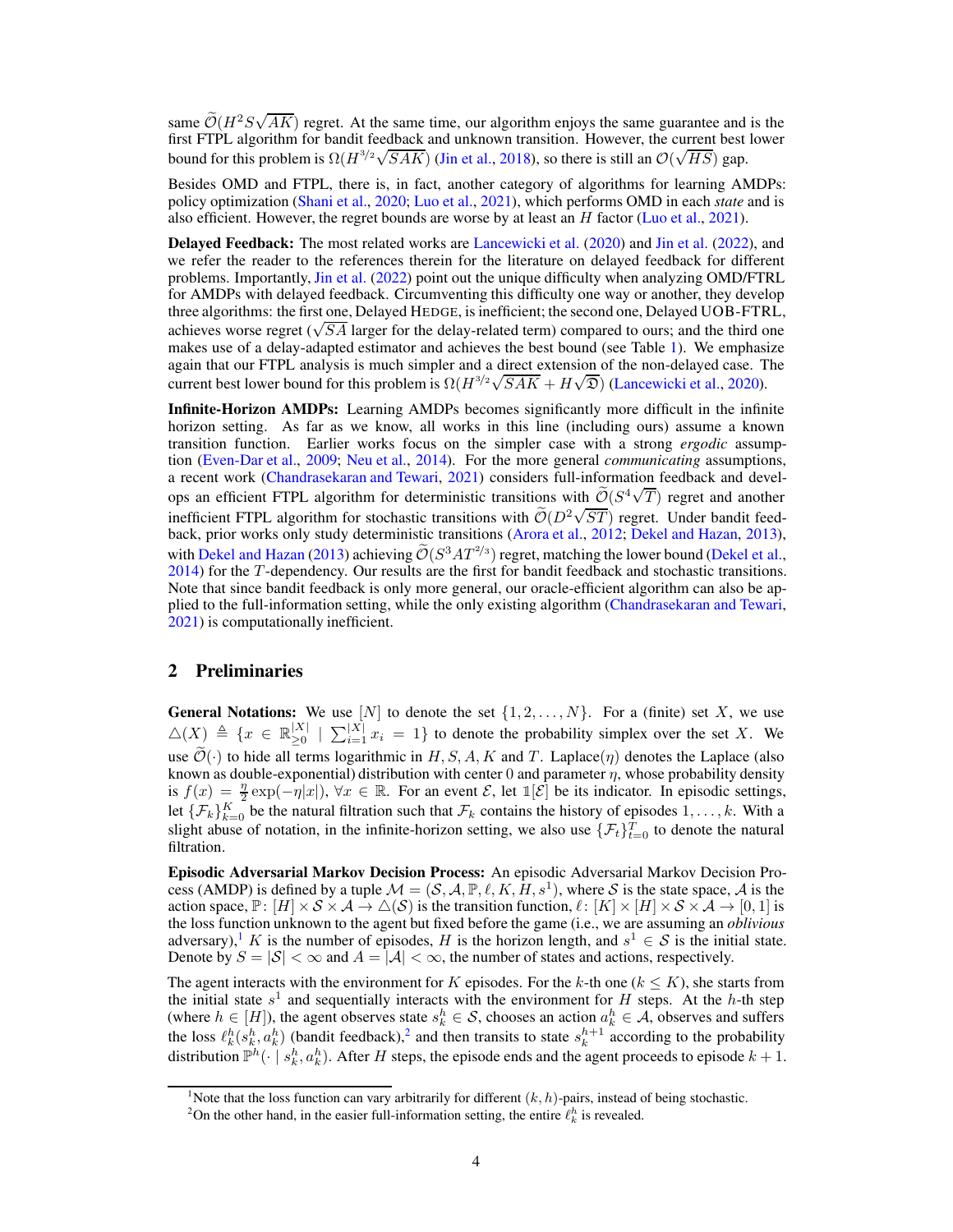same  $\tilde{\mathcal{O}}(H^2 S \sqrt{AK})$  regret. At the same time, our algorithm enjoys the same guarantee and is the first FTPL algorithm for bandit feedback and unknown transition. However, the current best lower bound for this problem is  $\Omega(H^{3/2}\sqrt{SAK})$  [\(Jin et al.](#page-10-12), [2018](#page-10-12)), so there is still an  $\mathcal{O}(\sqrt{HS})$  gap.

Besides OMD and FTPL, there is, in fact, another category of algorithms for learning AMDPs: policy optimization [\(Shani et al.,](#page-11-6) [2020;](#page-11-6) [Luo et al.](#page-10-13), [2021\)](#page-10-13), which performs OMD in each *state* and is also efficient. However, the regret bounds are worse by at least an  $H$  factor [\(Luo et al.,](#page-10-13) [2021\)](#page-10-13).

Delayed Feedback: The most related works are [Lancewicki et al.](#page-10-6) [\(2020\)](#page-10-6) and [Jin et al.](#page-10-0) [\(2022](#page-10-0)), and we refer the reader to the references therein for the literature on delayed feedback for different problems. Importantly, [Jin et al.](#page-10-0) [\(2022\)](#page-10-0) point out the unique difficulty when analyzing OMD/FTRL for AMDPs with delayed feedback. Circumventing this difficulty one way or another, they develop three algorithms: the first one, Delayed HEDGE, is inefficient; the second one, Delayed UOB-FTRL, achieves worse regret ( $\sqrt{SA}$  larger for the delay-related term) compared to ours; and the third one makes use of a delay-adapted estimator and achieves the best bound (see Table [1\)](#page-1-1). We emphasize again that our FTPL analysis is much simpler and a direct extension of the non-delayed case. The current best lower bound for this problem is  $\Omega(H^{3/2}\sqrt{SAK} + H\sqrt{2})$  [\(Lancewicki et al.,](#page-10-6) [2020\)](#page-10-6).

Infinite-Horizon AMDPs: Learning AMDPs becomes significantly more difficult in the infinite horizon setting. As far as we know, all works in this line (including ours) assume a known transition function. Earlier works focus on the simpler case with a strong *ergodic* assumption [\(Even-Dar et al.,](#page-10-1) [2009;](#page-10-1) [Neu et al.](#page-11-7), [2014](#page-11-7)). For the more general *communicating* assumptions, a recent work [\(Chandrasekaran and Tewari,](#page-9-0) [2021\)](#page-9-0) considers full-information feedback and develops an efficient FTPL algorithm for deterministic transitions with  $\tilde{\mathcal{O}}(S^4\sqrt{T})$  regret and another inefficient FTPL algorithm for stochastic transitions with  $\tilde{\mathcal{O}}(D^2\sqrt{ST})$  regret. Under bandit feedback, prior works only study deterministic transitions [\(Arora et al.,](#page-9-5) [2012;](#page-9-5) [Dekel and Hazan](#page-9-1), [2013\)](#page-9-1), with [Dekel and Hazan](#page-9-1) [\(2013\)](#page-9-1) achieving  $\mathcal{O}(S^3AT^{2/3})$  regret, matching the lower bound [\(Dekel et al.,](#page-9-3) [2014\)](#page-9-3) for the T -dependency. Our results are the first for bandit feedback and stochastic transitions. Note that since bandit feedback is only more general, our oracle-efficient algorithm can also be applied to the full-information setting, while the only existing algorithm [\(Chandrasekaran and Tewari,](#page-9-0) [2021\)](#page-9-0) is computationally inefficient.

# 2 Preliminaries

**General Notations:** We use  $[N]$  to denote the set  $\{1, 2, ..., N\}$ . For a (finite) set X, we use  $\triangle(X) \triangleq \{x \in \mathbb{R}^{|X|}_{\geq 0}$  $\sum_{i=1}^{|X|}$   $\sum_{i=1}^{|X|} x_i = 1$ } to denote the probability simplex over the set X. We use  $\widetilde{\mathcal{O}}(\cdot)$  to hide all terms logarithmic in H, S, A, K and T. Laplace( $\eta$ ) denotes the Laplace (also known as double-exponential) distribution with center 0 and parameter  $\eta$ , whose probability density is  $f(x) = \frac{\eta}{2} \exp(-\eta |x|)$ ,  $\forall x \in \mathbb{R}$ . For an event  $\mathcal{E}$ , let  $\mathbb{I}[\mathcal{E}]$  be its indicator. In episodic settings, let  $\{\mathcal{F}_k\}_{k=0}^K$  be the natural filtration such that  $\mathcal{F}_k$  contains the history of episodes  $1,\ldots,k$ . With a slight abuse of notation, in the infinite-horizon setting, we also use  $\{\mathcal{F}_t\}_{t=0}^T$  to denote the natural filtration.

Episodic Adversarial Markov Decision Process: An episodic Adversarial Markov Decision Process (AMDP) is defined by a tuple  $\mathcal{M} = (\mathcal{S}, \mathcal{A}, \mathbb{P}, \ell, K, H, s^1)$ , where  $\mathcal{S}$  is the state space,  $\mathcal{A}$  is the action space,  $\mathbb{P}: [H] \times S \times A \to \triangle(S)$  is the transition function,  $\ell: [K] \times [H] \times S \times A \to [0,1]$  is the loss function unknown to the agent but fixed before the game (i.e., we are assuming an *oblivious* adversary),<sup>[1](#page-3-0)</sup> K is the number of episodes, H is the horizon length, and  $s^1 \in S$  is the initial state. Denote by  $S = |\mathcal{S}| < \infty$  and  $A = |\mathcal{A}| < \infty$ , the number of states and actions, respectively.

The agent interacts with the environment for K episodes. For the k-th one ( $k \leq K$ ), she starts from the initial state  $s^1$  and sequentially interacts with the environment for H steps. At the h-th step (where  $h \in [H]$ ), the agent observes state  $s_k^h \in S$ , chooses an action  $a_k^h \in A$ , observes and suffers the loss  $\ell_k^h(s_k^h, a_k^h)$  (bandit feedback),<sup>[2](#page-3-1)</sup> and then transits to state  $s_k^{h+1}$  according to the probability distribution  $\mathbb{P}^h(\cdot \mid s_k^h, a_k^h)$ . After H steps, the episode ends and the agent proceeds to episode  $k+1$ .

<sup>&</sup>lt;sup>1</sup>Note that the loss function can vary arbitrarily for different  $(k, h)$ -pairs, instead of being stochastic.

<span id="page-3-1"></span><span id="page-3-0"></span><sup>&</sup>lt;sup>2</sup>On the other hand, in the easier full-information setting, the entire  $\ell_k^h$  is revealed.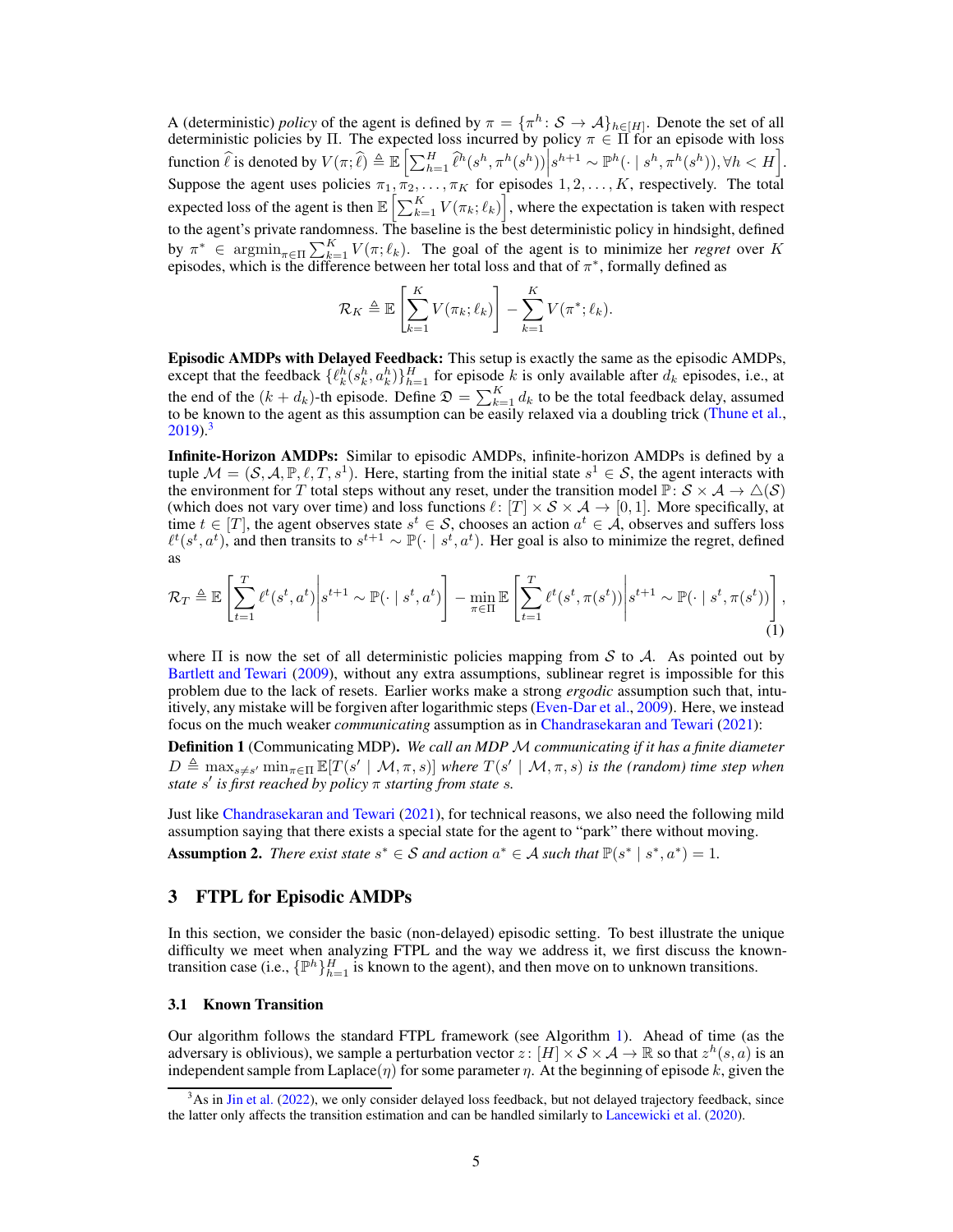A (deterministic) *policy* of the agent is defined by  $\pi = {\{\pi^h : S \to A\}_{h \in [H]}}$ . Denote the set of all deterministic policies by Π. The expected loss incurred by policy  $\pi \in \Pi$  for an episode with loss function  $\hat{\ell}$  is denoted by  $V(\pi;\hat{\ell}) \triangleq \mathbb{E}\left[\sum_{h=1}^H \hat{\ell}^h(s^h, \pi^h(s^h)) \middle| s^{h+1} \sim \mathbb{P}^h(\cdot \mid s^h, \pi^h(s^h)), \forall h < H \right].$ Suppose the agent uses policies  $\pi_1, \pi_2, \ldots, \pi_K$  for episodes  $1, 2, \ldots, K$ , respectively. The total expected loss of the agent is then  $\mathbb{E}\left[\sum_{k=1}^K V(\pi_k; \ell_k)\right]$ , where the expectation is taken with respect to the agent's private randomness. The baseline is the best deterministic policy in hindsight, defined by  $\pi^* \in \operatorname{argmin}_{\pi \in \Pi} \sum_{k=1}^K V(\pi; \ell_k)$ . The goal of the agent is to minimize her *regret* over K episodes, which is the difference between her total loss and that of  $\pi^*$ , formally defined as

$$
\mathcal{R}_K \triangleq \mathbb{E}\left[\sum_{k=1}^K V(\pi_k; \ell_k)\right] - \sum_{k=1}^K V(\pi^*; \ell_k).
$$

Episodic AMDPs with Delayed Feedback: This setup is exactly the same as the episodic AMDPs, except that the feedback  $\{\ell_k^h(s_k^h, a_k^h)\}_{h=1}^H$  for episode k is only available after  $d_k$  episodes, i.e., at the end of the  $(k + d_k)$ -th episode. Define  $\mathfrak{D} = \sum_{k=1}^{K} d_k$  to be the total feedback delay, assumed to be known to the agent as this assumption can be easily relaxed via a doubling trick [\(Thune et al.,](#page-11-8)  $2019$ <sup>[3](#page-4-1)</sup>

Infinite-Horizon AMDPs: Similar to episodic AMDPs, infinite-horizon AMDPs is defined by a tuple  $\mathcal{M} = (\mathcal{S}, \mathcal{A}, \mathbb{P}, \ell, T, s^1)$ . Here, starting from the initial state  $s^1 \in \mathcal{S}$ , the agent interacts with the environment for T total steps without any reset, under the transition model  $\mathbb{P} \colon S \times \mathcal{A} \to \triangle(S)$ (which does not vary over time) and loss functions  $\ell: [T] \times S \times A \rightarrow [0, 1]$ . More specifically, at time  $t \in [T]$ , the agent observes state  $s^t \in S$ , chooses an action  $a^t \in A$ , observes and suffers loss  $\ell^t(s^t, a^t)$ , and then transits to  $s^{t+1} \sim \mathbb{P}(\cdot | s^t, a^t)$ . Her goal is also to minimize the regret, defined as

<span id="page-4-3"></span>
$$
\mathcal{R}_T \triangleq \mathbb{E}\left[\sum_{t=1}^T \ell^t(s^t, a^t) \middle| s^{t+1} \sim \mathbb{P}(\cdot \mid s^t, a^t)\right] - \min_{\pi \in \Pi} \mathbb{E}\left[\sum_{t=1}^T \ell^t(s^t, \pi(s^t)) \middle| s^{t+1} \sim \mathbb{P}(\cdot \mid s^t, \pi(s^t))\right],\tag{1}
$$

where  $\Pi$  is now the set of all deterministic policies mapping from S to A. As pointed out by [Bartlett and Tewari](#page-9-6) [\(2009](#page-9-6)), without any extra assumptions, sublinear regret is impossible for this problem due to the lack of resets. Earlier works make a strong *ergodic* assumption such that, intuitively, any mistake will be forgiven after logarithmic steps [\(Even-Dar et al.,](#page-10-1) [2009](#page-10-1)). Here, we instead focus on the much weaker *communicating* assumption as in [Chandrasekaran and Tewari](#page-9-0) [\(2021\)](#page-9-0):

<span id="page-4-5"></span>Definition 1 (Communicating MDP). *We call an MDP* M *communicating if it has a finite diameter*  $D \triangleq \max_{s \neq s'} \min_{\pi \in \Pi} \mathbb{E}[T(s' \mid \mathcal{M}, \pi, s)]$  where  $T(s' \mid \mathcal{M}, \pi, s)$  is the (random) time step when *state* s ′ *is first reached by policy* π *starting from state* s*.*

Just like [Chandrasekaran and Tewari](#page-9-0) [\(2021\)](#page-9-0), for technical reasons, we also need the following mild assumption saying that there exists a special state for the agent to "park" there without moving.

<span id="page-4-4"></span><span id="page-4-0"></span>Assumption 2. *There exist state*  $s^* \in S$  *and action*  $a^* \in A$  *such that*  $\mathbb{P}(s^* | s^*, a^*) = 1$ *.* 

# 3 FTPL for Episodic AMDPs

In this section, we consider the basic (non-delayed) episodic setting. To best illustrate the unique difficulty we meet when analyzing FTPL and the way we address it, we first discuss the knowntransition case (i.e.,  $\{\mathbb{P}^h\}_{h=1}^H$  is known to the agent), and then move on to unknown transitions.

#### <span id="page-4-2"></span>3.1 Known Transition

Our algorithm follows the standard FTPL framework (see Algorithm [1\)](#page-5-0). Ahead of time (as the adversary is oblivious), we sample a perturbation vector  $z: [H] \times S \times A \to \mathbb{R}$  so that  $z^h(s, a)$  is an independent sample from Laplace( $\eta$ ) for some parameter  $\eta$ . At the beginning of episode k, given the

<span id="page-4-1"></span> $3$ As in [Jin et al.](#page-10-0) [\(2022](#page-10-0)), we only consider delayed loss feedback, but not delayed trajectory feedback, since the latter only affects the transition estimation and can be handled similarly to [Lancewicki et al.](#page-10-6) [\(2020\)](#page-10-6).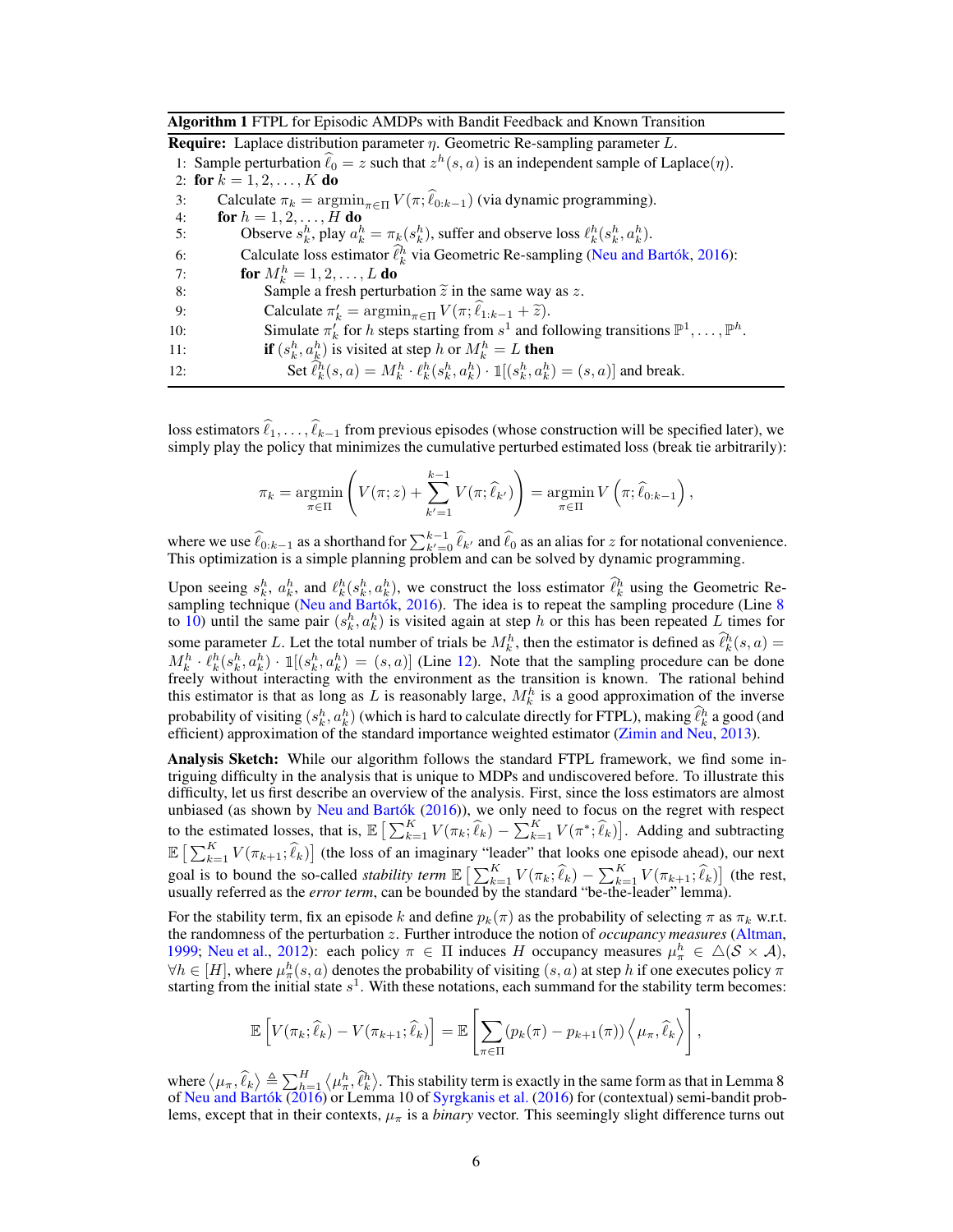<span id="page-5-0"></span>Algorithm 1 FTPL for Episodic AMDPs with Bandit Feedback and Known Transition

<span id="page-5-4"></span>**Require:** Laplace distribution parameter  $\eta$ . Geometric Re-sampling parameter L. 1: Sample perturbation  $\hat{\ell}_0 = z$  such that  $z^h(s, a)$  is an independent sample of Laplace( $\eta$ ). 2: for  $k = 1, 2, ..., K$  do 3: Calculate  $\pi_k = \operatorname{argmin}_{\pi \in \Pi} V(\pi; \hat{\ell}_{0:k-1})$  (via dynamic programming).<br>4: **for**  $h = 1, 2, ..., H$  **do for**  $h = 1, 2, ..., H$  **do** 5: Observe  $s_k^h$ , play  $a_k^h = \pi_k(s_k^h)$ , suffer and observe loss  $\ell_k^h(s_k^h, a_k^h)$ . 6: Calculate loss estimator  $\hat{\ell}_k^h$  via Geometric Re-sampling [\(Neu and Bartók](#page-10-5), [2016](#page-10-5)): 7: **for**  $M_k^h = 1, 2, ..., L$  **do** 8: Sample a fresh perturbation  $\tilde{z}$  in the same way as z.<br>9: Calculate  $\pi'_{k} = \operatorname{argmin}_{z \in \Pi} V(\pi; \hat{\ell}_{1:k-1} + \tilde{z})$ . 9: Calculate  $\pi'_k = \operatorname{argmin}_{\pi \in \Pi} V(\pi; \ell_{1:k-1} + \tilde{z}).$ 10: Simulate  $\pi'_k$  for h steps starting from  $s^1$  and following transitions  $\mathbb{P}^1, \ldots, \mathbb{P}^h$ . 11: **if**  $(s_k^h, a_k^h)$  is visited at step h or  $M_k^h = L$  then 12: Set  $\hat{\ell}_k^h(s, a) = M_k^h \cdot \ell_k^h(s_k^h, a_k^h) \cdot \mathbb{I}[(s_k^h, a_k^h) = (s, a)]$  and break.

<span id="page-5-3"></span><span id="page-5-2"></span><span id="page-5-1"></span>loss estimators  $\ell_1, \ldots, \ell_{k-1}$  from previous episodes (whose construction will be specified later), we simply play the policy that minimizes the cumulative perturbed estimated loss (break tie arbitrarily):

$$
\pi_k = \underset{\pi \in \Pi}{\operatorname{argmin}} \left( V(\pi; z) + \sum_{k'=1}^{k-1} V(\pi; \widehat{\ell}_{k'}) \right) = \underset{\pi \in \Pi}{\operatorname{argmin}} V\left(\pi; \widehat{\ell}_{0:k-1}\right),
$$

where we use  $\widehat{\ell}_{0:k-1}$  as a shorthand for  $\sum_{k'=0}^{k-1} \widehat{\ell}_{k'}$  and  $\widehat{\ell}_0$  as an alias for z for notational convenience. This optimization is a simple planning problem and can be solved by dynamic programming.

Upon seeing  $s_k^h$ ,  $a_k^h$ , and  $\ell_k^h(s_k^h, a_k^h)$ , we construct the loss estimator  $\ell_k^h$  using the Geometric Re-sampling technique [\(Neu and Bartók,](#page-10-5) [2016](#page-10-5)). The idea is to repeat the sampling procedure (Line [8](#page-5-1) to [10\)](#page-5-2) until the same pair  $(s_k^h, a_k^h)$  is visited again at step h or this has been repeated L times for some parameter L. Let the total number of trials be  $M_k^h$ , then the estimator is defined as  $\hat{\ell}_k^h(s, a)$  $M_k^h \cdot \ell_k^h(s_k^h, a_k^h) \cdot \mathbb{1}[(s_k^h, a_k^h) = (s, a)]$  (Line [12\)](#page-5-3). Note that the sampling procedure can be done freely without interacting with the environment as the transition is known. The rational behind this estimator is that as long as L is reasonably large,  $M_k^h$  is a good approximation of the inverse probability of visiting  $(s_k^h, a_k^h)$  (which is hard to calculate directly for FTPL), making  $\ell_k^h$  a good (and efficient) approximation of the standard importance weighted estimator [\(Zimin and Neu](#page-11-1), [2013](#page-11-1)).

Analysis Sketch: While our algorithm follows the standard FTPL framework, we find some intriguing difficulty in the analysis that is unique to MDPs and undiscovered before. To illustrate this difficulty, let us first describe an overview of the analysis. First, since the loss estimators are almost unbiased (as shown by [Neu and Bartók](#page-10-5) [\(2016\)](#page-10-5)), we only need to focus on the regret with respect to the estimated losses, that is,  $\mathbb{E}\left[\sum_{k=1}^{K} V(\pi_k;\hat{\ell}_k) - \sum_{k=1}^{K} V(\pi^*,\hat{\ell}_k)\right]$ . Adding and subtracting  $\mathbb{E}\left[\sum_{k=1}^K V(\pi_{k+1}; \hat{\ell}_k)\right]$  (the loss of an imaginary "leader" that looks one episode ahead), our next goal is to bound the so-called *stability term*  $\mathbb{E}\left[\sum_{k=1}^{K} V(\pi_k; \hat{\ell}_k) - \sum_{k=1}^{K} V(\pi_{k+1}; \hat{\ell}_k)\right]$  (the rest, usually referred as the *error term*, can be bounded by the standard "be-the-leader" lemma).

For the stability term, fix an episode k and define  $p_k(\pi)$  as the probability of selecting  $\pi$  as  $\pi_k$  w.r.t. the randomness of the perturbation z. Further introduce the notion of *occupancy measures* [\(Altman,](#page-9-7) [1999](#page-9-7); [Neu et al.](#page-11-0), [2012\)](#page-11-0): each policy  $\pi \in \Pi$  induces H occupancy measures  $\mu_{\pi}^{h} \in \Delta(\mathcal{S} \times \mathcal{A})$ ,  $\forall h \in [H]$ , where  $\mu_n^h(s, a)$  denotes the probability of visiting  $(s, a)$  at step h if one executes policy  $\pi$ starting from the initial state  $s<sup>1</sup>$ . With these notations, each summand for the stability term becomes:

$$
\mathbb{E}\left[V(\pi_k;\widehat{\ell}_k) - V(\pi_{k+1};\widehat{\ell}_k)\right] = \mathbb{E}\left[\sum_{\pi \in \Pi} (p_k(\pi) - p_{k+1}(\pi)) \left\langle \mu_{\pi}, \widehat{\ell}_k \right\rangle \right],
$$

where  $\langle \mu_{\pi}, \hat{\ell}_k \rangle \triangleq \sum_{h=1}^H \langle \mu_{\pi}^h, \hat{\ell}_k^h \rangle$ . This stability term is exactly in the same form as that in Lemma 8 of [Neu and Bartók](#page-10-5) [\(2016](#page-10-5)) or Lemma 10 of [Syrgkanis et al.](#page-11-5) [\(2016\)](#page-11-5) for (contextual) semi-bandit problems, except that in their contexts,  $\mu_{\pi}$  is a *binary* vector. This seemingly slight difference turns out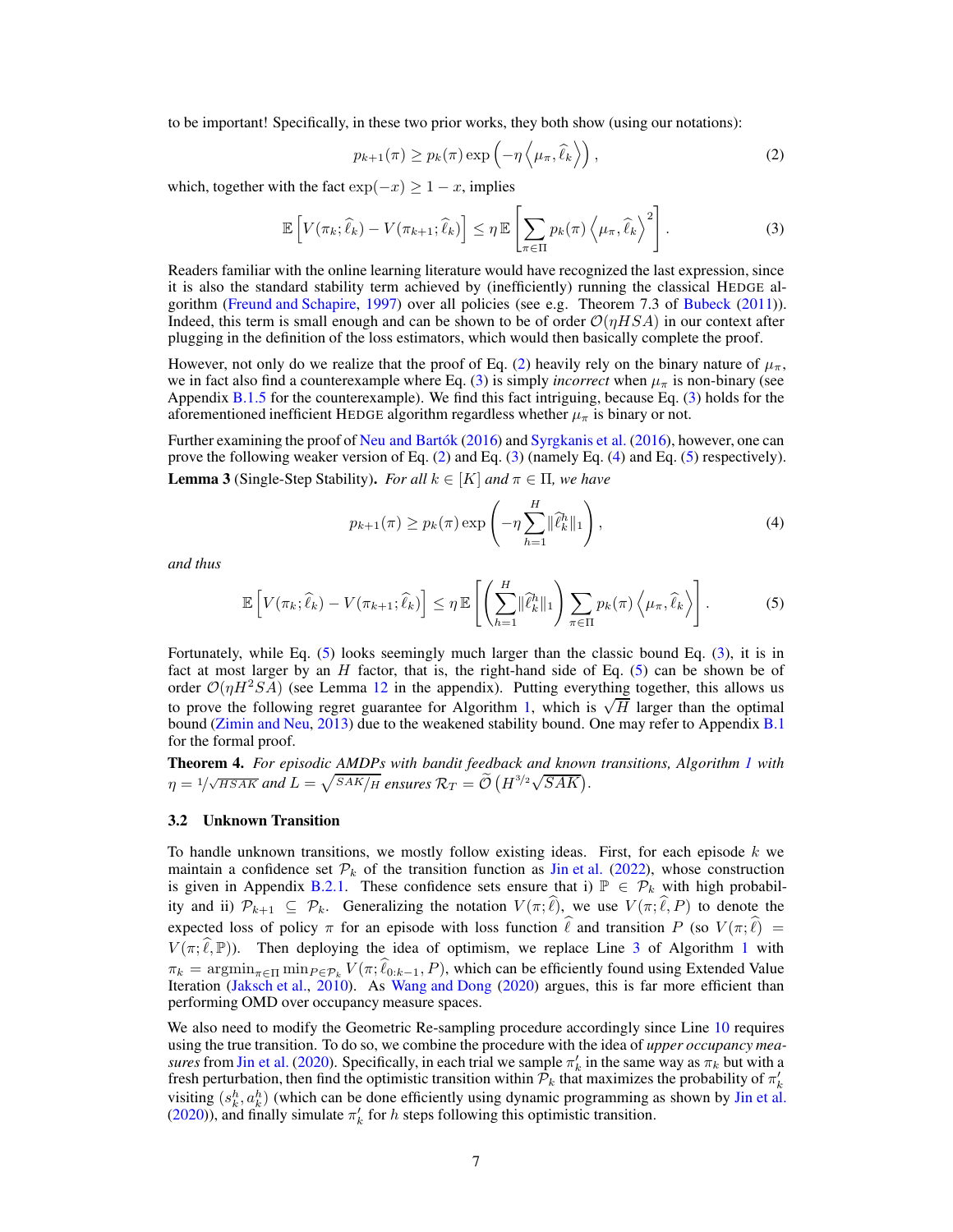to be important! Specifically, in these two prior works, they both show (using our notations):

<span id="page-6-2"></span><span id="page-6-1"></span>
$$
p_{k+1}(\pi) \ge p_k(\pi) \exp\left(-\eta \left\langle \mu_\pi, \hat{\ell}_k \right\rangle\right),\tag{2}
$$

which, together with the fact  $exp(-x) \ge 1 - x$ , implies

$$
\mathbb{E}\left[V(\pi_k; \widehat{\ell}_k) - V(\pi_{k+1}; \widehat{\ell}_k)\right] \leq \eta \mathbb{E}\left[\sum_{\pi \in \Pi} p_k(\pi) \left\langle \mu_\pi, \widehat{\ell}_k \right\rangle^2\right].
$$
 (3)

Readers familiar with the online learning literature would have recognized the last expression, since it is also the standard stability term achieved by (inefficiently) running the classical HEDGE algorithm [\(Freund and Schapire,](#page-10-14) [1997](#page-10-14)) over all policies (see e.g. Theorem 7.3 of [Bubeck](#page-9-8) [\(2011\)](#page-9-8)). Indeed, this term is small enough and can be shown to be of order  $O(\eta HSA)$  in our context after plugging in the definition of the loss estimators, which would then basically complete the proof.

However, not only do we realize that the proof of Eq. [\(2\)](#page-6-1) heavily rely on the binary nature of  $\mu_{\pi}$ , we in fact also find a counterexample where Eq. [\(3\)](#page-6-2) is simply *incorrect* when  $\mu_{\pi}$  is non-binary (see Appendix [B.1.5](#page-17-1) for the counterexample). We find this fact intriguing, because Eq. [\(3\)](#page-6-2) holds for the aforementioned inefficient HEDGE algorithm regardless whether  $\mu_{\pi}$  is binary or not.

<span id="page-6-5"></span>Further examining the proof of [Neu and Bartók](#page-10-5) [\(2016\)](#page-10-5) and [Syrgkanis et al.](#page-11-5) [\(2016](#page-11-5)), however, one can prove the following weaker version of Eq. [\(2\)](#page-6-1) and Eq. [\(3\)](#page-6-2) (namely Eq. [\(4\)](#page-6-3) and Eq. [\(5\)](#page-6-4) respectively). **Lemma 3** (Single-Step Stability). *For all*  $k \in [K]$  *and*  $\pi \in \Pi$ *, we have* 

<span id="page-6-3"></span>
$$
p_{k+1}(\pi) \ge p_k(\pi) \exp\left(-\eta \sum_{h=1}^H \|\hat{\ell}_k^h\|_1\right),\tag{4}
$$

*and thus*

<span id="page-6-4"></span>
$$
\mathbb{E}\left[V(\pi_k;\widehat{\ell}_k) - V(\pi_{k+1};\widehat{\ell}_k)\right] \leq \eta \mathbb{E}\left[\left(\sum_{h=1}^H \|\widehat{\ell}_k^h\|_1\right) \sum_{\pi \in \Pi} p_k(\pi) \left\langle \mu_\pi, \widehat{\ell}_k \right\rangle\right].
$$
 (5)

Fortunately, while Eq. [\(5\)](#page-6-4) looks seemingly much larger than the classic bound Eq. [\(3\)](#page-6-2), it is in fact at most larger by an  $H$  factor, that is, the right-hand side of Eq. [\(5\)](#page-6-4) can be shown be of order  $\mathcal{O}(\eta H^2SA)$  (see Lemma [12](#page-15-0) in the appendix). Putting everything together, this allows us to prove the following regret guarantee for Algorithm [1,](#page-5-0) which is  $\sqrt{H}$  larger than the optimal bound [\(Zimin and Neu,](#page-11-1) [2013\)](#page-11-1) due to the weakened stability bound. One may refer to Appendix [B.1](#page-13-0) for the formal proof.

<span id="page-6-0"></span>Theorem 4. *For episodic AMDPs with bandit feedback and known transitions, Algorithm [1](#page-5-0) with*  $\eta = 1/\sqrt{HSAK}$  and  $L = \sqrt{SAK/H}$  ensures  $\mathcal{R}_T = \tilde{\mathcal{O}}\left(H^{3/2}\sqrt{SAK}\right)$ .

#### 3.2 Unknown Transition

To handle unknown transitions, we mostly follow existing ideas. First, for each episode  $k$  we maintain a confidence set  $\mathcal{P}_k$  of the transition function as [Jin et al.](#page-10-0) [\(2022\)](#page-10-0), whose construction is given in Appendix [B.2.1.](#page-18-0) These confidence sets ensure that i)  $\mathbb{P} \in \mathcal{P}_k$  with high probability and ii)  $\mathcal{P}_{k+1} \subseteq \mathcal{P}_k$ . Generalizing the notation  $V(\pi;\hat{\ell})$ , we use  $V(\pi;\hat{\ell},P)$  to denote the expected loss of policy  $\pi$  for an episode with loss function  $\hat{\ell}$  and transition P (so  $V(\pi; \hat{\ell})$ ) =  $V(\pi;\hat{\ell},\mathbb{P})$ ). Then deploying the idea of optimism, we replace Line [3](#page-5-4) of Algorithm [1](#page-5-0) with  $\pi_k = \operatorname{argmin}_{\pi \in \Pi} \min_{P \in \mathcal{P}_k} V(\pi; \widehat{\ell}_{0:k-1}, P)$ , which can be efficiently found using Extended Value Iteration [\(Jaksch et al.](#page-10-15), [2010\)](#page-10-15). As [Wang and Dong](#page-11-4) [\(2020](#page-11-4)) argues, this is far more efficient than performing OMD over occupancy measure spaces.

We also need to modify the Geometric Re-sampling procedure accordingly since Line [10](#page-5-2) requires using the true transition. To do so, we combine the procedure with the idea of *upper occupancy measures* from [Jin et al.](#page-10-3) [\(2020](#page-10-3)). Specifically, in each trial we sample  $\pi'_k$  in the same way as  $\pi_k$  but with a fresh perturbation, then find the optimistic transition within  $\mathcal{P}_k$  that maximizes the probability of  $\pi'_k$ visiting  $(s_k^h, a_k^h)$  (which can be done efficiently using dynamic programming as shown by [Jin et al.](#page-10-3) [\(2020\)](#page-10-3)), and finally simulate  $\pi'_{k}$  for h steps following this optimistic transition.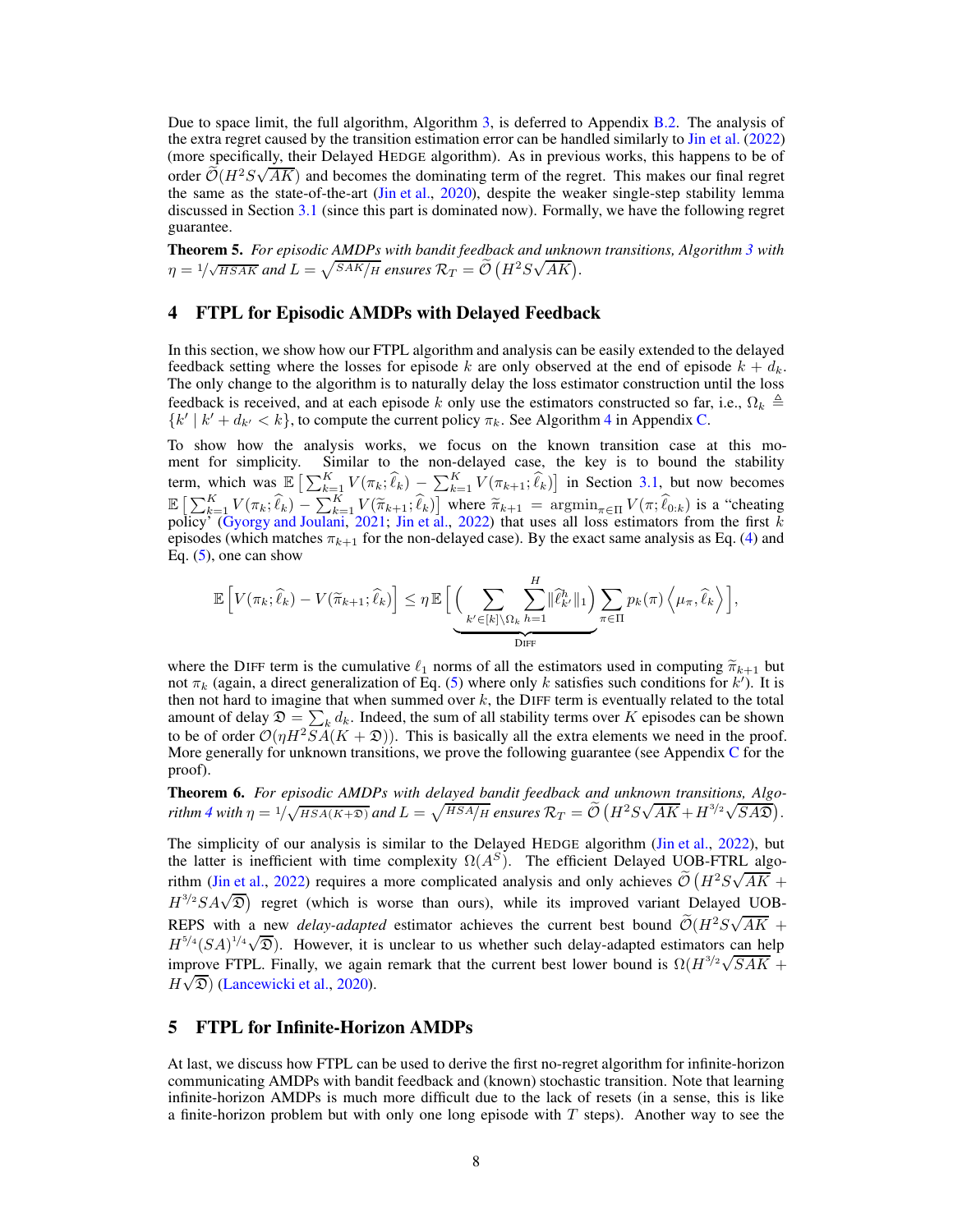Due to space limit, the full algorithm, Algorithm [3,](#page-17-0) is deferred to Appendix [B.2.](#page-17-2) The analysis of the extra regret caused by the transition estimation error can be handled similarly to [Jin et al.](#page-10-0) [\(2022\)](#page-10-0) (more specifically, their Delayed HEDGE algorithm). As in previous works, this happens to be of order  $\mathcal{O}(H^2S\sqrt{AK})$  and becomes the dominating term of the regret. This makes our final regret the same as the state-of-the-art [\(Jin et al.,](#page-10-3) [2020](#page-10-3)), despite the weaker single-step stability lemma discussed in Section [3.1](#page-4-2) (since this part is dominated now). Formally, we have the following regret guarantee.

<span id="page-7-0"></span>Theorem 5. *For episodic AMDPs with bandit feedback and unknown transitions, Algorithm [3](#page-17-0) with*  $\eta = 1/\sqrt{HSAK}$  and  $L = \sqrt{SAK/H}$  ensures  $\mathcal{R}_T = \widetilde{\mathcal{O}}(H^2S\sqrt{AK}).$ 

## <span id="page-7-2"></span>4 FTPL for Episodic AMDPs with Delayed Feedback

In this section, we show how our FTPL algorithm and analysis can be easily extended to the delayed feedback setting where the losses for episode k are only observed at the end of episode  $k + d_k$ . The only change to the algorithm is to naturally delay the loss estimator construction until the loss feedback is received, and at each episode k only use the estimators constructed so far, i.e.,  $\Omega_k \triangleq$  $\{k' \mid k' + d_{k'} < k\}$ , to compute the current policy  $\pi_k$ . See Algorithm [4](#page-27-0) in Appendix [C.](#page-26-0)

To show how the analysis works, we focus on the known transition case at this moment for simplicity. Similar to the non-delayed case, the key is to bound the stability term, which was  $\mathbb{E}\left[\sum_{k=1}^K V(\pi_k;\hat{\ell}_k) - \sum_{k=1}^K V(\pi_{k+1};\hat{\ell}_k)\right]$  in Section [3.1,](#page-4-2) but now becomes  $\mathbb{E}\left[\sum_{k=1}^K V(\pi_k; \hat{\ell}_k) - \sum_{k=1}^K V(\tilde{\pi}_{k+1}; \hat{\ell}_k)\right]$  where  $\tilde{\pi}_{k+1} = \operatorname{argmin}_{\pi \in \Pi} V(\pi; \hat{\ell}_{0:k})$  is a "cheating policy" [\(Gyorgy and Joulani,](#page-10-16) [2021](#page-10-16); [Jin et al.](#page-10-0), [2022\)](#page-10-0) that uses all loss estimators from the first k episodes (which matches  $\pi_{k+1}$  for the non-delayed case). By the exact same analysis as Eq. [\(4\)](#page-6-3) and Eq.  $(5)$ , one can show

$$
\mathbb{E}\left[V(\pi_k; \widehat{\ell}_k) - V(\widetilde{\pi}_{k+1}; \widehat{\ell}_k)\right] \leq \eta \mathbb{E}\left[\underbrace{\left(\sum_{k' \in [k] \setminus \Omega_k} \sum_{h=1}^H \|\widehat{\ell}_{k'}^h\|_1\right)}_{\text{DIF}} \sum_{\pi \in \Pi} p_k(\pi) \left\langle \mu_{\pi}, \widehat{\ell}_k \right\rangle\right],
$$

where the DIFF term is the cumulative  $\ell_1$  norms of all the estimators used in computing  $\tilde{\pi}_{k+1}$  but not  $\pi_k$  (again, a direct generalization of Eq. [\(5\)](#page-6-4) where only k satisfies such conditions for k'). It is then not hard to imagine that when summed over  $k$ , the DIFF term is eventually related to the total amount of delay  $\mathfrak{D} = \sum_k d_k$ . Indeed, the sum of all stability terms over K episodes can be shown to be of order  $\mathcal{O}(\eta H^2 \overline{SA}(K + \mathfrak{D}))$ . This is basically all the extra elements we need in the proof. More generally for unknown transitions, we prove the following guarantee (see Appendix  $C$  for the proof).

<span id="page-7-1"></span>Theorem 6. *For episodic AMDPs with delayed bandit feedback and unknown transitions, Algorithm* [4](#page-27-0) with  $\eta = 1/\sqrt{HSA(K+\mathfrak{D})}$  and  $L = \sqrt{HSA/H}$  ensures  $\mathcal{R}_T = \widetilde{\mathcal{O}}\left(H^2S\sqrt{AK} + H^{3/2}\sqrt{SA\mathfrak{D}}\right)$ .

The simplicity of our analysis is similar to the Delayed HEDGE algorithm [\(Jin et al.,](#page-10-0) [2022\)](#page-10-0), but the latter is inefficient with time complexity  $\Omega(A^S)$ . The efficient Delayed UOB-FTRL algo-rithm [\(Jin et al.](#page-10-0), [2022\)](#page-10-0) requires a more complicated analysis and only achieves  $\tilde{\mathcal{O}}\left(H^2 S \sqrt{AK} + \right)$  $H^{3/2}SA\sqrt{2}$ ) regret (which is worse than ours), while its improved variant Delayed UOB-REPS with a new *delay-adapted* estimator achieves the current best bound  $\tilde{\mathcal{O}}(H^2S\sqrt{AK} +$  $H^{5/4}(SA)^{1/4}\sqrt{D}$ ). However, it is unclear to us whether such delay-adapted estimators can help improve FTPL. Finally, we again remark that the current best lower bound is  $\Omega(H^{3/2}\sqrt{SAK})$  $H\sqrt{\mathfrak{D}}$  [\(Lancewicki et al.](#page-10-6), [2020\)](#page-10-6).

# <span id="page-7-3"></span>5 FTPL for Infinite-Horizon AMDPs

At last, we discuss how FTPL can be used to derive the first no-regret algorithm for infinite-horizon communicating AMDPs with bandit feedback and (known) stochastic transition. Note that learning infinite-horizon AMDPs is much more difficult due to the lack of resets (in a sense, this is like a finite-horizon problem but with only one long episode with  $T$  steps). Another way to see the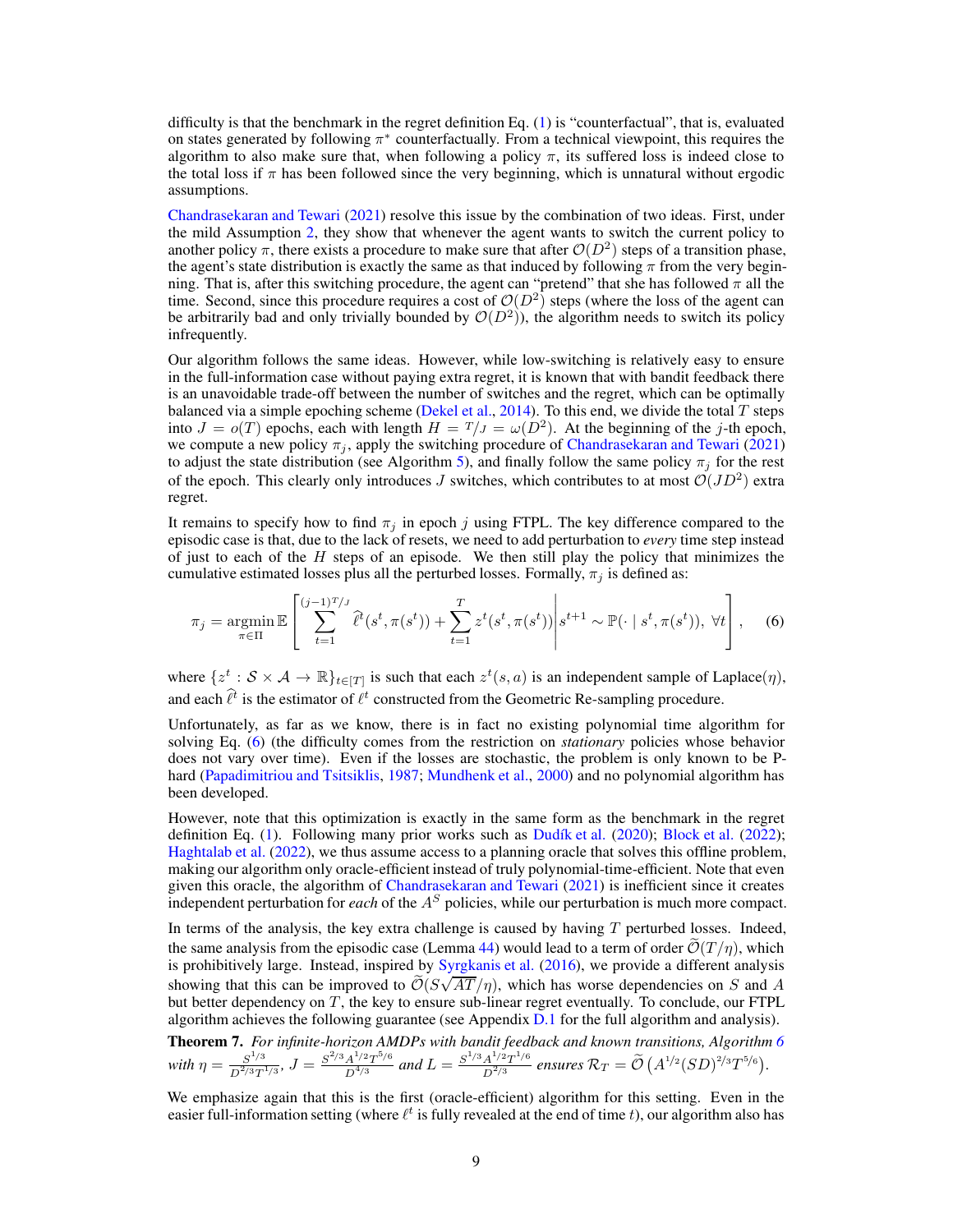difficulty is that the benchmark in the regret definition Eq.  $(1)$  is "counterfactual", that is, evaluated on states generated by following  $\pi^*$  counterfactually. From a technical viewpoint, this requires the algorithm to also make sure that, when following a policy  $\pi$ , its suffered loss is indeed close to the total loss if  $\pi$  has been followed since the very beginning, which is unnatural without ergodic assumptions.

[Chandrasekaran and Tewari](#page-9-0) [\(2021\)](#page-9-0) resolve this issue by the combination of two ideas. First, under the mild Assumption [2,](#page-4-4) they show that whenever the agent wants to switch the current policy to another policy  $\pi$ , there exists a procedure to make sure that after  $\mathcal{O}(D^2)$  steps of a transition phase, the agent's state distribution is exactly the same as that induced by following  $\pi$  from the very beginning. That is, after this switching procedure, the agent can "pretend" that she has followed  $\pi$  all the time. Second, since this procedure requires a cost of  $\mathcal{O}(D^2)$  steps (where the loss of the agent can be arbitrarily bad and only trivially bounded by  $\mathcal{O}(D^2)$ ), the algorithm needs to switch its policy infrequently.

Our algorithm follows the same ideas. However, while low-switching is relatively easy to ensure in the full-information case without paying extra regret, it is known that with bandit feedback there is an unavoidable trade-off between the number of switches and the regret, which can be optimally balanced via a simple epoching scheme [\(Dekel et al.](#page-9-3), [2014](#page-9-3)). To this end, we divide the total  $T$  steps into  $J = o(T)$  epochs, each with length  $H = T/J = \omega(D^2)$ . At the beginning of the j-th epoch, we compute a new policy  $\pi_j$ , apply the switching procedure of [Chandrasekaran and Tewari](#page-9-0) [\(2021\)](#page-9-0) to adjust the state distribution (see Algorithm [5\)](#page-30-0), and finally follow the same policy  $\pi_j$  for the rest of the epoch. This clearly only introduces  $J$  switches, which contributes to at most  $\mathcal{O}(JD^2)$  extra regret.

It remains to specify how to find  $\pi_j$  in epoch j using FTPL. The key difference compared to the episodic case is that, due to the lack of resets, we need to add perturbation to *every* time step instead of just to each of the  $H$  steps of an episode. We then still play the policy that minimizes the cumulative estimated losses plus all the perturbed losses. Formally,  $\pi_i$  is defined as:

<span id="page-8-1"></span>
$$
\pi_j = \underset{\pi \in \Pi}{\operatorname{argmin}} \mathbb{E}\left[\sum_{t=1}^{(j-1)T/J} \hat{\ell}^t(s^t, \pi(s^t)) + \sum_{t=1}^T z^t(s^t, \pi(s^t)) \middle| s^{t+1} \sim \mathbb{P}(\cdot \mid s^t, \pi(s^t)), \forall t\right], \quad (6)
$$

where  $\{z^t : \mathcal{S} \times \mathcal{A} \to \mathbb{R}\}_{t \in [T]}$  is such that each  $z^t(s, a)$  is an independent sample of Laplace $(\eta)$ , and each  $\hat{\ell}^t$  is the estimator of  $\ell^t$  constructed from the Geometric Re-sampling procedure.

Unfortunately, as far as we know, there is in fact no existing polynomial time algorithm for solving Eq. [\(6\)](#page-8-1) (the difficulty comes from the restriction on *stationary* policies whose behavior does not vary over time). Even if the losses are stochastic, the problem is only known to be Phard [\(Papadimitriou and Tsitsiklis](#page-11-9), [1987](#page-11-9); [Mundhenk et al.,](#page-10-17) [2000](#page-10-17)) and no polynomial algorithm has been developed.

However, note that this optimization is exactly in the same form as the benchmark in the regret definition Eq. [\(1\)](#page-4-3). Following many prior works such as [Dudík et al.](#page-10-10) [\(2020\)](#page-10-10); [Block et al.](#page-9-4) [\(2022\)](#page-9-4); [Haghtalab et al.](#page-10-11) [\(2022\)](#page-10-11), we thus assume access to a planning oracle that solves this offline problem, making our algorithm only oracle-efficient instead of truly polynomial-time-efficient. Note that even given this oracle, the algorithm of [Chandrasekaran and Tewari](#page-9-0) [\(2021\)](#page-9-0) is inefficient since it creates independent perturbation for *each* of the  $A<sup>S</sup>$  policies, while our perturbation is much more compact.

In terms of the analysis, the key extra challenge is caused by having  $T$  perturbed losses. Indeed, the same analysis from the episodic case (Lemma [44\)](#page-40-0) would lead to a term of order  $\tilde{\mathcal{O}}(T/\eta)$ , which is prohibitively large. Instead, inspired by [Syrgkanis et al.](#page-11-5) [\(2016\)](#page-11-5), we provide a different analysis showing that this can be improved to  $\tilde{\mathcal{O}}(S\sqrt{AT}/\eta)$ , which has worse dependencies on S and A but better dependency on  $T$ , the key to ensure sub-linear regret eventually. To conclude, our FTPL algorithm achieves the following guarantee (see Appendix [D.1](#page-29-0) for the full algorithm and analysis).

<span id="page-8-0"></span>Theorem 7. *For infinite-horizon AMDPs with bandit feedback and known transitions, Algorithm [6](#page-31-0)* with  $\eta = \frac{S^{1/3}}{D^{2/3}T}$  $S^{1/3}$ <br> $D^{2/3}T^{1/3}$ ,  $J = \frac{S^{2/3}A^{1/2}T^{5/6}}{D^{4/3}}$  $\frac{A^{1/2}T^{5/6}}{D^{4/3}}$  and  $L = \frac{S^{1/3}A^{1/2}T^{1/6}}{D^{2/3}}$  $\frac{A^{1/2}T^{1/6}}{D^{2/3}}$  ensures  $\mathcal{R}_T = \widetilde{\mathcal{O}}(\frac{A^{1/2}}{(SD)^{2/3}T^{5/6}})$ .

We emphasize again that this is the first (oracle-efficient) algorithm for this setting. Even in the easier full-information setting (where  $\ell^t$  is fully revealed at the end of time t), our algorithm also has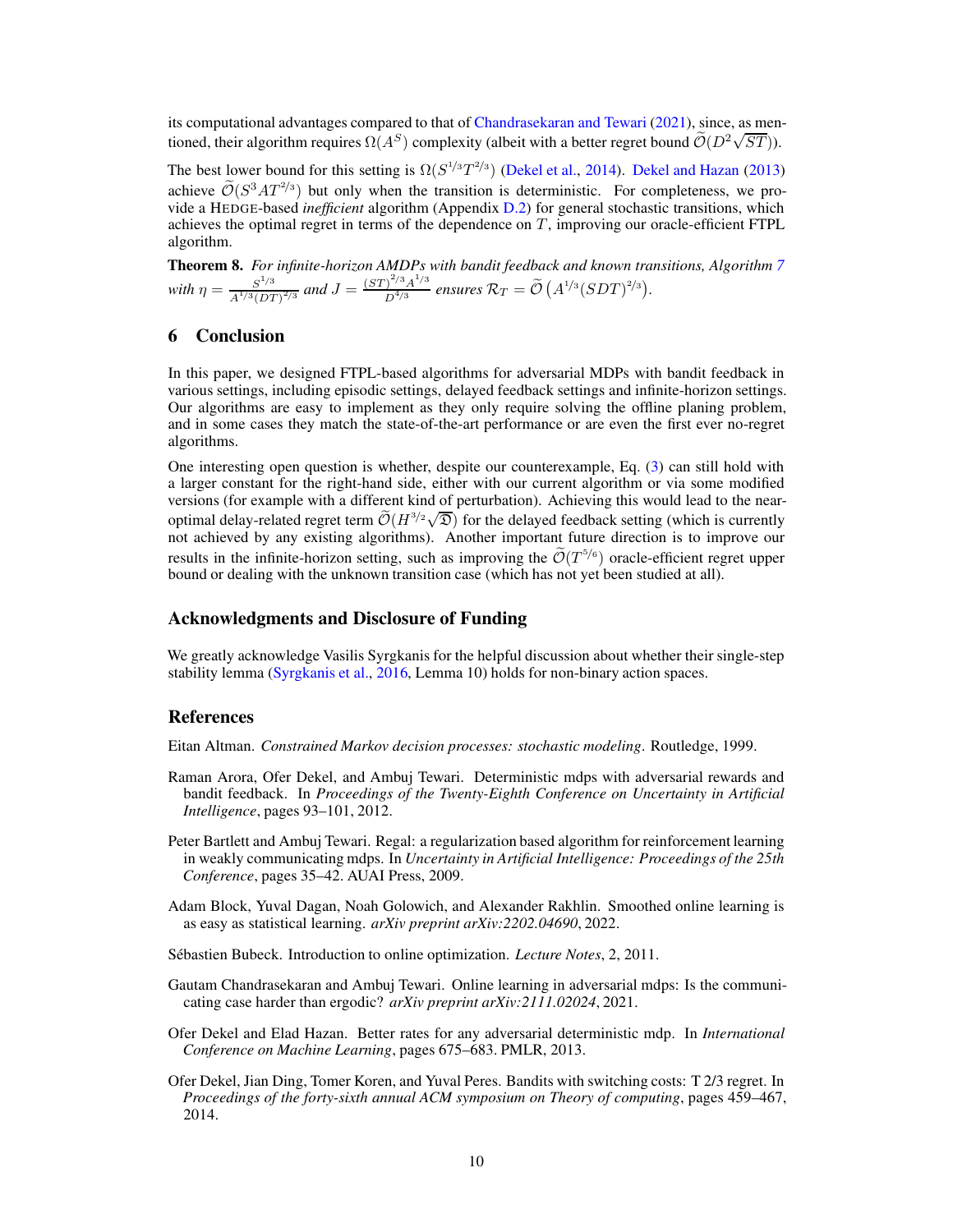its computational advantages compared to that of [Chandrasekaran and Tewari](#page-9-0) [\(2021](#page-9-0)), since, as mentioned, their algorithm requires  $\Omega(A^S)$  complexity (albeit with a better regret bound  $\tilde{\mathcal{O}}(D^2\sqrt{ST})$ ).

The best lower bound for this setting is  $\Omega(S^{1/3}T^{2/3})$  [\(Dekel et al.,](#page-9-3) [2014](#page-9-3)). [Dekel and Hazan](#page-9-1) [\(2013\)](#page-9-1) achieve  $\mathcal{O}(S^3AT^{2/3})$  but only when the transition is deterministic. For completeness, we provide a HEDGE-based *inefficient* algorithm (Appendix [D.2\)](#page-35-1) for general stochastic transitions, which achieves the optimal regret in terms of the dependence on  $T$ , improving our oracle-efficient FTPL algorithm.

<span id="page-9-2"></span>Theorem 8. *For infinite-horizon AMDPs with bandit feedback and known transitions, Algorithm [7](#page-35-0) with*  $\eta = \frac{S^{1/3}}{A^{1/3}(\Omega)^2}$  $\frac{S^{1/3}}{A^{1/3} (DT)^{2/3}}$  and  $J = \frac{(ST)^{2/3} A^{1/3}}{D^{4/3}}$  $\int_{D^{4/3}}^{\infty} \frac{\text{A}^{4/3}}{2}$  ensures  $\mathcal{R}_T = \widetilde{\mathcal{O}}\left(A^{1/3} (SDT)^{2/3}\right)$ .

# 6 Conclusion

In this paper, we designed FTPL-based algorithms for adversarial MDPs with bandit feedback in various settings, including episodic settings, delayed feedback settings and infinite-horizon settings. Our algorithms are easy to implement as they only require solving the offline planing problem, and in some cases they match the state-of-the-art performance or are even the first ever no-regret algorithms.

One interesting open question is whether, despite our counterexample, Eq. [\(3\)](#page-6-2) can still hold with a larger constant for the right-hand side, either with our current algorithm or via some modified versions (for example with a different kind of perturbation). Achieving this would lead to the nearoptimal delay-related regret term  $\widetilde{\mathcal{O}}(H^{3/2}\sqrt{\mathfrak{D}})$  for the delayed feedback setting (which is currently not achieved by any existing algorithms). Another important future direction is to improve our results in the infinite-horizon setting, such as improving the  $\tilde{\mathcal{O}}(T^{5/6})$  oracle-efficient regret upper bound or dealing with the unknown transition case (which has not yet been studied at all).

## Acknowledgments and Disclosure of Funding

We greatly acknowledge Vasilis Syrgkanis for the helpful discussion about whether their single-step stability lemma [\(Syrgkanis et al.](#page-11-5), [2016,](#page-11-5) Lemma 10) holds for non-binary action spaces.

## References

<span id="page-9-7"></span>Eitan Altman. *Constrained Markov decision processes: stochastic modeling*. Routledge, 1999.

- <span id="page-9-5"></span>Raman Arora, Ofer Dekel, and Ambuj Tewari. Deterministic mdps with adversarial rewards and bandit feedback. In *Proceedings of the Twenty-Eighth Conference on Uncertainty in Artificial Intelligence*, pages 93–101, 2012.
- <span id="page-9-6"></span>Peter Bartlett and Ambuj Tewari. Regal: a regularization based algorithm for reinforcement learning in weakly communicating mdps. In *Uncertainty in Artificial Intelligence: Proceedings of the 25th Conference*, pages 35–42. AUAI Press, 2009.
- <span id="page-9-4"></span>Adam Block, Yuval Dagan, Noah Golowich, and Alexander Rakhlin. Smoothed online learning is as easy as statistical learning. *arXiv preprint arXiv:2202.04690*, 2022.
- <span id="page-9-8"></span>Sébastien Bubeck. Introduction to online optimization. *Lecture Notes*, 2, 2011.
- <span id="page-9-0"></span>Gautam Chandrasekaran and Ambuj Tewari. Online learning in adversarial mdps: Is the communicating case harder than ergodic? *arXiv preprint arXiv:2111.02024*, 2021.
- <span id="page-9-1"></span>Ofer Dekel and Elad Hazan. Better rates for any adversarial deterministic mdp. In *International Conference on Machine Learning*, pages 675–683. PMLR, 2013.
- <span id="page-9-3"></span>Ofer Dekel, Jian Ding, Tomer Koren, and Yuval Peres. Bandits with switching costs: T 2/3 regret. In *Proceedings of the forty-sixth annual ACM symposium on Theory of computing*, pages 459–467, 2014.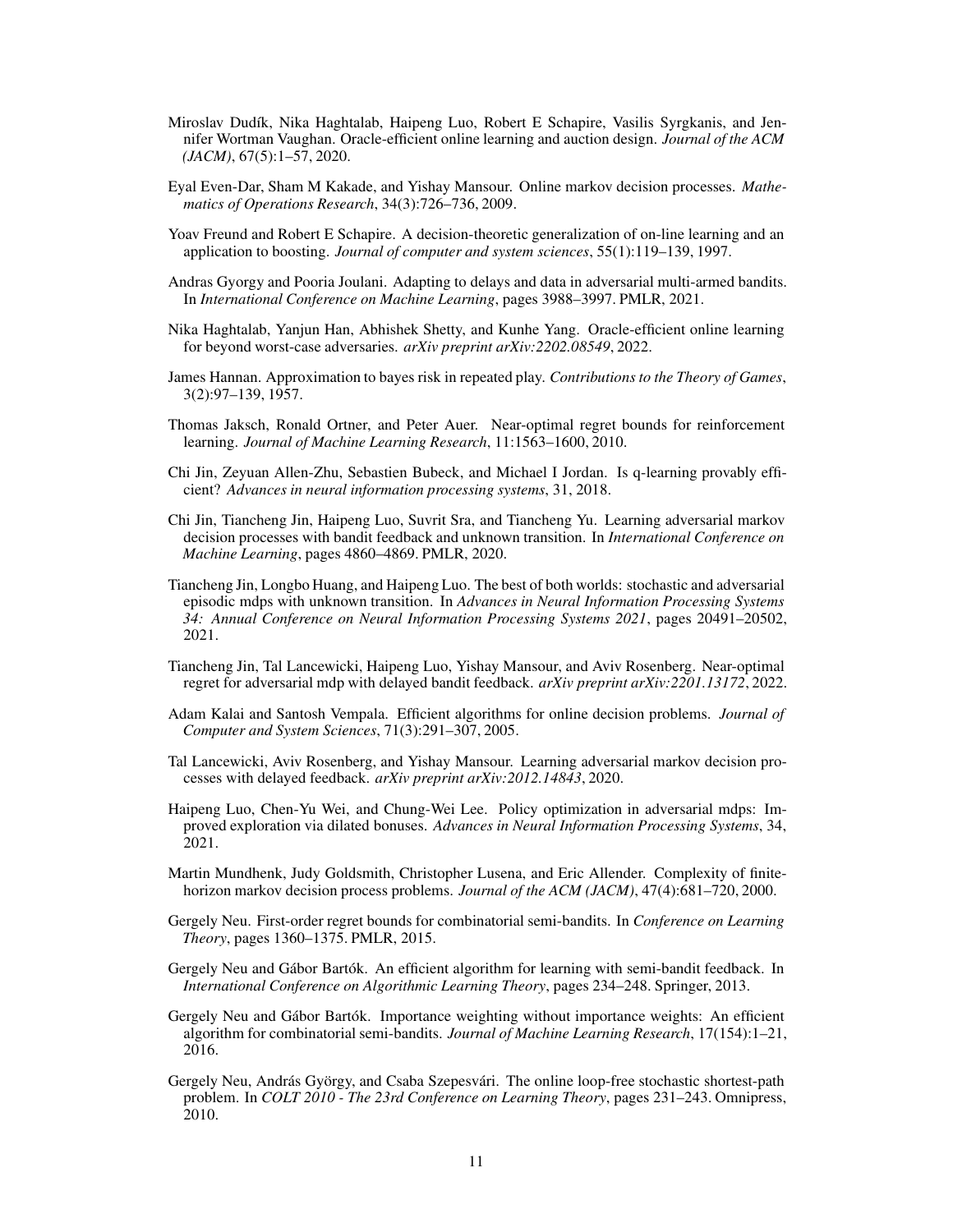- <span id="page-10-10"></span>Miroslav Dudík, Nika Haghtalab, Haipeng Luo, Robert E Schapire, Vasilis Syrgkanis, and Jennifer Wortman Vaughan. Oracle-efficient online learning and auction design. *Journal of the ACM (JACM)*, 67(5):1–57, 2020.
- <span id="page-10-1"></span>Eyal Even-Dar, Sham M Kakade, and Yishay Mansour. Online markov decision processes. *Mathematics of Operations Research*, 34(3):726–736, 2009.
- <span id="page-10-14"></span>Yoav Freund and Robert E Schapire. A decision-theoretic generalization of on-line learning and an application to boosting. *Journal of computer and system sciences*, 55(1):119–139, 1997.
- <span id="page-10-16"></span>Andras Gyorgy and Pooria Joulani. Adapting to delays and data in adversarial multi-armed bandits. In *International Conference on Machine Learning*, pages 3988–3997. PMLR, 2021.
- <span id="page-10-11"></span>Nika Haghtalab, Yanjun Han, Abhishek Shetty, and Kunhe Yang. Oracle-efficient online learning for beyond worst-case adversaries. *arXiv preprint arXiv:2202.08549*, 2022.
- <span id="page-10-7"></span>James Hannan. Approximation to bayes risk in repeated play. *Contributions to the Theory of Games*, 3(2):97–139, 1957.
- <span id="page-10-15"></span>Thomas Jaksch, Ronald Ortner, and Peter Auer. Near-optimal regret bounds for reinforcement learning. *Journal of Machine Learning Research*, 11:1563–1600, 2010.
- <span id="page-10-12"></span>Chi Jin, Zeyuan Allen-Zhu, Sebastien Bubeck, and Michael I Jordan. Is q-learning provably efficient? *Advances in neural information processing systems*, 31, 2018.
- <span id="page-10-3"></span>Chi Jin, Tiancheng Jin, Haipeng Luo, Suvrit Sra, and Tiancheng Yu. Learning adversarial markov decision processes with bandit feedback and unknown transition. In *International Conference on Machine Learning*, pages 4860–4869. PMLR, 2020.
- <span id="page-10-4"></span>Tiancheng Jin, Longbo Huang, and Haipeng Luo. The best of both worlds: stochastic and adversarial episodic mdps with unknown transition. In *Advances in Neural Information Processing Systems 34: Annual Conference on Neural Information Processing Systems 2021*, pages 20491–20502, 2021.
- <span id="page-10-0"></span>Tiancheng Jin, Tal Lancewicki, Haipeng Luo, Yishay Mansour, and Aviv Rosenberg. Near-optimal regret for adversarial mdp with delayed bandit feedback. *arXiv preprint arXiv:2201.13172*, 2022.
- <span id="page-10-8"></span>Adam Kalai and Santosh Vempala. Efficient algorithms for online decision problems. *Journal of Computer and System Sciences*, 71(3):291–307, 2005.
- <span id="page-10-6"></span>Tal Lancewicki, Aviv Rosenberg, and Yishay Mansour. Learning adversarial markov decision processes with delayed feedback. *arXiv preprint arXiv:2012.14843*, 2020.
- <span id="page-10-13"></span>Haipeng Luo, Chen-Yu Wei, and Chung-Wei Lee. Policy optimization in adversarial mdps: Improved exploration via dilated bonuses. *Advances in Neural Information Processing Systems*, 34, 2021.
- <span id="page-10-17"></span>Martin Mundhenk, Judy Goldsmith, Christopher Lusena, and Eric Allender. Complexity of finitehorizon markov decision process problems. *Journal of the ACM (JACM)*, 47(4):681–720, 2000.
- <span id="page-10-9"></span>Gergely Neu. First-order regret bounds for combinatorial semi-bandits. In *Conference on Learning Theory*, pages 1360–1375. PMLR, 2015.
- <span id="page-10-18"></span>Gergely Neu and Gábor Bartók. An efficient algorithm for learning with semi-bandit feedback. In *International Conference on Algorithmic Learning Theory*, pages 234–248. Springer, 2013.
- <span id="page-10-5"></span>Gergely Neu and Gábor Bartók. Importance weighting without importance weights: An efficient algorithm for combinatorial semi-bandits. *Journal of Machine Learning Research*, 17(154):1–21, 2016.
- <span id="page-10-2"></span>Gergely Neu, András György, and Csaba Szepesvári. The online loop-free stochastic shortest-path problem. In *COLT 2010 - The 23rd Conference on Learning Theory*, pages 231–243. Omnipress, 2010.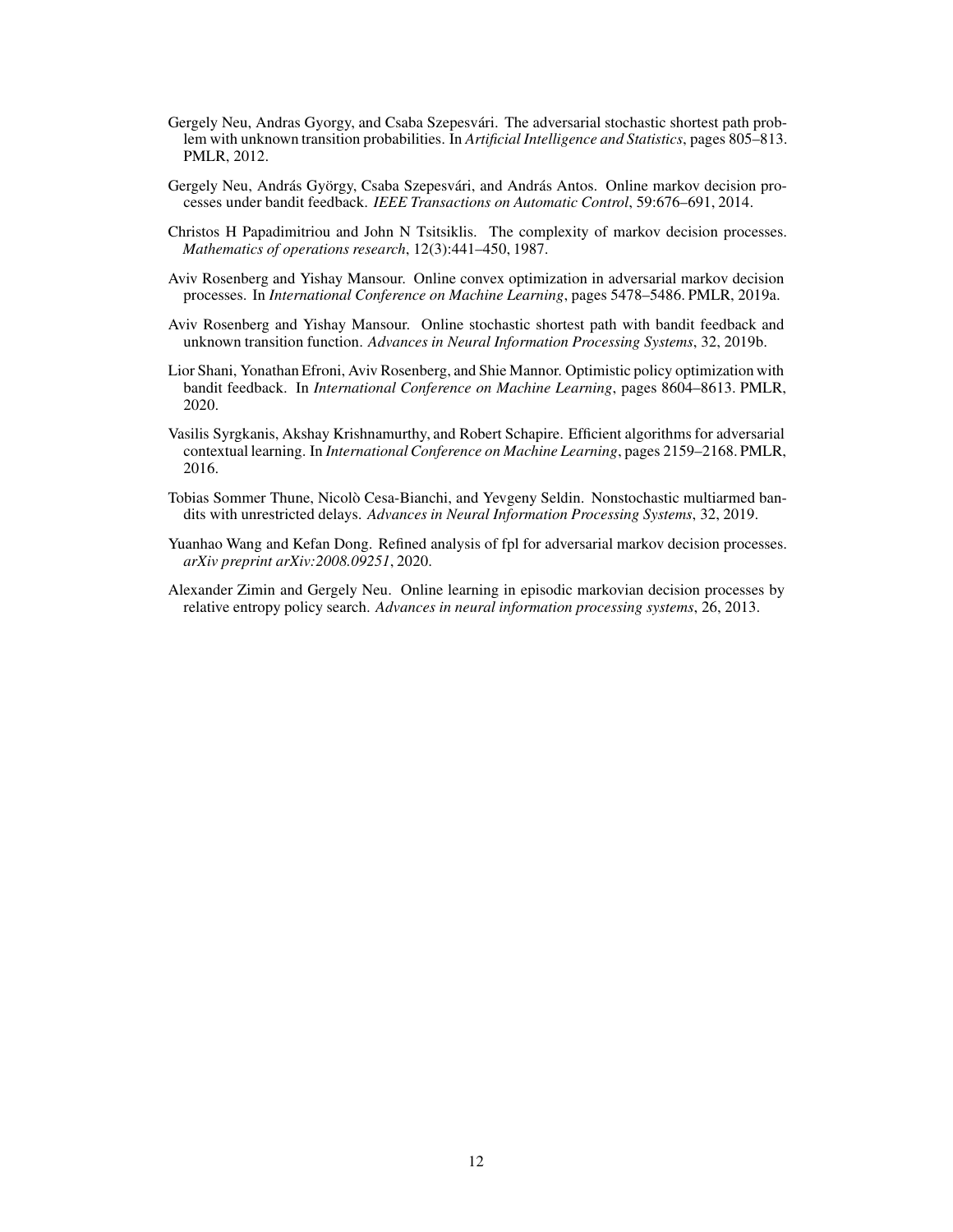- <span id="page-11-0"></span>Gergely Neu, Andras Gyorgy, and Csaba Szepesvári. The adversarial stochastic shortest path problem with unknown transition probabilities. In *Artificial Intelligence and Statistics*, pages 805–813. PMLR, 2012.
- <span id="page-11-7"></span>Gergely Neu, András György, Csaba Szepesvári, and András Antos. Online markov decision processes under bandit feedback. *IEEE Transactions on Automatic Control*, 59:676–691, 2014.
- <span id="page-11-9"></span>Christos H Papadimitriou and John N Tsitsiklis. The complexity of markov decision processes. *Mathematics of operations research*, 12(3):441–450, 1987.
- <span id="page-11-2"></span>Aviv Rosenberg and Yishay Mansour. Online convex optimization in adversarial markov decision processes. In *International Conference on Machine Learning*, pages 5478–5486. PMLR, 2019a.
- <span id="page-11-3"></span>Aviv Rosenberg and Yishay Mansour. Online stochastic shortest path with bandit feedback and unknown transition function. *Advances in Neural Information Processing Systems*, 32, 2019b.
- <span id="page-11-6"></span>Lior Shani, Yonathan Efroni, Aviv Rosenberg, and Shie Mannor. Optimistic policy optimization with bandit feedback. In *International Conference on Machine Learning*, pages 8604–8613. PMLR, 2020.
- <span id="page-11-5"></span>Vasilis Syrgkanis, Akshay Krishnamurthy, and Robert Schapire. Efficient algorithms for adversarial contextual learning. In *International Conference on Machine Learning*, pages 2159–2168. PMLR, 2016.
- <span id="page-11-8"></span>Tobias Sommer Thune, Nicolò Cesa-Bianchi, and Yevgeny Seldin. Nonstochastic multiarmed bandits with unrestricted delays. *Advances in Neural Information Processing Systems*, 32, 2019.
- <span id="page-11-4"></span>Yuanhao Wang and Kefan Dong. Refined analysis of fpl for adversarial markov decision processes. *arXiv preprint arXiv:2008.09251*, 2020.
- <span id="page-11-1"></span>Alexander Zimin and Gergely Neu. Online learning in episodic markovian decision processes by relative entropy policy search. *Advances in neural information processing systems*, 26, 2013.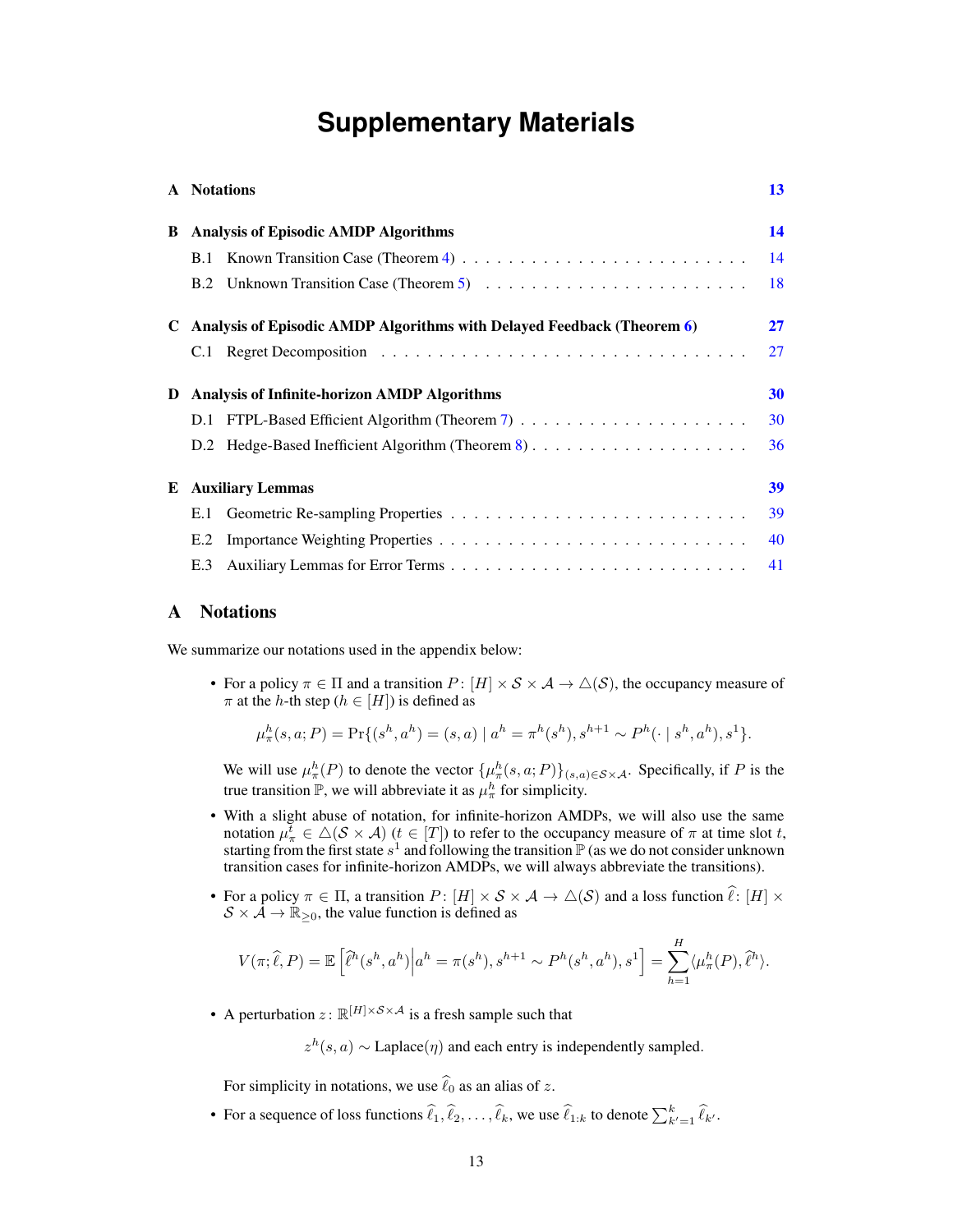# **Supplementary Materials**

|   | A Notations                                                            | 13 |  |  |  |
|---|------------------------------------------------------------------------|----|--|--|--|
| B | <b>Analysis of Episodic AMDP Algorithms</b>                            |    |  |  |  |
|   | B.1                                                                    | 14 |  |  |  |
|   |                                                                        | 18 |  |  |  |
|   | Analysis of Episodic AMDP Algorithms with Delayed Feedback (Theorem 6) | 27 |  |  |  |
|   |                                                                        | 27 |  |  |  |
| D | Analysis of Infinite-horizon AMDP Algorithms                           | 30 |  |  |  |
|   |                                                                        | 30 |  |  |  |
|   |                                                                        | 36 |  |  |  |
| E | <b>Auxiliary Lemmas</b>                                                |    |  |  |  |
|   | E.1                                                                    | 39 |  |  |  |
|   | E.2                                                                    | 40 |  |  |  |
|   | E.3                                                                    | 41 |  |  |  |

## <span id="page-12-0"></span>A Notations

We summarize our notations used in the appendix below:

• For a policy  $\pi \in \Pi$  and a transition  $P: [H] \times S \times A \to \Delta(S)$ , the occupancy measure of  $\pi$  at the h-th step ( $h \in [H]$ ) is defined as

$$
\mu^h_\pi(s, a; P) = \Pr\{(s^h, a^h) = (s, a) \mid a^h = \pi^h(s^h), s^{h+1} \sim P^h(\cdot \mid s^h, a^h), s^1\}.
$$

We will use  $\mu^h_\pi(P)$  to denote the vector  $\{\mu^h_\pi(s,a;P)\}_{(s,a)\in\mathcal{S}\times\mathcal{A}}$ . Specifically, if P is the true transition  $\mathbb{P}$ , we will abbreviate it as  $\mu_{\pi}^{h}$  for simplicity.

- With a slight abuse of notation, for infinite-horizon AMDPs, we will also use the same notation  $\mu_{\pi}^{\overline{t}} \in \triangle(\mathcal{S} \times \mathcal{A})$  ( $t \in [T]$ ) to refer to the occupancy measure of  $\pi$  at time slot t, starting from the first state  $s^1$  and following the transition  $\mathbb P$  (as we do not consider unknown transition cases for infinite-horizon AMDPs, we will always abbreviate the transitions).
- For a policy  $\pi \in \Pi$ , a transition  $P: [H] \times S \times A \to \triangle(S)$  and a loss function  $\hat{\ell}: [H] \times$  $S \times A \rightarrow \mathbb{R}_{\geq 0}$ , the value function is defined as

$$
V(\pi;\widehat{\ell},P) = \mathbb{E}\left[\widehat{\ell}^h(s^h,a^h)\middle|a^h = \pi(s^h), s^{h+1} \sim P^h(s^h,a^h), s^1\right] = \sum_{h=1}^H \langle \mu^h_{\pi}(P), \widehat{\ell}^h \rangle.
$$

• A perturbation  $z: \mathbb{R}^{[H] \times S \times A}$  is a fresh sample such that

 $z^h(s, a) \sim \text{Laplace}(\eta)$  and each entry is independently sampled.

For simplicity in notations, we use  $\hat{\ell}_0$  as an alias of z.

• For a sequence of loss functions  $\widehat{\ell}_1, \widehat{\ell}_2, \ldots, \widehat{\ell}_k$ , we use  $\widehat{\ell}_{1:k}$  to denote  $\sum_{k'=1}^k \widehat{\ell}_{k'}$ .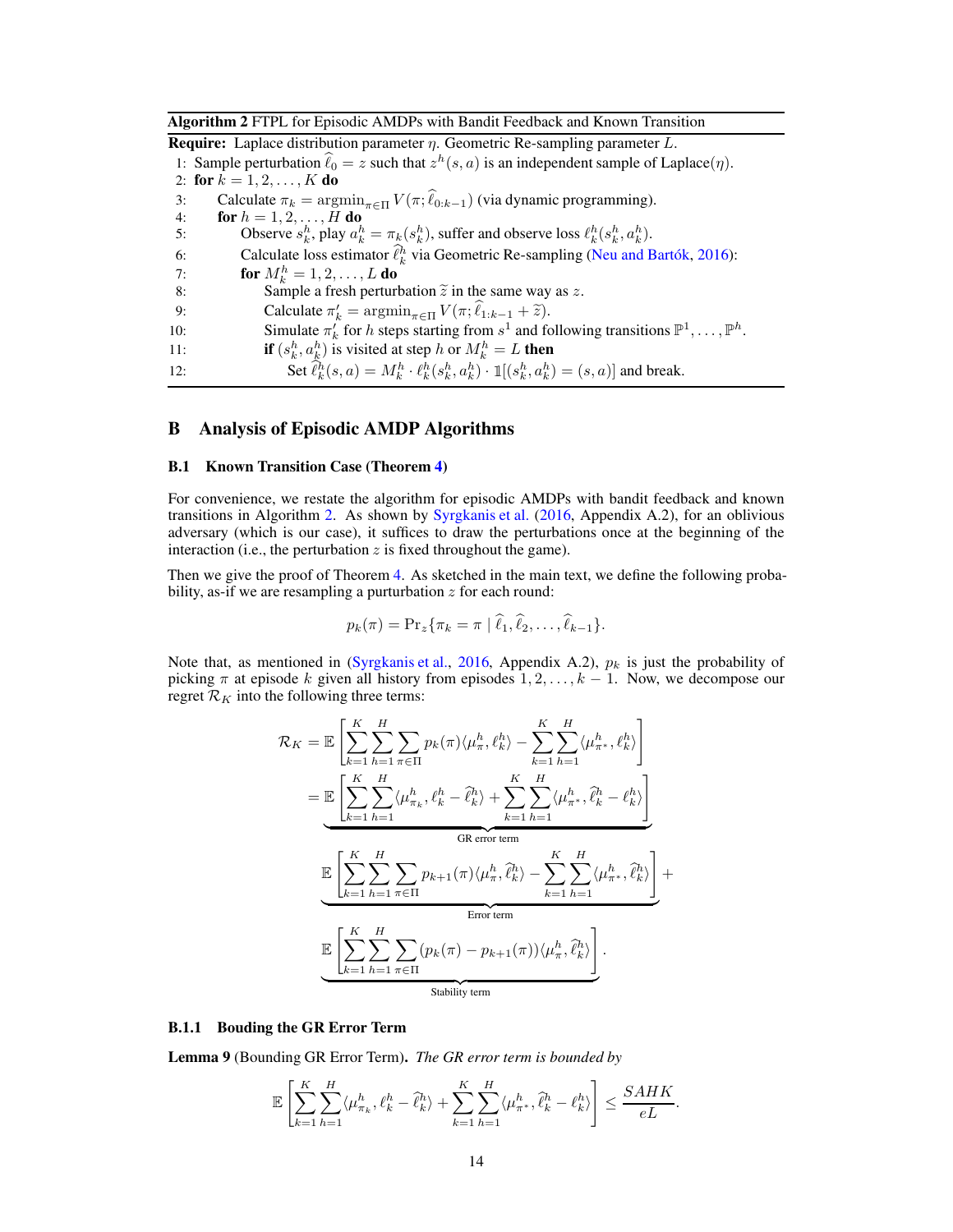<span id="page-13-2"></span>Algorithm 2 FTPL for Episodic AMDPs with Bandit Feedback and Known Transition

**Require:** Laplace distribution parameter  $\eta$ . Geometric Re-sampling parameter L. 1: Sample perturbation  $\hat{\ell}_0 = z$  such that  $z^h(s, a)$  is an independent sample of Laplace( $\eta$ ). 2: for  $k = 1, 2, ..., K$  do 3: Calculate  $\pi_k = \operatorname{argmin}_{\pi \in \Pi} V(\pi; \hat{\ell}_{0:k-1})$  (via dynamic programming).<br>4: **for**  $h = 1, 2, ..., H$  **do** for  $h = 1, 2, \ldots, H$  do 5: Observe  $s_k^h$ , play  $a_k^h = \pi_k(s_k^h)$ , suffer and observe loss  $\ell_k^h(s_k^h, a_k^h)$ . 6: Calculate loss estimator  $\hat{\ell}_k^h$  via Geometric Re-sampling [\(Neu and Bartók](#page-10-5), [2016](#page-10-5)): 7: **for**  $M_k^h = 1, 2, ..., L$  **do** 8: Sample a fresh perturbation  $\tilde{z}$  in the same way as z.<br>9: Calculate  $\pi'_{k} = \operatorname{argmin}_{z \in \Pi} V(\pi; \hat{\ell}_{1:k-1} + \tilde{z})$ . 9: Calculate  $\pi'_k = \operatorname{argmin}_{\pi \in \Pi} V(\pi; \ell_{1:k-1} + \tilde{z}).$ 10: Simulate  $\pi'_k$  for h steps starting from  $s^1$  and following transitions  $\mathbb{P}^1, \ldots, \mathbb{P}^h$ . 11: **if**  $(s_k^h, a_k^h)$  is visited at step h or  $M_k^h = L$  then 12: Set  $\hat{\ell}_k^h(s, a) = M_k^h \cdot \ell_k^h(s_k^h, a_k^h) \cdot \mathbb{I}[(s_k^h, a_k^h) = (s, a)]$  and break.

# <span id="page-13-1"></span><span id="page-13-0"></span>B Analysis of Episodic AMDP Algorithms

#### B.1 Known Transition Case (Theorem [4\)](#page-6-0)

For convenience, we restate the algorithm for episodic AMDPs with bandit feedback and known transitions in Algorithm [2.](#page-13-2) As shown by [Syrgkanis et al.](#page-11-5) [\(2016,](#page-11-5) Appendix A.2), for an oblivious adversary (which is our case), it suffices to draw the perturbations once at the beginning of the interaction (i.e., the perturbation  $z$  is fixed throughout the game).

Then we give the proof of Theorem [4.](#page-6-0) As sketched in the main text, we define the following probability, as-if we are resampling a purturbation  $z$  for each round:

$$
p_k(\pi) = \Pr_z\{\pi_k = \pi \mid \hat{\ell}_1, \hat{\ell}_2, \dots, \hat{\ell}_{k-1}\}.
$$

Note that, as mentioned in [\(Syrgkanis et al.,](#page-11-5) [2016,](#page-11-5) Appendix A.2),  $p_k$  is just the probability of picking  $\pi$  at episode k given all history from episodes  $1, 2, \ldots, k - 1$ . Now, we decompose our regret  $\mathcal{R}_K$  into the following three terms:

$$
\mathcal{R}_{K} = \mathbb{E}\left[\sum_{k=1}^{K}\sum_{h=1}^{H}\sum_{\pi\in\Pi}p_{k}(\pi)\langle\mu_{\pi}^{h},\ell_{k}^{h}\rangle - \sum_{k=1}^{K}\sum_{h=1}^{H}\langle\mu_{\pi^{*}}^{h},\ell_{k}^{h}\rangle\right]
$$
\n
$$
= \underbrace{\mathbb{E}\left[\sum_{k=1}^{K}\sum_{h=1}^{H}\langle\mu_{\pi_{k}}^{h},\ell_{k}^{h}-\hat{\ell}_{k}^{h}\rangle + \sum_{k=1}^{K}\sum_{h=1}^{H}\langle\mu_{\pi^{*}}^{h},\hat{\ell}_{k}^{h}-\ell_{k}^{h}\rangle\right]}_{\text{GR error term}}
$$
\n
$$
\underbrace{\mathbb{E}\left[\sum_{k=1}^{K}\sum_{h=1}^{H}\sum_{\pi\in\Pi}p_{k+1}(\pi)\langle\mu_{\pi}^{h},\hat{\ell}_{k}^{h}\rangle - \sum_{k=1}^{K}\sum_{h=1}^{H}\langle\mu_{\pi^{*}}^{h},\hat{\ell}_{k}^{h}\rangle\right]}_{\text{Error term}}
$$
\n
$$
\underbrace{\mathbb{E}\left[\sum_{k=1}^{K}\sum_{h=1}^{H}\sum_{\pi\in\Pi}(p_{k}(\pi)-p_{k+1}(\pi))\langle\mu_{\pi}^{h},\hat{\ell}_{k}^{h}\rangle\right]}_{\text{Stability term}}
$$

### <span id="page-13-3"></span>B.1.1 Bouding the GR Error Term

Lemma 9 (Bounding GR Error Term). *The GR error term is bounded by*

$$
\mathbb{E}\left[\sum_{k=1}^K\sum_{h=1}^H \langle \mu_{\pi_k}^h, \ell_k^h - \widehat{\ell}_k^h \rangle + \sum_{k=1}^K\sum_{h=1}^H \langle \mu_{\pi^*}^h, \widehat{\ell}_k^h - \ell_k^h \rangle\right] \le \frac{SAHK}{eL}.
$$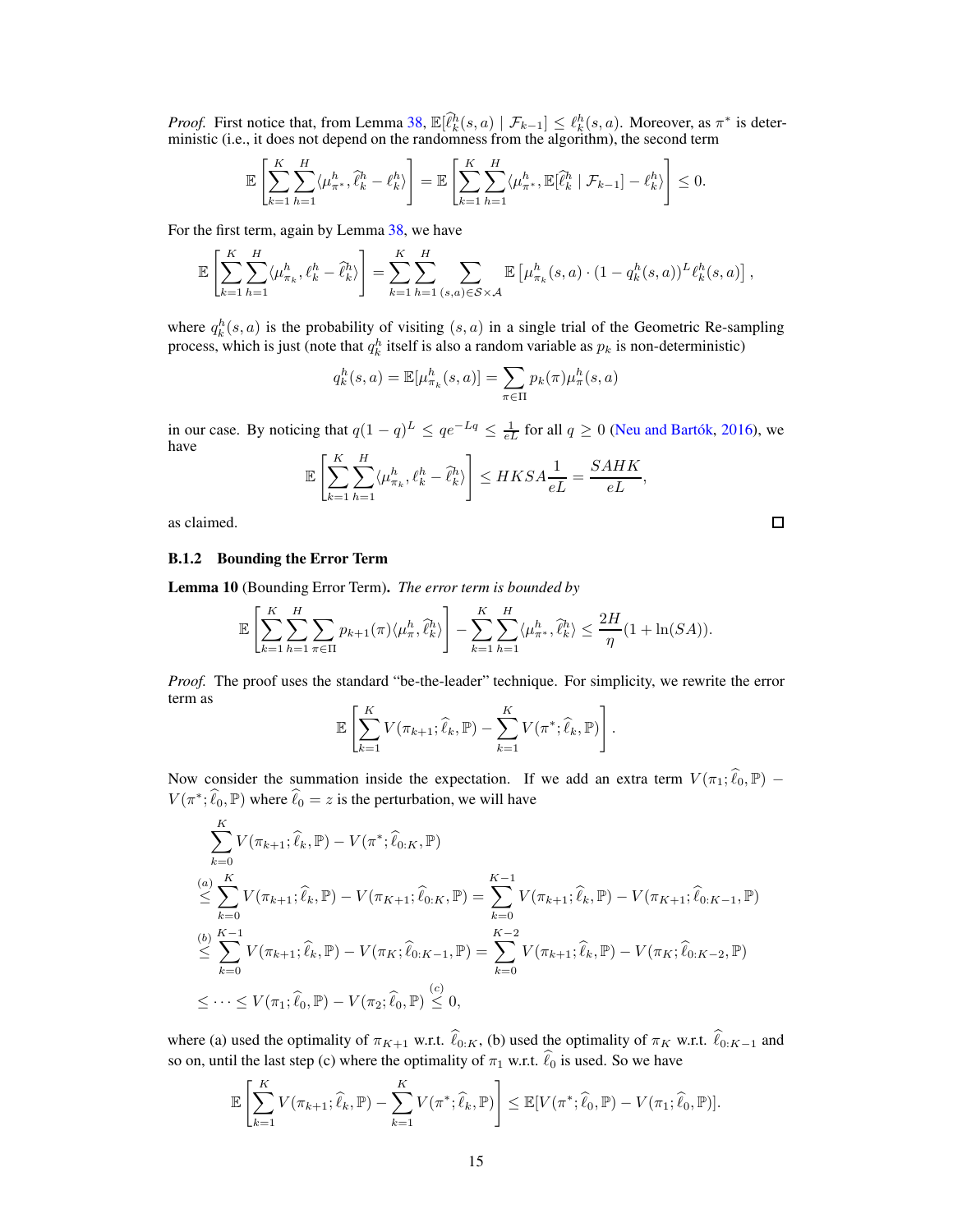*Proof.* First notice that, from Lemma [38,](#page-38-2)  $\mathbb{E}[\hat{\ell}_k^h(s, a) | \mathcal{F}_{k-1}] \leq \ell_k^h(s, a)$ . Moreover, as  $\pi^*$  is deterministic (i.e., it does not depend on the randomness from the algorithm), the second term

$$
\mathbb{E}\left[\sum_{k=1}^K\sum_{h=1}^H \langle \mu_{\pi^*}^h, \hat{\ell}_k^h - \ell_k^h \rangle\right] = \mathbb{E}\left[\sum_{k=1}^K\sum_{h=1}^H \langle \mu_{\pi^*}^h, \mathbb{E}[\hat{\ell}_k^h | \mathcal{F}_{k-1}] - \ell_k^h \rangle\right] \leq 0.
$$

For the first term, again by Lemma [38,](#page-38-2) we have

$$
\mathbb{E}\left[\sum_{k=1}^{K}\sum_{h=1}^{H} \langle \mu_{\pi_k}^{h}, \ell_k^h - \hat{\ell}_k^h \rangle \right] = \sum_{k=1}^{K}\sum_{h=1}^{H} \sum_{(s,a)\in S\times\mathcal{A}} \mathbb{E}\left[\mu_{\pi_k}^{h}(s,a) \cdot (1 - q_k^h(s,a))^L \ell_k^h(s,a)\right],
$$

where  $q_k^h(s, a)$  is the probability of visiting  $(s, a)$  in a single trial of the Geometric Re-sampling process, which is just (note that  $q_k^h$  itself is also a random variable as  $p_k$  is non-deterministic)

$$
q_k^h(s, a) = \mathbb{E}[\mu_{\pi_k}^h(s, a)] = \sum_{\pi \in \Pi} p_k(\pi) \mu_{\pi}^h(s, a)
$$

in our case. By noticing that  $q(1 - q)^L \le qe^{-Lq} \le \frac{1}{eL}$  for all  $q \ge 0$  [\(Neu and Bartók](#page-10-5), [2016\)](#page-10-5), we have

$$
\mathbb{E}\left[\sum_{k=1}^K\sum_{h=1}^H \langle \mu_{\pi_k}^h, \ell_k^h - \hat{\ell}_k^h \rangle \right] \leq HKSA\frac{1}{eL} = \frac{SAHK}{eL},
$$

as claimed.

#### <span id="page-14-0"></span>B.1.2 Bounding the Error Term

Lemma 10 (Bounding Error Term). *The error term is bounded by*

$$
\mathbb{E}\left[\sum_{k=1}^K\sum_{h=1}^H\sum_{\pi\in\Pi}p_{k+1}(\pi)\langle\mu_{\pi}^h,\hat{\ell}_{k}^h\rangle\right]-\sum_{k=1}^K\sum_{h=1}^H\langle\mu_{\pi^*}^h,\hat{\ell}_{k}^h\rangle\leq\frac{2H}{\eta}(1+\ln(SA)).
$$

*Proof.* The proof uses the standard "be-the-leader" technique. For simplicity, we rewrite the error term as

$$
\mathbb{E}\left[\sum_{k=1}^K V(\pi_{k+1};\widehat{\ell}_k,\mathbb{P}) - \sum_{k=1}^K V(\pi^*;\widehat{\ell}_k,\mathbb{P})\right].
$$

Now consider the summation inside the expectation. If we add an extra term  $V(\pi_1; \hat{\ell}_0, \mathbb{P})$  –  $V(\pi^*, \hat{\ell}_0, \mathbb{P})$  where  $\hat{\ell}_0 = z$  is the perturbation, we will have

$$
\sum_{k=0}^{K} V(\pi_{k+1}; \hat{\ell}_k, \mathbb{P}) - V(\pi^*; \hat{\ell}_{0:K}, \mathbb{P})
$$
\n
$$
\leq \sum_{k=0}^{K} V(\pi_{k+1}; \hat{\ell}_k, \mathbb{P}) - V(\pi_{K+1}; \hat{\ell}_{0:K}, \mathbb{P}) = \sum_{k=0}^{K-1} V(\pi_{k+1}; \hat{\ell}_k, \mathbb{P}) - V(\pi_{K+1}; \hat{\ell}_{0:K-1}, \mathbb{P})
$$
\n
$$
\leq \sum_{k=0}^{K-1} V(\pi_{k+1}; \hat{\ell}_k, \mathbb{P}) - V(\pi_K; \hat{\ell}_{0:K-1}, \mathbb{P}) = \sum_{k=0}^{K-2} V(\pi_{k+1}; \hat{\ell}_k, \mathbb{P}) - V(\pi_K; \hat{\ell}_{0:K-2}, \mathbb{P})
$$
\n
$$
\leq \cdots \leq V(\pi_1; \hat{\ell}_0, \mathbb{P}) - V(\pi_2; \hat{\ell}_0, \mathbb{P}) \leq 0,
$$

where (a) used the optimality of  $\pi_{K+1}$  w.r.t.  $\hat{\ell}_{0:K}$ , (b) used the optimality of  $\pi_K$  w.r.t.  $\hat{\ell}_{0:K-1}$  and so on, until the last step (c) where the optimality of  $\pi_1$  w.r.t.  $\hat{\ell}_0$  is used. So we have

$$
\mathbb{E}\left[\sum_{k=1}^K V(\pi_{k+1};\widehat{\ell}_k,\mathbb{P})-\sum_{k=1}^K V(\pi^*,\widehat{\ell}_k,\mathbb{P})\right] \leq \mathbb{E}[V(\pi^*,\widehat{\ell}_0,\mathbb{P})-V(\pi_1;\widehat{\ell}_0,\mathbb{P})].
$$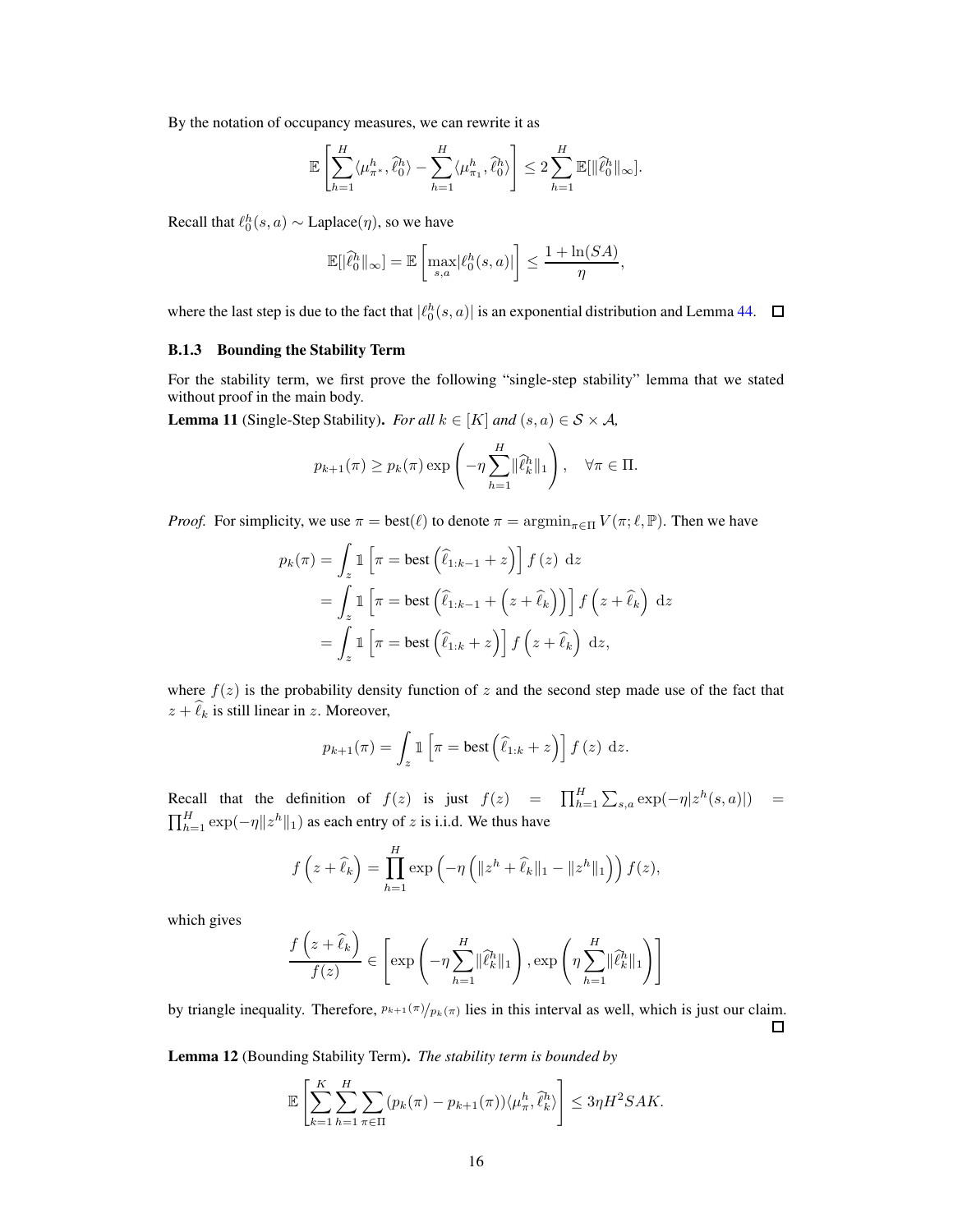By the notation of occupancy measures, we can rewrite it as

$$
\mathbb{E}\left[\sum_{h=1}^H \langle \mu_{\pi^*}^h, \hat{\ell}_0^h \rangle - \sum_{h=1}^H \langle \mu_{\pi_1}^h, \hat{\ell}_0^h \rangle \right] \leq 2 \sum_{h=1}^H \mathbb{E}[\|\hat{\ell}_0^h\|_{\infty}].
$$

Recall that  $\ell_0^h(s, a) \sim \text{Laplace}(\eta)$ , so we have

$$
\mathbb{E}[|\hat{\ell}_0^h\|_\infty] = \mathbb{E}\left[\max_{s,a} |\ell_0^h(s,a)|\right] \le \frac{1+\ln(SA)}{\eta},
$$

where the last step is due to the fact that  $|\ell_0^h(s, a)|$  is an exponential distribution and Lemma [44.](#page-40-0)

## B.1.3 Bounding the Stability Term

<span id="page-15-1"></span>For the stability term, we first prove the following "single-step stability" lemma that we stated without proof in the main body.

**Lemma 11** (Single-Step Stability). *For all*  $k \in [K]$  *and*  $(s, a) \in S \times A$ *,* 

$$
p_{k+1}(\pi) \ge p_k(\pi) \exp\left(-\eta \sum_{h=1}^H \|\widehat{\ell}_k^h\|_1\right), \quad \forall \pi \in \Pi.
$$

*Proof.* For simplicity, we use  $\pi = \text{best}(\ell)$  to denote  $\pi = \text{argmin}_{\pi \in \Pi} V(\pi; \ell, \mathbb{P})$ . Then we have

$$
p_k(\pi) = \int_z \mathbb{1} \left[ \pi = \text{best} \left( \hat{\ell}_{1:k-1} + z \right) \right] f(z) dz
$$
  
= 
$$
\int_z \mathbb{1} \left[ \pi = \text{best} \left( \hat{\ell}_{1:k-1} + \left( z + \hat{\ell}_k \right) \right) \right] f(z) dz
$$
  
= 
$$
\int_z \mathbb{1} \left[ \pi = \text{best} \left( \hat{\ell}_{1:k} + z \right) \right] f(z + \hat{\ell}_k) dz,
$$

where  $f(z)$  is the probability density function of z and the second step made use of the fact that  $z + \hat{\ell}_k$  is still linear in z. Moreover,

$$
p_{k+1}(\pi) = \int_z \mathbb{1}\left[\pi = \text{best}\left(\widehat{\ell}_{1:k} + z\right)\right] f(z) dz.
$$

Recall that the definition of  $f(z)$  is just  $f(z) = \prod_{h=1}^{H} \sum_{s,a} \exp(-\eta |z^h(s,a)|) =$  $\prod_{h=1}^{H} \exp(-\eta ||z^h||_1)$  as each entry of z is i.i.d. We thus have

$$
f(z+\widehat{\ell}_k) = \prod_{h=1}^H \exp\left(-\eta\left(\|z^h + \widehat{\ell}_k\|_1 - \|z^h\|_1\right)\right) f(z),
$$

which gives

 $\overline{a}$ 

$$
\frac{f(z+\widehat{\ell}_k)}{f(z)} \in \left[\exp\left(-\eta \sum_{h=1}^H \|\widehat{\ell}_k^h\|_1\right), \exp\left(\eta \sum_{h=1}^H \|\widehat{\ell}_k^h\|_1\right)\right]
$$

by triangle inequality. Therefore,  $p_{k+1}(\pi)/p_k(\pi)$  lies in this interval as well, which is just our claim. □

<span id="page-15-0"></span>Lemma 12 (Bounding Stability Term). *The stability term is bounded by*

$$
\mathbb{E}\left[\sum_{k=1}^K\sum_{h=1}^H\sum_{\pi\in\Pi}(p_k(\pi)-p_{k+1}(\pi))\langle\mu_\pi^h,\hat{\ell}_k^h\rangle\right]\leq 3\eta H^2SAK.
$$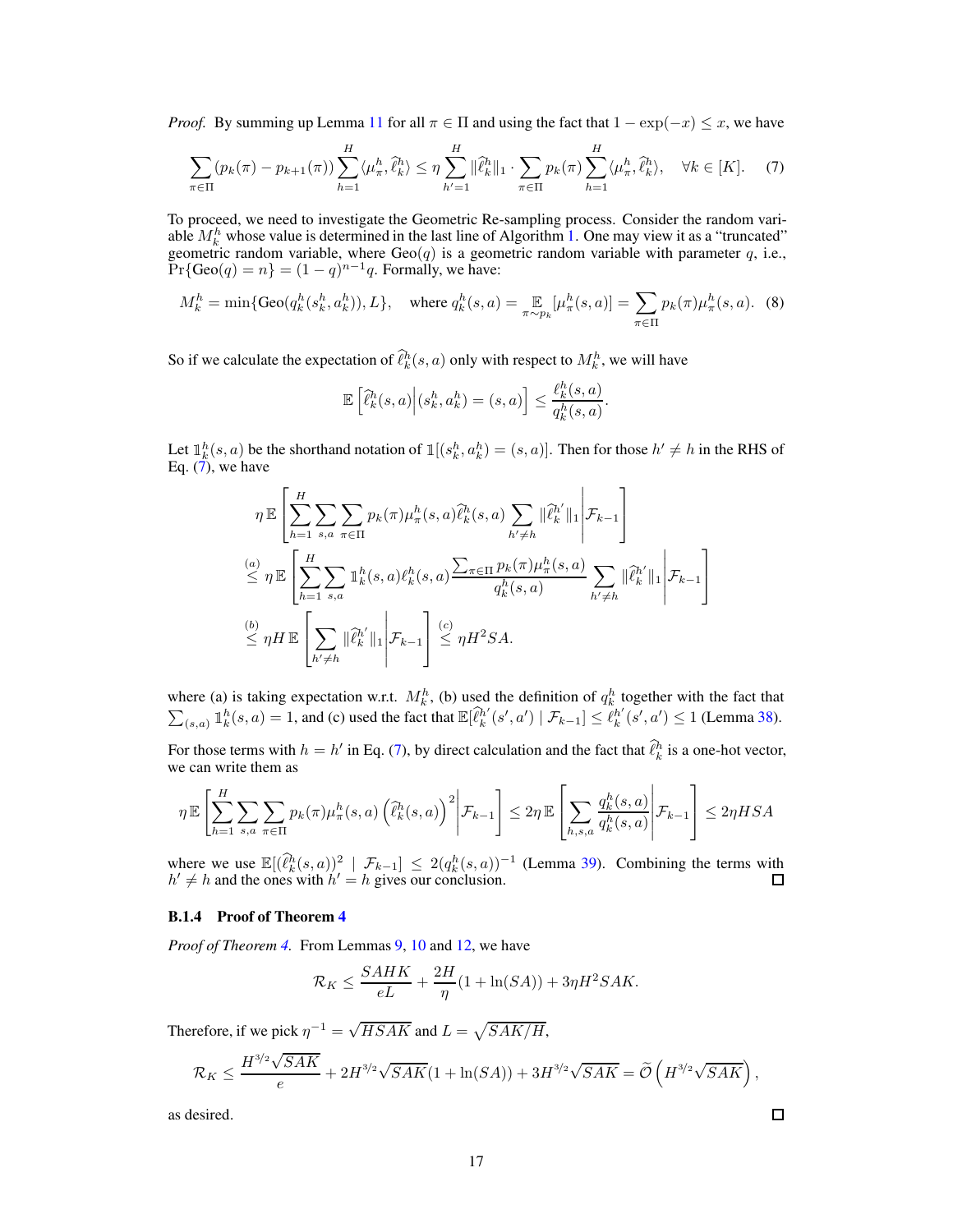*Proof.* By summing up Lemma [11](#page-15-1) for all  $\pi \in \Pi$  and using the fact that  $1 - \exp(-x) \leq x$ , we have

$$
\sum_{\pi \in \Pi} (p_k(\pi) - p_{k+1}(\pi)) \sum_{h=1}^H \langle \mu_\pi^h, \hat{\ell}_k^h \rangle \le \eta \sum_{h'=1}^H \|\hat{\ell}_k^h\|_1 \cdot \sum_{\pi \in \Pi} p_k(\pi) \sum_{h=1}^H \langle \mu_\pi^h, \hat{\ell}_k^h \rangle, \quad \forall k \in [K]. \tag{7}
$$

To proceed, we need to investigate the Geometric Re-sampling process. Consider the random variable  $M_k^h$  whose value is determined in the last line of Algorithm [1.](#page-5-0) One may view it as a "truncated" geometric random variable, where  $\text{Geo}(q)$  is a geometric random variable with parameter q, i.e.,  $Pr{Geo(q) = n} = (1 - q)^{n-1}q$ . Formally, we have:

$$
M_k^h = \min\{\text{Geo}(q_k^h(s_k^h, a_k^h)), L\}, \quad \text{where } q_k^h(s, a) = \mathop{\mathbb{E}}_{\pi \sim p_k} [\mu_\pi^h(s, a)] = \sum_{\pi \in \Pi} p_k(\pi) \mu_\pi^h(s, a). \tag{8}
$$

So if we calculate the expectation of  $\hat{\ell}_k^h(s, a)$  only with respect to  $M_k^h$ , we will have

<span id="page-16-0"></span>
$$
\mathbb{E}\left[\widehat{\ell}_k^h(s,a)\Big|(s_k^h,a_k^h)=(s,a)\right] \leq \frac{\ell_k^h(s,a)}{q_k^h(s,a)}.
$$

Let  $\mathbb{I}_k^h(s, a)$  be the shorthand notation of  $\mathbb{I}[(s_k^h, a_k^h) = (s, a)]$ . Then for those  $h' \neq h$  in the RHS of Eq. [\(7\)](#page-16-0), we have

$$
\eta \mathbb{E}\left[\sum_{h=1}^{H} \sum_{s,a} \sum_{\pi \in \Pi} p_k(\pi) \mu_{\pi}^h(s,a) \widehat{\ell}_k^h(s,a) \sum_{h' \neq h} ||\widehat{\ell}_k^{h'}||_1 \middle| \mathcal{F}_{k-1}\right]
$$
  
\n
$$
\stackrel{(a)}{\leq} \eta \mathbb{E}\left[\sum_{h=1}^{H} \sum_{s,a} \mathbb{1}_k^h(s,a) \ell_k^h(s,a) \frac{\sum_{\pi \in \Pi} p_k(\pi) \mu_{\pi}^h(s,a)}{q_k^h(s,a)} \sum_{h' \neq h} ||\widehat{\ell}_k^{h'}||_1 \middle| \mathcal{F}_{k-1}\right]
$$
  
\n
$$
\stackrel{(b)}{\leq} \eta H \mathbb{E}\left[\sum_{h' \neq h} ||\widehat{\ell}_k^{h'}||_1 \middle| \mathcal{F}_{k-1}\right] \stackrel{(c)}{\leq} \eta H^2 SA.
$$

where (a) is taking expectation w.r.t.  $M_k^h$ , (b) used the definition of  $q_k^h$  together with the fact that  $\sum_{(s,a)}$   $\mathbb{1}_k^h(s,a) = 1$ , and (c) used the fact that  $\mathbb{E}[\hat{\ell}_k^h]$  $\mathcal{F}_{k}^{h'}(s', a') \mid \mathcal{F}_{k-1}] \leq \mathcal{E}_{k}^{h'}$  $_{k}^{h'}(s', a') \leq 1$  (Lemma [38\)](#page-38-2).

For those terms with  $h = h'$  in Eq. [\(7\)](#page-16-0), by direct calculation and the fact that  $\ell_k^h$  is a one-hot vector, we can write them as

$$
\eta \mathbb{E}\left[\sum_{h=1}^H \sum_{s,a}\sum_{\pi \in \Pi} p_k(\pi)\mu_{\pi}^h(s,a) \left(\hat{\ell}_k^h(s,a)\right)^2 \middle| \mathcal{F}_{k-1}\right] \leq 2\eta \mathbb{E}\left[\sum_{h,s,a} \frac{q_k^h(s,a)}{q_k^h(s,a)} \middle| \mathcal{F}_{k-1}\right] \leq 2\eta HSA
$$

where we use  $\mathbb{E}[(\hat{\ell}_k^h(s,a))^2 | \mathcal{F}_{k-1}] \leq 2(q_k^h(s,a))^{-1}$  (Lemma [39\)](#page-38-3). Combining the terms with  $h' \neq h$  and the ones with  $h' = h$  gives our conclusion.

## B.1.4 Proof of Theorem [4](#page-6-0)

*Proof of Theorem [4.](#page-6-0)* From Lemmas [9,](#page-13-3) [10](#page-14-0) and [12,](#page-15-0) we have

$$
\mathcal{R}_K \le \frac{SAHK}{eL} + \frac{2H}{\eta}(1 + \ln(SA)) + 3\eta H^2SAK.
$$

Therefore, if we pick  $\eta^{-1} = \sqrt{HSAK}$  and  $L = \sqrt{SAK/H}$ ,

$$
\mathcal{R}_K \leq \frac{H^{3/2}\sqrt{SAK}}{e} + 2H^{3/2}\sqrt{SAK}(1 + \ln(SA)) + 3H^{3/2}\sqrt{SAK} = \widetilde{\mathcal{O}}\left(H^{3/2}\sqrt{SAK}\right),
$$

 $\Box$ 

as desired.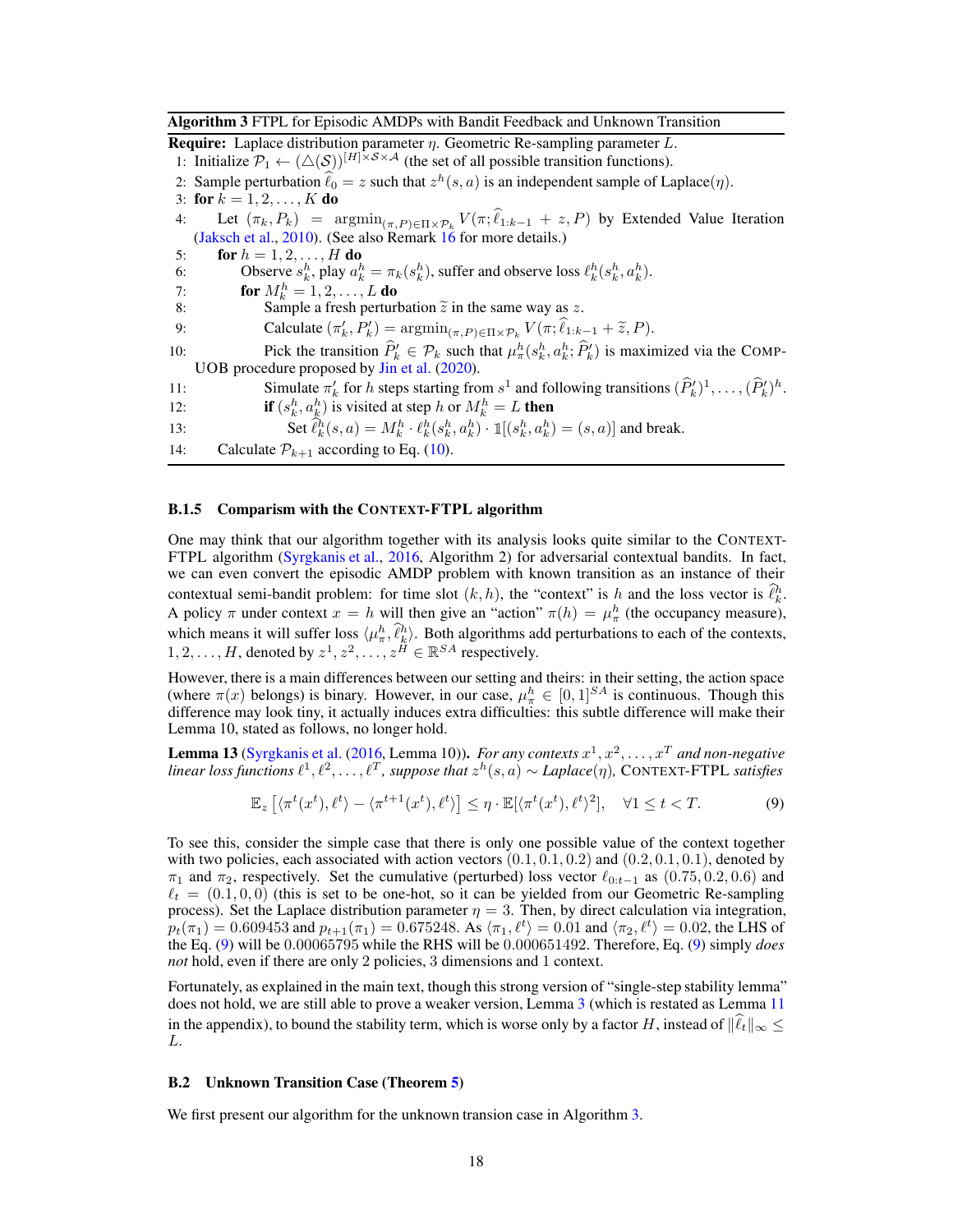<span id="page-17-0"></span>Algorithm 3 FTPL for Episodic AMDPs with Bandit Feedback and Unknown Transition

**Require:** Laplace distribution parameter  $\eta$ . Geometric Re-sampling parameter L.

1: Initialize  $\mathcal{P}_1 \leftarrow (\triangle(S))^{[H] \times S \times A}$  (the set of all possible transition functions).

2: Sample perturbation  $\hat{\ell}_0 = z$  such that  $z^h(s, a)$  is an independent sample of Laplace( $\eta$ ).

3: for  $k = 1, 2, ..., K$  do

4: Let  $(\pi_k, P_k)$  =  $argmin_{(\pi, P) \in \Pi \times P_k} V(\pi; \ell_{1:k-1} + z, P)$  by Extended Value Iteration [\(Jaksch et al.](#page-10-15), [2010](#page-10-15)). (See also Remark [16](#page-18-1) for more details.)

5: **for**  $h = 1, 2, ..., H$  **do** 6: Observe  $s_k^h$ , play  $a_k^h = \pi_k(s_k^h)$ , suffer and observe loss  $\ell_k^h(s_k^h, a_k^h)$ .

7: **for**  $M_k^h = 1, 2, ..., L$  **do** 

8: Sample a fresh perturbation  $\tilde{z}$  in the same way as z.<br>9: Calculate  $(\pi'_k, P'_k) = \operatorname{argmin}_{(x, P) \in \Pi \times \mathcal{P}} V(\pi; \hat{\ell}_1)$ 

9: Calculate  $(\pi'_k, P'_k) = \operatorname{argmin}_{(\pi, P) \in \Pi \times \mathcal{P}_k} V(\pi; \ell_{1:k-1} + \tilde{z}, P).$ 

10: Pick the transition  $\hat{P}_k' \in \mathcal{P}_k$  such that  $\mu_{\pi}^h(s_k^h, a_k^h; \hat{P}_k')$  is maximized via the COMP-UOB procedure proposed by [Jin et al.](#page-10-3) [\(2020](#page-10-3)).

11: Simulate  $\pi'_k$  for h steps starting from  $s^1$  and following transitions  $(\hat{P}'_k)^1, \ldots, (\hat{P}'_k)^h$ .

12: **if**  $(s_k^h, a_k^h)$  is visited at step h or  $M_k^h = L$  then

13: Set  $\hat{\ell}_k^h(s, a) = M_k^h \cdot \ell_k^h(s_k^h, a_k^h) \cdot \mathbb{1}[(s_k^h, a_k^h) = (s, a)]$  and break.

14: Calculate  $P_{k+1}$  according to Eq. [\(10\)](#page-18-2).

#### <span id="page-17-1"></span>B.1.5 Comparism with the CONTEXT-FTPL algorithm

One may think that our algorithm together with its analysis looks quite similar to the CONTEXT-FTPL algorithm [\(Syrgkanis et al.,](#page-11-5) [2016,](#page-11-5) Algorithm 2) for adversarial contextual bandits. In fact, we can even convert the episodic AMDP problem with known transition as an instance of their contextual semi-bandit problem: for time slot  $(k, h)$ , the "context" is h and the loss vector is  $\hat{\ell}_k^h$ . A policy  $\pi$  under context  $x = h$  will then give an "action"  $\pi(h) = \mu_{\pi}^{h}$  (the occupancy measure), which means it will suffer loss  $\langle \mu_n^h, \hat{\ell}_k^h \rangle$ . Both algorithms add perturbations to each of the contexts,  $1, 2, \ldots, H$ , denoted by  $z^1, z^2, \ldots, z^H \in \mathbb{R}^{SA}$  respectively.

However, there is a main differences between our setting and theirs: in their setting, the action space (where  $\pi(x)$  belongs) is binary. However, in our case,  $\mu_{\pi}^{h} \in [0,1]^{SA}$  is continuous. Though this difference may look tiny, it actually induces extra difficulties: this subtle difference will make their Lemma 10, stated as follows, no longer hold.

**Lemma 13** [\(Syrgkanis et al.](#page-11-5) [\(2016,](#page-11-5) Lemma 10)). *For any contexts*  $x^1, x^2, \ldots, x^T$  *and non-negative linear loss functions*  $\ell^1, \ell^2, \ldots, \ell^T$ , *suppose that*  $z^h(s, a) \sim Laplace(\eta)$ , CONTEXT-FTPL *satisfies* 

<span id="page-17-3"></span>
$$
\mathbb{E}_z \left[ \langle \pi^t(x^t), \ell^t \rangle - \langle \pi^{t+1}(x^t), \ell^t \rangle \right] \le \eta \cdot \mathbb{E}[\langle \pi^t(x^t), \ell^t \rangle^2], \quad \forall 1 \le t < T. \tag{9}
$$

To see this, consider the simple case that there is only one possible value of the context together with two policies, each associated with action vectors  $(0.1, 0.1, 0.2)$  and  $(0.2, 0.1, 0.1)$ , denoted by  $\pi_1$  and  $\pi_2$ , respectively. Set the cumulative (perturbed) loss vector  $\ell_{0:t-1}$  as (0.75, 0.2, 0.6) and  $\ell_t = (0.1, 0, 0)$  (this is set to be one-hot, so it can be yielded from our Geometric Re-sampling process). Set the Laplace distribution parameter  $\eta = 3$ . Then, by direct calculation via integration,  $p_t(\pi_1) = 0.609453$  and  $p_{t+1}(\pi_1) = 0.675248$ . As  $\langle \pi_1, \ell^t \rangle = 0.01$  and  $\langle \pi_2, \ell^t \rangle = 0.02$ , the LHS of the Eq. [\(9\)](#page-17-3) will be 0.00065795 while the RHS will be 0.000651492. Therefore, Eq. [\(9\)](#page-17-3) simply *does not* hold, even if there are only 2 policies, 3 dimensions and 1 context.

Fortunately, as explained in the main text, though this strong version of "single-step stability lemma" does not hold, we are still able to prove a weaker version, Lemma [3](#page-6-5) (which is restated as Lemma [11](#page-15-1) in the appendix), to bound the stability term, which is worse only by a factor H, instead of  $\|\hat{\ell}_t\|_{\infty} \leq$ L.

#### <span id="page-17-2"></span>B.2 Unknown Transition Case (Theorem [5\)](#page-7-0)

We first present our algorithm for the unknown transion case in Algorithm [3.](#page-17-0)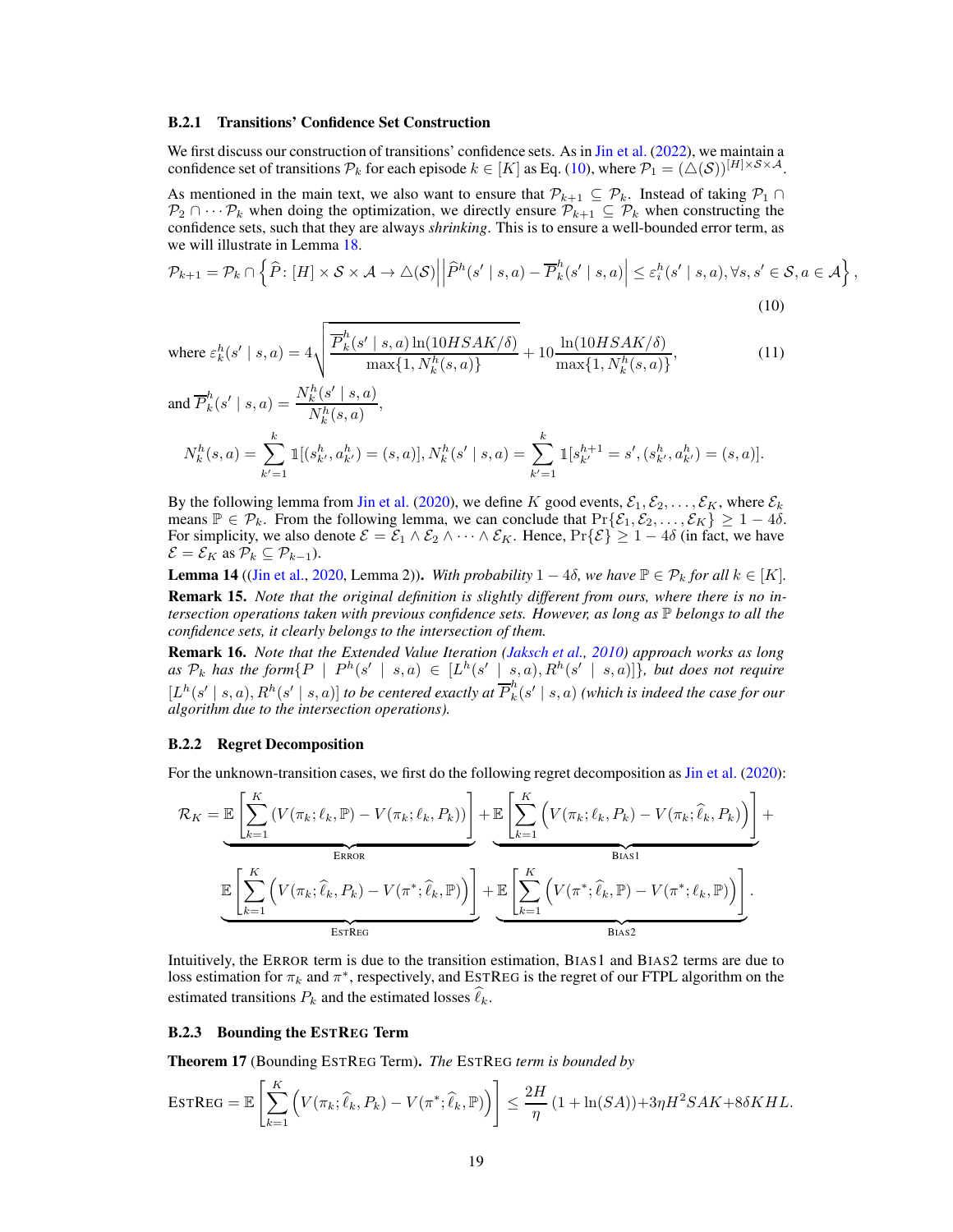#### <span id="page-18-0"></span>B.2.1 Transitions' Confidence Set Construction

We first discuss our construction of transitions' confidence sets. As in [Jin et al.](#page-10-0) [\(2022](#page-10-0)), we maintain a confidence set of transitions  $\mathcal{P}_k$  for each episode  $k \in [K]$  as Eq. [\(10\)](#page-18-2), where  $\mathcal{P}_1 = (\triangle(S))^{[H] \times S \times A}$ .

As mentioned in the main text, we also want to ensure that  $\mathcal{P}_{k+1} \subseteq \mathcal{P}_k$ . Instead of taking  $\mathcal{P}_1 \cap$  $\mathcal{P}_2 \cap \cdots \mathcal{P}_k$  when doing the optimization, we directly ensure  $\mathcal{P}_{k+1} \subseteq \mathcal{P}_k$  when constructing the confidence sets, such that they are always *shrinking*. This is to ensure a well-bounded error term, as we will illustrate in Lemma [18.](#page-19-0)

$$
\mathcal{P}_{k+1} = \mathcal{P}_k \cap \left\{ \widehat{P} \colon [H] \times \mathcal{S} \times \mathcal{A} \to \triangle(\mathcal{S}) \middle| \middle| \widehat{P}^h(s' \mid s, a) - \overline{P}_k^h(s' \mid s, a) \middle| \le \varepsilon_i^h(s' \mid s, a), \forall s, s' \in \mathcal{S}, a \in \mathcal{A} \right\},\tag{10}
$$

<span id="page-18-2"></span>where 
$$
\varepsilon_k^h(s' \mid s, a) = 4 \sqrt{\frac{\overline{P}_k^h(s' \mid s, a) \ln(10HSAK/\delta)}{\max\{1, N_k^h(s, a)\}}} + 10 \frac{\ln(10HSAK/\delta)}{\max\{1, N_k^h(s, a)\}},
$$
 (11)

<span id="page-18-4"></span>and 
$$
\overline{P}_k^h(s' \mid s, a) = \frac{N_k^h(s' \mid s, a)}{N_k^h(s, a)},
$$
  
\n
$$
N_k^h(s, a) = \sum_{k'=1}^k \mathbb{1}[(s_{k'}^h, a_{k'}^h) = (s, a)], N_k^h(s' \mid s, a) = \sum_{k'=1}^k \mathbb{1}[s_{k'}^{h+1} = s', (s_{k'}^h, a_{k'}^h) = (s, a)].
$$

By the following lemma from [Jin et al.](#page-10-3) [\(2020\)](#page-10-3), we define K good events,  $\mathcal{E}_1, \mathcal{E}_2, \ldots, \mathcal{E}_K$ , where  $\mathcal{E}_k$ means  $\mathbb{P} \in \mathcal{P}_k$ . From the following lemma, we can conclude that  $\Pr{\mathcal{E}_1, \mathcal{E}_2, ..., \mathcal{E}_K} \geq 1 - 4\delta$ . For simplicity, we also denote  $\mathcal{E} = \mathcal{E}_1 \wedge \mathcal{E}_2 \wedge \cdots \wedge \mathcal{E}_K$ . Hence,  $\Pr{\{\mathcal{E}\}} \geq 1 - 4\delta$  (in fact, we have  $\mathcal{E} = \mathcal{E}_K$  as  $\mathcal{P}_k \subseteq \mathcal{P}_{k-1}$ ).

**Lemma 14** ([\(Jin et al.,](#page-10-3) [2020,](#page-10-3) Lemma 2)). With probability  $1 - 4\delta$ , we have  $\mathbb{P} \in \mathcal{P}_k$  for all  $k \in [K]$ . Remark 15. *Note that the original definition is slightly different from ours, where there is no intersection operations taken with previous confidence sets. However, as long as* P *belongs to all the confidence sets, it clearly belongs to the intersection of them.*

<span id="page-18-1"></span>Remark 16. *Note that the Extended Value Iteration [\(Jaksch et al.](#page-10-15), [2010\)](#page-10-15) approach works as long* as  $\mathcal{P}_k$  has the form  $\{P \mid P^h(s' \mid s, a) \in [L^h(s' \mid s, a), R^h(s' \mid s, a)]\}$ , but does not require  $[L^h(s' \mid s, a), R^h(s' \mid s, a)]$  to be centered exactly at  $\overline{P}_k^h$  $\int_{k}^{n}(s' \mid s, a)$  (which is indeed the case for our *algorithm due to the intersection operations).*

#### B.2.2 Regret Decomposition

For the unknown-transition cases, we first do the following regret decomposition as [Jin et al.](#page-10-3) [\(2020\)](#page-10-3):

$$
\mathcal{R}_{K} = \underbrace{\mathbb{E}\left[\sum_{k=1}^{K} \left(V(\pi_{k};\ell_{k},\mathbb{P}) - V(\pi_{k};\ell_{k},P_{k})\right)\right]}_{\text{ERKOR}} + \underbrace{\mathbb{E}\left[\sum_{k=1}^{K} \left(V(\pi_{k};\ell_{k},P_{k}) - V(\pi_{k};\widehat{\ell}_{k},P_{k})\right)\right]}_{\text{Bias1}} + \underbrace{\mathbb{E}\left[\sum_{k=1}^{K} \left(V(\pi_{k};\widehat{\ell}_{k},P_{k}) - V(\pi^{*};\widehat{\ell}_{k},P_{k})\right)\right]}_{\text{Bias1}} + \underbrace{\mathbb{E}\left[\sum_{k=1}^{K} \left(V(\pi^{*};\widehat{\ell}_{k},\mathbb{P}) - V(\pi^{*};\ell_{k},\mathbb{P})\right)\right]}_{\text{Bias2}}.
$$

Intuitively, the ERROR term is due to the transition estimation, BIAS1 and BIAS2 terms are due to loss estimation for  $\pi_k$  and  $\pi^*$ , respectively, and ESTREG is the regret of our FTPL algorithm on the estimated transitions  $P_k$  and the estimated losses  $\ell_k$ .

#### <span id="page-18-3"></span>B.2.3 Bounding the ESTREG Term

Theorem 17 (Bounding ESTREG Term). *The* ESTREG *term is bounded by*

$$
\text{ESTREG} = \mathbb{E}\left[\sum_{k=1}^K \left(V(\pi_k; \widehat{\ell}_k, P_k) - V(\pi^*; \widehat{\ell}_k, \mathbb{P})\right)\right] \le \frac{2H}{\eta} \left(1 + \ln(SA)\right) + 3\eta H^2 S A K + 8\delta K H L.
$$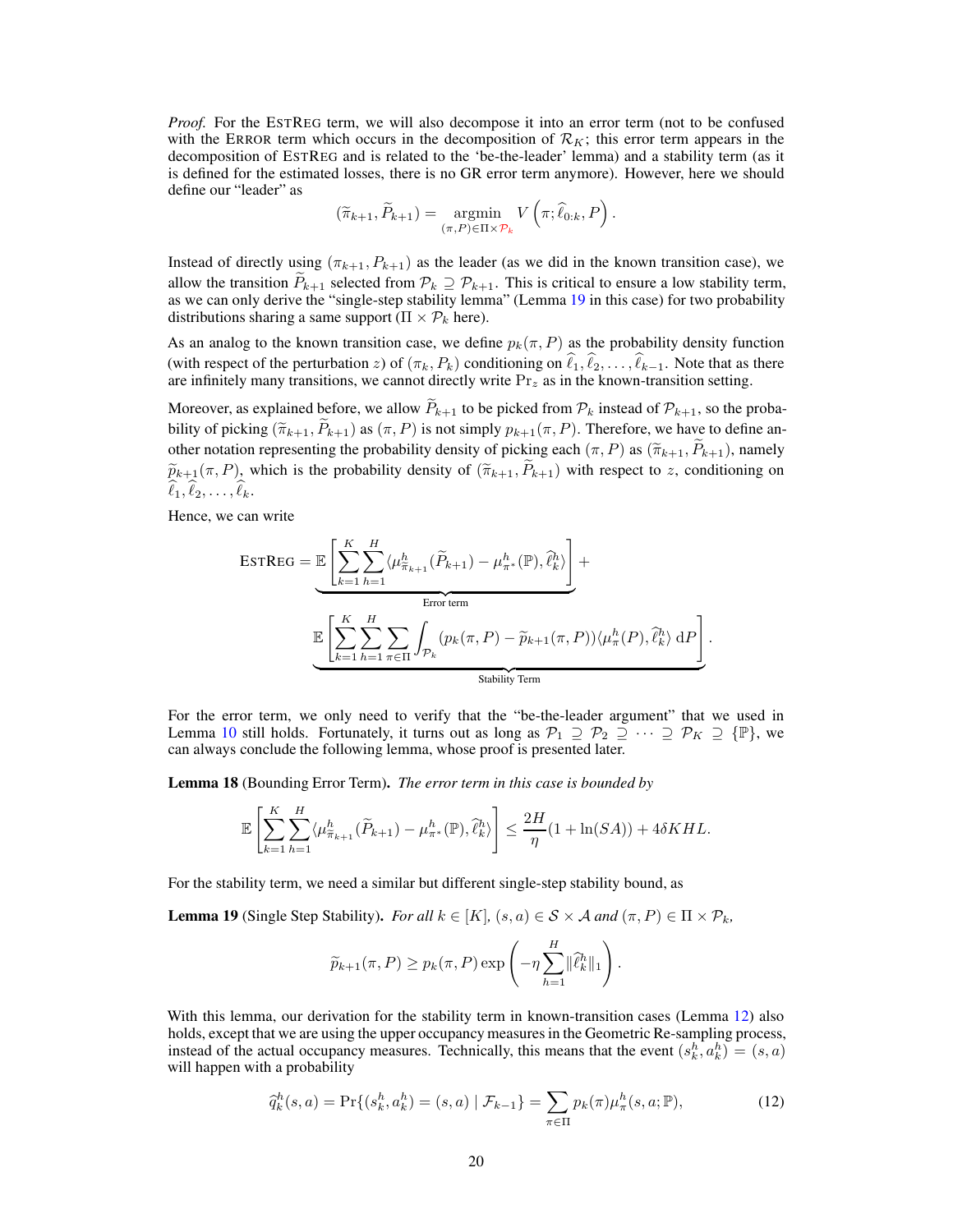*Proof.* For the ESTREG term, we will also decompose it into an error term (not to be confused with the ERROR term which occurs in the decomposition of  $\mathcal{R}_K$ ; this error term appears in the decomposition of ESTREG and is related to the 'be-the-leader' lemma) and a stability term (as it is defined for the estimated losses, there is no GR error term anymore). However, here we should define our "leader" as

$$
(\widetilde{\pi}_{k+1}, \widetilde{P}_{k+1}) = \underset{(\pi, P) \in \Pi \times \mathcal{P}_k}{\operatorname{argmin}} V\left(\pi; \widehat{\ell}_{0:k}, P\right).
$$

Instead of directly using  $(\pi_{k+1}, P_{k+1})$  as the leader (as we did in the known transition case), we allow the transition  $P_{k+1}$  selected from  $\mathcal{P}_k \supseteq \mathcal{P}_{k+1}$ . This is critical to ensure a low stability term, as we can only derive the "single-step stability lemma" (Lemma [19](#page-19-1) in this case) for two probability distributions sharing a same support ( $\Pi \times \mathcal{P}_k$  here).

As an analog to the known transition case, we define  $p_k(\pi, P)$  as the probability density function (with respect of the perturbation z) of  $(\pi_k, P_k)$  conditioning on  $\ell_1, \ell_2, \ldots, \ell_{k-1}$ . Note that as there are infinitely many transitions, we cannot directly write  $Pr_z$  as in the known-transition setting.

Moreover, as explained before, we allow  $\widetilde{P}_{k+1}$  to be picked from  $\mathcal{P}_k$  instead of  $\mathcal{P}_{k+1}$ , so the probability of picking  $(\widetilde{\pi}_{k+1}, P_{k+1})$  as  $(\pi, P)$  is not simply  $p_{k+1}(\pi, P)$ . Therefore, we have to define another notation representing the probability density of picking each  $(\pi, P)$  as  $(\widetilde{\pi}_{k+1}, P_{k+1})$ , namely  $\widetilde{p}_{k+1}(\pi, P)$ , which is the probability density of  $(\widetilde{\pi}_{k+1}, \widetilde{P}_{k+1})$  with respect to z, conditioning on  $\widehat{\ell}_1, \widehat{\ell}_2, \ldots, \widehat{\ell}_k.$ 

Hence, we can write

$$
\text{ESTREG} = \underbrace{\mathbb{E}\left[\sum_{k=1}^{K} \sum_{h=1}^{H} \langle \mu_{\tilde{\pi}_{k+1}}^{h}(\tilde{P}_{k+1}) - \mu_{\pi^*}^{h}(\mathbb{P}), \hat{\ell}_{k}^{h} \rangle \right]}_{\text{Error term}} + \underbrace{\mathbb{E}\left[\sum_{k=1}^{K} \sum_{h=1}^{H} \sum_{\pi \in \Pi} \int_{\mathcal{P}_{k}} (p_{k}(\pi, P) - \tilde{p}_{k+1}(\pi, P)) \langle \mu_{\pi}^{h}(P), \hat{\ell}_{k}^{h} \rangle \, \mathrm{d}P \right]}_{\text{Stability Term}}.
$$

For the error term, we only need to verify that the "be-the-leader argument" that we used in Lemma [10](#page-14-0) still holds. Fortunately, it turns out as long as  $\mathcal{P}_1 \supseteq \mathcal{P}_2 \supseteq \cdots \supseteq \mathcal{P}_K \supseteq {\mathbb{P}}$ , we can always conclude the following lemma, whose proof is presented later.

<span id="page-19-0"></span>Lemma 18 (Bounding Error Term). *The error term in this case is bounded by*

$$
\mathbb{E}\left[\sum_{k=1}^K \sum_{h=1}^H \langle \mu_{\widetilde{\pi}_{k+1}}^h(\widetilde{P}_{k+1}) - \mu_{\pi^*}^h(\mathbb{P}), \widehat{\ell}_k^h \rangle\right] \le \frac{2H}{\eta}(1 + \ln(SA)) + 4\delta KHL.
$$

<span id="page-19-1"></span>For the stability term, we need a similar but different single-step stability bound, as

**Lemma 19** (Single Step Stability). *For all*  $k \in [K]$ ,  $(s, a) \in S \times A$  *and*  $(\pi, P) \in \Pi \times P_k$ ,

$$
\widetilde{p}_{k+1}(\pi, P) \ge p_k(\pi, P) \exp\left(-\eta \sum_{h=1}^H \|\widehat{\ell}_k^h\|_1\right).
$$

With this lemma, our derivation for the stability term in known-transition cases (Lemma [12\)](#page-15-0) also holds, except that we are using the upper occupancy measures in the Geometric Re-sampling process, instead of the actual occupancy measures. Technically, this means that the event  $(s_k^h, a_k^h) = (s, a)$ will happen with a probability

<span id="page-19-2"></span>
$$
\widehat{q}_k^h(s, a) = \Pr\{(s_k^h, a_k^h) = (s, a) \mid \mathcal{F}_{k-1}\} = \sum_{\pi \in \Pi} p_k(\pi) \mu_\pi^h(s, a; \mathbb{P}),\tag{12}
$$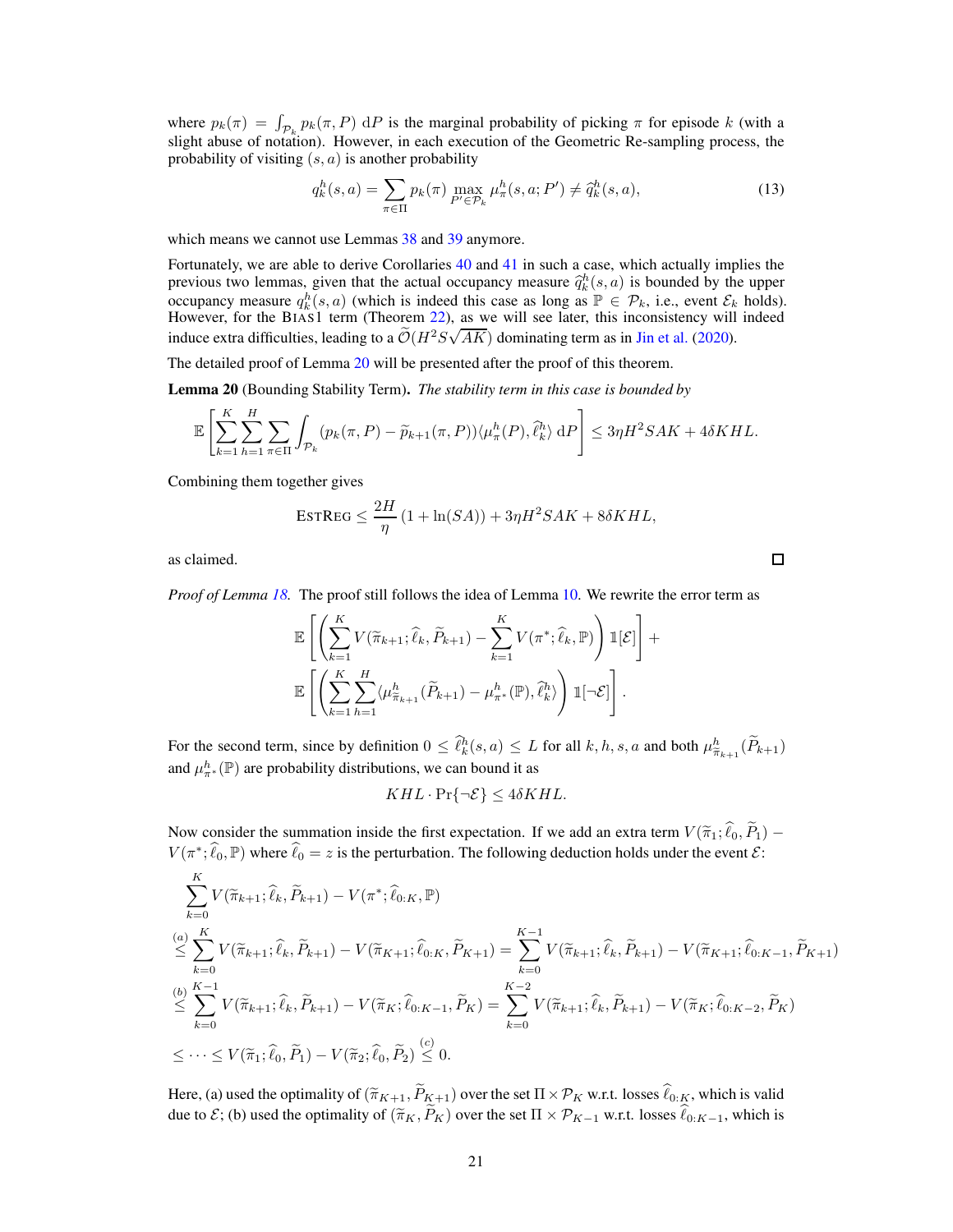where  $p_k(\pi) = \int_{\mathcal{P}_k} p_k(\pi, P) dP$  is the marginal probability of picking  $\pi$  for episode k (with a slight abuse of notation). However, in each execution of the Geometric Re-sampling process, the probability of visiting  $(s, a)$  is another probability

<span id="page-20-1"></span>
$$
q_k^h(s, a) = \sum_{\pi \in \Pi} p_k(\pi) \max_{P' \in \mathcal{P}_k} \mu_\pi^h(s, a; P') \neq \hat{q}_k^h(s, a),
$$
\n(13)

which means we cannot use Lemmas  $38$  and  $39$  anymore.

Fortunately, we are able to derive Corollaries [40](#page-38-4) and [41](#page-39-1) in such a case, which actually implies the previous two lemmas, given that the actual occupancy measure  $\hat{q}_k^h(s, a)$  is bounded by the upper occupancy measure  $q_k^h(s, a)$  (which is indeed this case as long as  $\mathbb{P} \in \mathcal{P}_k$ , i.e., event  $\mathcal{E}_k$  holds).<br>However, for the BIAS1 term (Theorem [22\)](#page-23-0), as we will see later, this inconsistency will indeed induce extra difficulties, leading to a  $\tilde{\mathcal{O}}(H^2S\sqrt{AK})$  dominating term as in [Jin et al.](#page-10-3) [\(2020](#page-10-3)).

<span id="page-20-0"></span>The detailed proof of Lemma [20](#page-20-0) will be presented after the proof of this theorem.

Lemma 20 (Bounding Stability Term). *The stability term in this case is bounded by*

$$
\mathbb{E}\left[\sum_{k=1}^K\sum_{h=1}^H\sum_{\pi\in\Pi}\int_{\mathcal{P}_k}(p_k(\pi,P)-\widetilde{p}_{k+1}(\pi,P))\langle\mu_{\pi}^h(P),\hat{\ell}_k^h\rangle\,\mathrm{d}P\right]\leq 3\eta H^2SAK+4\delta KHL.
$$

Combining them together gives

$$
\text{ESTREG} \le \frac{2H}{\eta} \left( 1 + \ln(SA) \right) + 3\eta H^2 SAK + 8\delta KHL,
$$

as claimed.

*Proof of Lemma [18.](#page-19-0)* The proof still follows the idea of Lemma [10.](#page-14-0) We rewrite the error term as

$$
\mathbb{E}\left[\left(\sum_{k=1}^K V(\widetilde{\pi}_{k+1}; \widehat{\ell}_k, \widetilde{P}_{k+1}) - \sum_{k=1}^K V(\pi^*, \widehat{\ell}_k, \mathbb{P})\right) \mathbb{1}[\mathcal{E}]\right] + \mathbb{E}\left[\left(\sum_{k=1}^K \sum_{h=1}^H \langle \mu_{\widetilde{\pi}_{k+1}}^h (\widetilde{P}_{k+1}) - \mu_{\pi^*}^h(\mathbb{P}), \widehat{\ell}_k^h \rangle\right) \mathbb{1}[\neg \mathcal{E}]\right].
$$

For the second term, since by definition  $0 \leq \hat{\ell}_k^h(s, a) \leq L$  for all  $k, h, s, a$  and both  $\mu_{\tilde{\pi}_{k+1}}^h(\tilde{P}_{k+1})$ and  $\mu^h_{\pi^*}(\mathbb{P})$  are probability distributions, we can bound it as

$$
KHL \cdot \Pr{\neg \mathcal{E}} \le 4\delta KHL.
$$

Now consider the summation inside the first expectation. If we add an extra term  $V(\tilde{\pi}_1; \hat{\ell}_0, \tilde{P}_1)$  –  $V(\pi^*, \hat{\ell}_0, \mathbb{P})$  where  $\hat{\ell}_0 = z$  is the perturbation. The following deduction holds under the event  $\mathcal{E}$ :

$$
\sum_{k=0}^{K} V(\tilde{\pi}_{k+1}; \hat{\ell}_k, \tilde{P}_{k+1}) - V(\pi^*; \hat{\ell}_{0:K}, \mathbb{P})
$$
\n
$$
\leq \sum_{k=0}^{(a)} V(\tilde{\pi}_{k+1}; \hat{\ell}_k, \tilde{P}_{k+1}) - V(\tilde{\pi}_{K+1}; \hat{\ell}_{0:K}, \tilde{P}_{K+1}) = \sum_{k=0}^{K-1} V(\tilde{\pi}_{k+1}; \hat{\ell}_k, \tilde{P}_{k+1}) - V(\tilde{\pi}_{K+1}; \hat{\ell}_{0:K-1}, \tilde{P}_{K+1})
$$
\n
$$
\leq \sum_{k=0}^{(b)} V(\tilde{\pi}_{k+1}; \hat{\ell}_k, \tilde{P}_{k+1}) - V(\tilde{\pi}_K; \hat{\ell}_{0:K-1}, \tilde{P}_K) = \sum_{k=0}^{K-2} V(\tilde{\pi}_{k+1}; \hat{\ell}_k, \tilde{P}_{k+1}) - V(\tilde{\pi}_K; \hat{\ell}_{0:K-2}, \tilde{P}_K)
$$
\n
$$
\leq \cdots \leq V(\tilde{\pi}_1; \hat{\ell}_0, \tilde{P}_1) - V(\tilde{\pi}_2; \hat{\ell}_0, \tilde{P}_2) \leq 0.
$$

Here, (a) used the optimality of  $(\tilde{\pi}_{K+1}, \tilde{P}_{K+1})$  over the set  $\Pi \times \mathcal{P}_K$  w.r.t. losses  $\ell_{0:K}$ , which is valid due to  $\mathcal{E}$ ; (b) used the optimality of  $(\widetilde{\pi}_K, \widetilde{P}_K)$  over the set  $\Pi \times \mathcal{P}_{K-1}$  w.r.t. losses  $\widehat{\ell}_{0:K-1}$ , which is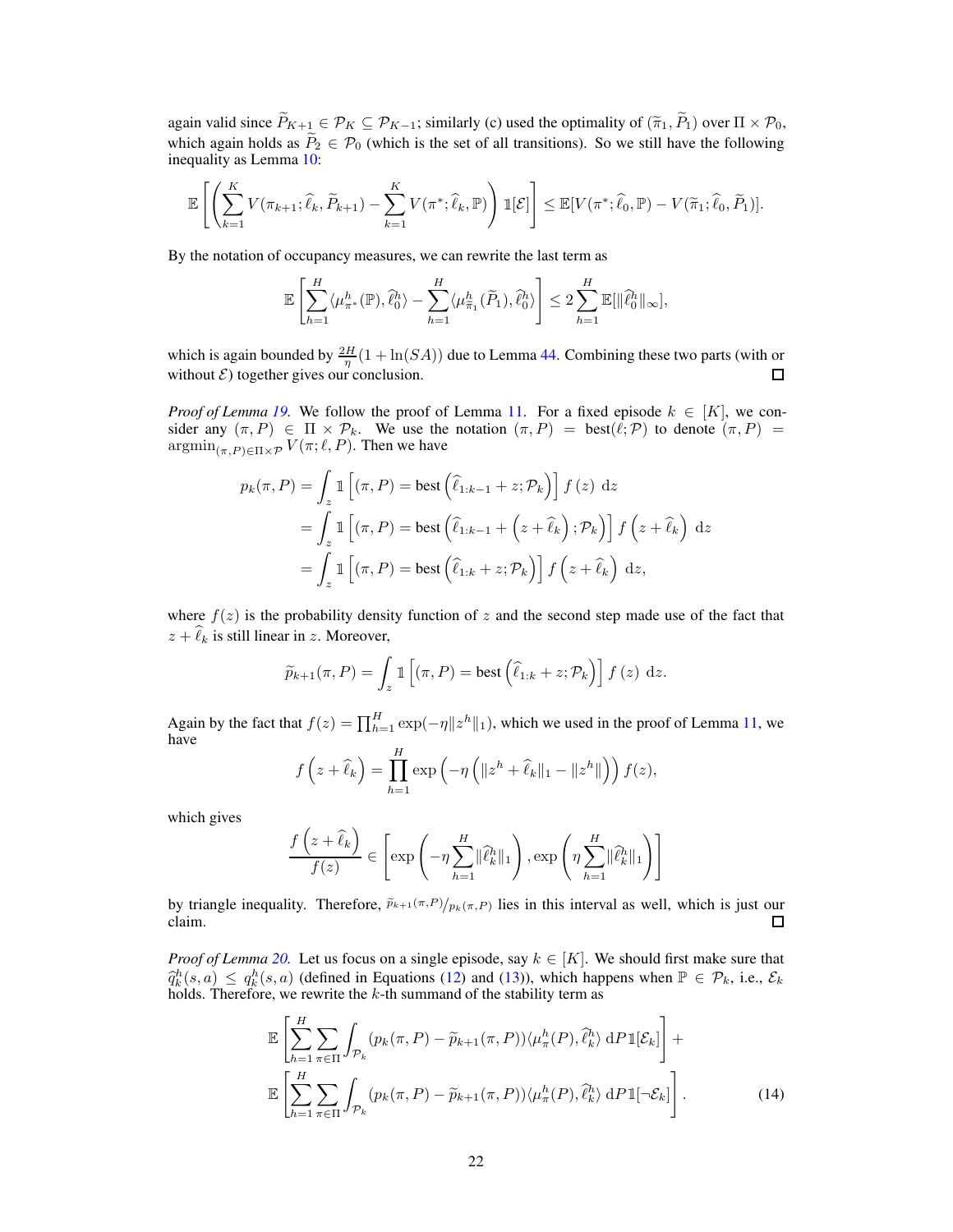again valid since  $\widetilde{P}_{K+1} \in \mathcal{P}_K \subseteq \mathcal{P}_{K-1}$ ; similarly (c) used the optimality of  $(\widetilde{\pi}_1, \widetilde{P}_1)$  over  $\Pi \times \mathcal{P}_0$ , which again holds as  $\widetilde{P}_2 \in \mathcal{P}_0$  (which is the set of all transitions). So we still have the following inequality as Lemma [10:](#page-14-0)

$$
\mathbb{E}\left[\left(\sum_{k=1}^K V(\pi_{k+1};\widehat{\ell}_k,\widetilde{P}_{k+1}) - \sum_{k=1}^K V(\pi^*,\widehat{\ell}_k,\mathbb{P})\right) \mathbb{1}[\mathcal{E}]\right] \leq \mathbb{E}[V(\pi^*,\widehat{\ell}_0,\mathbb{P}) - V(\widetilde{\pi}_1;\widehat{\ell}_0,\widetilde{P}_1)].
$$

By the notation of occupancy measures, we can rewrite the last term as

$$
\mathbb{E}\left[\sum_{h=1}^H \langle \mu_{\pi^*}^h(\mathbb{P}), \hat{\ell}_0^h \rangle - \sum_{h=1}^H \langle \mu_{\tilde{\pi}_1}^h(\tilde{P}_1), \hat{\ell}_0^h \rangle \right] \leq 2 \sum_{h=1}^H \mathbb{E}[\|\hat{\ell}_0^h\|_{\infty}],
$$

which is again bounded by  $\frac{2H}{\eta}(1 + \ln(SA))$  due to Lemma [44.](#page-40-0) Combining these two parts (with or without  $\mathcal{E}$ ) together gives our conclusion.  $\Box$ 

*Proof of Lemma [19.](#page-19-1)* We follow the proof of Lemma [11.](#page-15-1) For a fixed episode  $k \in [K]$ , we consider any  $(\pi, P) \in \Pi \times \mathcal{P}_k$ . We use the notation  $(\pi, P) = \text{best}(\ell; \mathcal{P})$  to denote  $(\pi, P) =$  $\operatorname{argmin}_{(\pi, P) \in \Pi \times \mathcal{P}} V(\pi; \ell, P)$ . Then we have

$$
p_k(\pi, P) = \int_z \mathbb{1} \left[ (\pi, P) = \text{best} \left( \hat{\ell}_{1:k-1} + z; \mathcal{P}_k \right) \right] f(z) dz
$$
  
= 
$$
\int_z \mathbb{1} \left[ (\pi, P) = \text{best} \left( \hat{\ell}_{1:k-1} + \left( z + \hat{\ell}_k \right) ; \mathcal{P}_k \right) \right] f \left( z + \hat{\ell}_k \right) dz
$$
  
= 
$$
\int_z \mathbb{1} \left[ (\pi, P) = \text{best} \left( \hat{\ell}_{1:k} + z; \mathcal{P}_k \right) \right] f \left( z + \hat{\ell}_k \right) dz,
$$

where  $f(z)$  is the probability density function of z and the second step made use of the fact that  $z + \hat{\ell}_k$  is still linear in z. Moreover,

$$
\widetilde{p}_{k+1}(\pi, P) = \int_{z} \mathbb{1}\left[ (\pi, P) = \text{best}\left(\widehat{\ell}_{1:k} + z; \mathcal{P}_{k}\right) \right] f(z) dz.
$$

Again by the fact that  $f(z) = \prod_{h=1}^{H} \exp(-\eta ||z^h||_1)$ , which we used in the proof of Lemma [11,](#page-15-1) we have

$$
f(z+\widehat{\ell}_k) = \prod_{h=1}^H \exp\left(-\eta \left(\|z^h + \widehat{\ell}_k\|_1 - \|z^h\|\right)\right) f(z),
$$

which gives

$$
\frac{f(z+\widehat{\ell}_k)}{f(z)} \in \left[\exp\left(-\eta \sum_{h=1}^H \|\widehat{\ell}_k^h\|_1\right), \exp\left(\eta \sum_{h=1}^H \|\widehat{\ell}_k^h\|_1\right)\right]
$$

by triangle inequality. Therefore,  $\tilde{p}_{k+1}(\pi,P)/p_k(\pi,P)$  lies in this interval as well, which is just our claim.  $\Box$ 

*Proof of Lemma* [20.](#page-20-0) Let us focus on a single episode, say  $k \in [K]$ . We should first make sure that  $\hat{q}_k^h(s, a) \leq q_k^h(s, a)$  (defined in Equations [\(12\)](#page-19-2) and [\(13\)](#page-20-1)), which happens when  $\mathbb{P} \in \mathcal{P}_k$ , i.e.,  $\mathcal{E}_k$  holds. Therefore, we rewrite the k-th summand of the stability term as

<span id="page-21-0"></span>
$$
\mathbb{E}\left[\sum_{h=1}^{H}\sum_{\pi\in\Pi}\int_{\mathcal{P}_{k}}(p_{k}(\pi, P)-\widetilde{p}_{k+1}(\pi, P))\langle\mu_{\pi}^{h}(P),\widehat{\ell}_{k}^{h}\rangle \,dP1[\mathcal{E}_{k}]\right]+\n\mathbb{E}\left[\sum_{h=1}^{H}\sum_{\pi\in\Pi}\int_{\mathcal{P}_{k}}(p_{k}(\pi, P)-\widetilde{p}_{k+1}(\pi, P))\langle\mu_{\pi}^{h}(P),\widehat{\ell}_{k}^{h}\rangle \,dP1[\neg\mathcal{E}_{k}]\right].
$$
\n(14)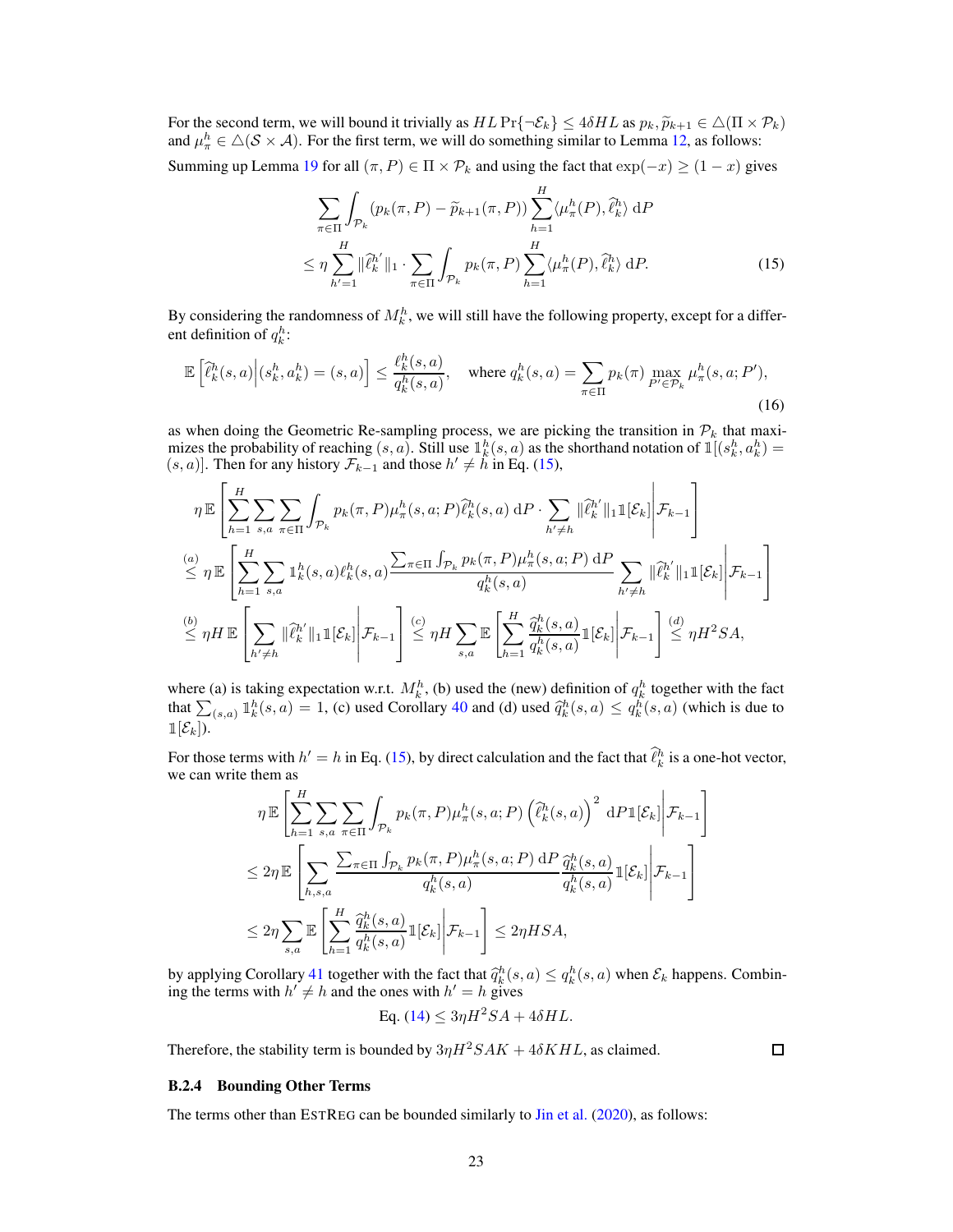For the second term, we will bound it trivially as  $HL \Pr{\neg \mathcal{E}_k} \le 4\delta HL$  as  $p_k, \widetilde{p}_{k+1} \in \triangle(\Pi \times \mathcal{P}_k)$ <br>and  $\mu_{\pi}^h \in \triangle(\mathcal{S} \times \mathcal{A})$ . For the first term, we will do something similar to Lemma [12,](#page-15-0) as follows:

Summing up Lemma [19](#page-19-1) for all  $(\pi, P) \in \Pi \times \mathcal{P}_k$  and using the fact that  $\exp(-x) \ge (1-x)$  gives

<span id="page-22-0"></span>
$$
\sum_{\pi \in \Pi} \int_{\mathcal{P}_k} (p_k(\pi, P) - \widetilde{p}_{k+1}(\pi, P)) \sum_{h=1}^H \langle \mu_{\pi}^h(P), \widehat{\ell}_k^h \rangle \, dP
$$
  

$$
\leq \eta \sum_{h'=1}^H \|\widehat{\ell}_k^{h'}\|_1 \cdot \sum_{\pi \in \Pi} \int_{\mathcal{P}_k} p_k(\pi, P) \sum_{h=1}^H \langle \mu_{\pi}^h(P), \widehat{\ell}_k^h \rangle \, dP.
$$
 (15)

By considering the randomness of  $M_k^h$ , we will still have the following property, except for a different definition of  $q_k^h$ :

$$
\mathbb{E}\left[\hat{\ell}_k^h(s,a)\Big|(s_k^h,a_k^h)=(s,a)\right] \le \frac{\ell_k^h(s,a)}{q_k^h(s,a)}, \quad \text{where } q_k^h(s,a) = \sum_{\pi \in \Pi} p_k(\pi) \max_{P' \in \mathcal{P}_k} \mu_\pi^h(s,a;P'),\tag{16}
$$

as when doing the Geometric Re-sampling process, we are picking the transition in  $\mathcal{P}_k$  that maximizes the probability of reaching  $(s, a)$ . Still use  $\mathbb{I}_k^h(s, a)$  as the shorthand notation of  $\mathbb{I}[(s_k^h, a_k^h) =$  $(s, a)$ . Then for any history  $\mathcal{F}_{k-1}$  and those  $h' \neq h$  in Eq. [\(15\)](#page-22-0),

$$
\eta \mathbb{E}\left[\sum_{h=1}^{H} \sum_{s,a} \sum_{\pi \in \Pi} \int_{\mathcal{P}_k} p_k(\pi, P) \mu_{\pi}^h(s, a; P) \hat{\ell}_k^h(s, a) dP \cdot \sum_{h' \neq h} ||\hat{\ell}_k^h'||_1 \mathbb{1}[\mathcal{E}_k] \Bigg| \mathcal{F}_{k-1} \right]
$$
\n
$$
\stackrel{(a)}{\leq} \eta \mathbb{E}\left[\sum_{h=1}^{H} \sum_{s,a} \mathbb{1}_k^h(s,a) \ell_k^h(s,a) \frac{\sum_{\pi \in \Pi} \int_{\mathcal{P}_k} p_k(\pi, P) \mu_{\pi}^h(s,a; P) dP}{q_k^h(s,a)} \sum_{h' \neq h} ||\hat{\ell}_k^h'||_1 \mathbb{1}[\mathcal{E}_k] \Bigg| \mathcal{F}_{k-1} \right]
$$
\n
$$
\stackrel{(b)}{\leq} \eta H \mathbb{E}\left[\sum_{h' \neq h} ||\hat{\ell}_k^h||_1 \mathbb{1}[\mathcal{E}_k] \Bigg| \mathcal{F}_{k-1}\right] \stackrel{(c)}{\leq} \eta H \sum_{s,a} \mathbb{E}\left[\sum_{h=1}^{H} \frac{\hat{q}_k^h(s,a)}{q_k^h(s,a)} \mathbb{1}[\mathcal{E}_k] \Bigg| \mathcal{F}_{k-1}\right] \stackrel{(d)}{\leq} \eta H^2 SA,
$$

where (a) is taking expectation w.r.t.  $M_k^h$ , (b) used the (new) definition of  $q_k^h$  together with the fact that  $\sum_{(s,a)} \mathbb{1}_k^h(s,a) = 1$ , (c) used Corollary [40](#page-38-4) and (d) used  $\hat{q}_k^h(s,a) \leq q_k^h(s,a)$  (which is due to  $\mathbb{1}[\mathcal{E}_k]$ .

For those terms with  $h' = h$  in Eq. [\(15\)](#page-22-0), by direct calculation and the fact that  $\hat{\ell}_k^h$  is a one-hot vector, we can write them as

$$
\eta \mathbb{E}\left[\sum_{h=1}^{H} \sum_{s,a} \sum_{\pi \in \Pi} \int_{\mathcal{P}_k} p_k(\pi, P) \mu_{\pi}^h(s,a; P) \left(\hat{\ell}_k^h(s,a)\right)^2 dP \mathbb{1}[\mathcal{E}_k]\middle|\mathcal{F}_{k-1}\right]
$$
  

$$
\leq 2\eta \mathbb{E}\left[\sum_{h,s,a} \frac{\sum_{\pi \in \Pi} \int_{\mathcal{P}_k} p_k(\pi, P) \mu_{\pi}^h(s,a; P) dP}{q_k^h(s,a)} \frac{\hat{q}_k^h(s,a)}{q_k^h(s,a)} \mathbb{1}[\mathcal{E}_k]\middle|\mathcal{F}_{k-1}\right]
$$
  

$$
\leq 2\eta \sum_{s,a} \mathbb{E}\left[\sum_{h=1}^{H} \frac{\hat{q}_k^h(s,a)}{q_k^h(s,a)} \mathbb{1}[\mathcal{E}_k]\middle|\mathcal{F}_{k-1}\right] \leq 2\eta HSA,
$$

by applying Corollary [41](#page-39-1) together with the fact that  $\hat{q}_k^h(s, a) \le q_k^h(s, a)$  when  $\mathcal{E}_k$  happens. Combining the terms with  $h' \neq h$  and the ones with  $h' = h$  gives

$$
Eq. (14) \leq 3\eta H^2SA + 4\delta HL.
$$

Therefore, the stability term is bounded by  $3\eta H^2 S A K + 4\delta K H L$ , as claimed.

 $\Box$ 

## B.2.4 Bounding Other Terms

<span id="page-22-1"></span>The terms other than ESTREG can be bounded similarly to [Jin et al.](#page-10-3) [\(2020\)](#page-10-3), as follows: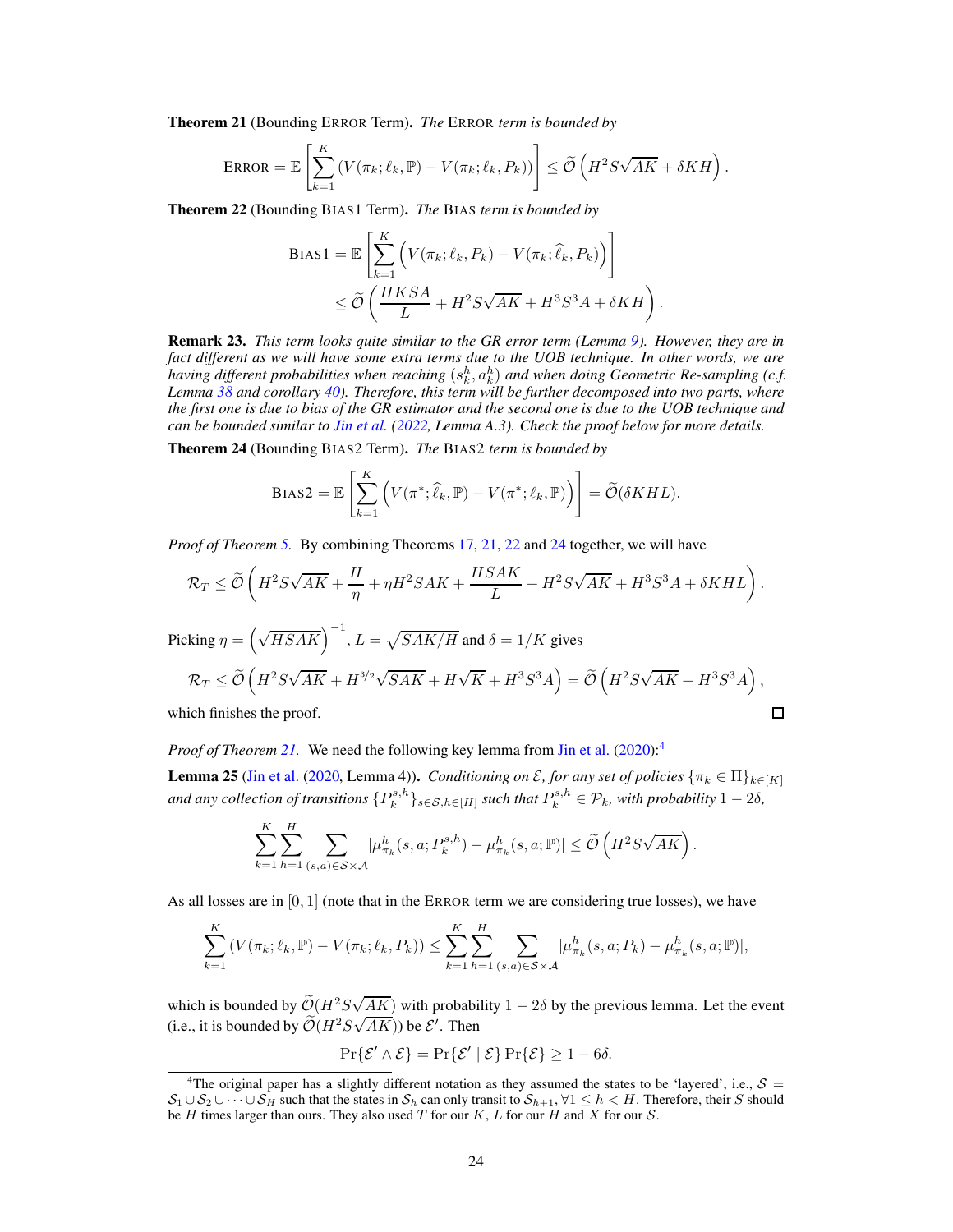Theorem 21 (Bounding ERROR Term). *The* ERROR *term is bounded by*

$$
\text{ERROR} = \mathbb{E}\left[\sum_{k=1}^K \left(V(\pi_k; \ell_k, \mathbb{P}) - V(\pi_k; \ell_k, P_k)\right)\right] \le \widetilde{\mathcal{O}}\left(H^2 S \sqrt{AK} + \delta KH\right).
$$

<span id="page-23-0"></span>Theorem 22 (Bounding BIAS1 Term). *The* BIAS *term is bounded by*

$$
BIAS1 = \mathbb{E}\left[\sum_{k=1}^{K} \left(V(\pi_k; \ell_k, P_k) - V(\pi_k; \hat{\ell}_k, P_k)\right)\right]
$$
  

$$
\leq \widetilde{O}\left(\frac{HKSA}{L} + H^2S\sqrt{AK} + H^3S^3A + \delta KH\right).
$$

Remark 23. *This term looks quite similar to the GR error term (Lemma [9\)](#page-13-3). However, they are in fact different as we will have some extra terms due to the UOB technique. In other words, we are* having different probabilities when reaching  $(s_k^h, a_k^h)$  and when doing Geometric Re-sampling (c.f. *Lemma [38](#page-38-2) and corollary [40\)](#page-38-4). Therefore, this term will be further decomposed into two parts, where the first one is due to bias of the GR estimator and the second one is due to the UOB technique and can be bounded similar to [Jin et al.](#page-10-0) [\(2022,](#page-10-0) Lemma A.3). Check the proof below for more details.*

<span id="page-23-1"></span>Theorem 24 (Bounding BIAS2 Term). *The* BIAS2 *term is bounded by*

$$
\text{Bias2} = \mathbb{E}\left[\sum_{k=1}^K \left(V(\pi^*, \hat{\ell}_k, \mathbb{P}) - V(\pi^*, \ell_k, \mathbb{P})\right)\right] = \widetilde{\mathcal{O}}(\delta KHL).
$$

*Proof of Theorem [5.](#page-7-0)* By combining Theorems [17,](#page-18-3) [21,](#page-22-1) [22](#page-23-0) and [24](#page-23-1) together, we will have

$$
\mathcal{R}_T \leq \tilde{\mathcal{O}}\left(H^2 S \sqrt{AK} + \frac{H}{\eta} + \eta H^2 S AK + \frac{HSAK}{L} + H^2 S \sqrt{AK} + H^3 S^3 A + \delta KHL\right).
$$
  
Picking  $\eta = \left(\sqrt{HSAK}\right)^{-1}$ ,  $L = \sqrt{SAK/H}$  and  $\delta = 1/K$  gives  

$$
\mathcal{R}_T \leq \tilde{\mathcal{O}}\left(H^2 S \sqrt{AK} + H^{3/2} \sqrt{SAK} + H \sqrt{K} + H^3 S^3 A\right) = \tilde{\mathcal{O}}\left(H^2 S \sqrt{AK} + H^3 S^3 A\right),
$$
which finishes the proof.

which finishes the proof.

*Proof of Theorem [21.](#page-22-1)* We need the following key lemma from [Jin et al.](#page-10-3) [\(2020\)](#page-10-3):[4](#page-23-2)

**Lemma 25** [\(Jin et al.](#page-10-3) [\(2020](#page-10-3), Lemma 4)). *Conditioning on*  $\mathcal{E}$ , for any set of policies  $\{\pi_k \in \Pi\}_{k \in [K]}$ and any collection of transitions  $\{P_k^{s,h}\}_{s\in\mathcal{S},h\in[H]}$  such that  $P_k^{s,h}\in\mathcal{P}_k$ , with probability  $1-2\delta$ ,

$$
\sum_{k=1}^K \sum_{h=1}^H \sum_{(s,a)\in S\times\mathcal{A}} |\mu^h_{\pi_k}(s,a; P^{s,h}_k) - \mu^h_{\pi_k}(s,a; \mathbb{P})| \leq \widetilde{\mathcal{O}}\left(H^2 S \sqrt{AK}\right).
$$

As all losses are in  $[0, 1]$  (note that in the ERROR term we are considering true losses), we have

$$
\sum_{k=1}^{K} (V(\pi_k; \ell_k, \mathbb{P}) - V(\pi_k; \ell_k, P_k)) \leq \sum_{k=1}^{K} \sum_{h=1}^{H} \sum_{(s,a) \in \mathcal{S} \times \mathcal{A}} |\mu_{\pi_k}^h(s,a; P_k) - \mu_{\pi_k}^h(s,a; \mathbb{P})|,
$$

which is bounded by  $\tilde{\mathcal{O}}(H^2 S \sqrt{AK})$  with probability  $1 - 2\delta$  by the previous lemma. Let the event (i.e., it is bounded by  $\widetilde{\mathcal{O}}(H^2S\sqrt{AK})$ ) be  $\mathcal{E}'$ . Then

$$
\Pr\{\mathcal{E}' \wedge \mathcal{E}\} = \Pr\{\mathcal{E}' \mid \mathcal{E}\} \Pr\{\mathcal{E}\} \ge 1 - 6\delta.
$$

<span id="page-23-2"></span><sup>&</sup>lt;sup>4</sup>The original paper has a slightly different notation as they assumed the states to be 'layered', i.e.,  $S =$  $S_1 \cup S_2 \cup \cdots \cup S_H$  such that the states in  $S_h$  can only transit to  $S_{h+1}$ ,  $\forall 1 \leq h \leq H$ . Therefore, their S should be  $H$  times larger than ours. They also used  $T$  for our  $K$ ,  $L$  for our  $H$  and  $X$  for our  $S$ .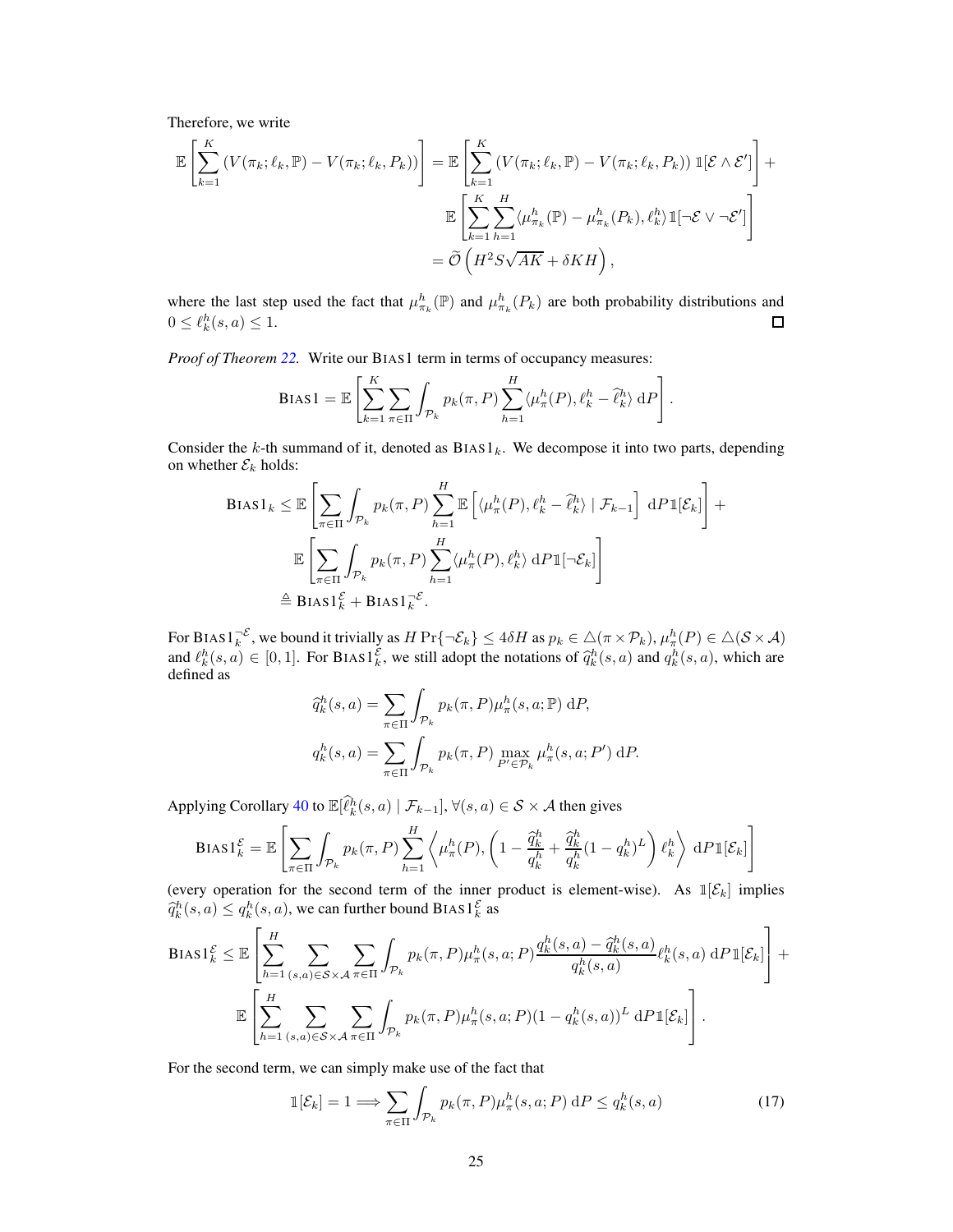Therefore, we write

$$
\mathbb{E}\left[\sum_{k=1}^{K} \left(V(\pi_k; \ell_k, \mathbb{P}) - V(\pi_k; \ell_k, P_k)\right)\right] = \mathbb{E}\left[\sum_{k=1}^{K} \left(V(\pi_k; \ell_k, \mathbb{P}) - V(\pi_k; \ell_k, P_k)\right) \mathbb{1}[\mathcal{E} \wedge \mathcal{E}']\right] + \mathbb{E}\left[\sum_{k=1}^{K} \sum_{h=1}^{H} \langle\mu_{\pi_k}^h(\mathbb{P}) - \mu_{\pi_k}^h(P_k), \ell_k^h\rangle \mathbb{1}[\neg\mathcal{E} \vee \neg\mathcal{E}']\right] = \widetilde{O}\left(H^2 S\sqrt{AK} + \delta KH\right),
$$

where the last step used the fact that  $\mu_{\pi_k}^h(\mathbb{P})$  and  $\mu_{\pi_k}^h(P_k)$  are both probability distributions and  $0 \leq \ell_k^h(s, a) \leq 1.$  $\Box$ 

*Proof of Theorem [22.](#page-23-0)* Write our BIAS1 term in terms of occupancy measures:

$$
\text{BIAS1} = \mathbb{E}\left[\sum_{k=1}^{K} \sum_{\pi \in \Pi} \int_{\mathcal{P}_k} p_k(\pi, P) \sum_{h=1}^{H} \langle \mu_{\pi}^h(P), \ell_k^h - \hat{\ell}_k^h \rangle \, \mathrm{d}P\right].
$$

Consider the k-th summand of it, denoted as  $BIAS1_k$ . We decompose it into two parts, depending on whether  $\mathcal{E}_k$  holds:

$$
\begin{split} \text{Bias1}_{k} &\leq \mathbb{E} \left[ \sum_{\pi \in \Pi} \int_{\mathcal{P}_k} p_k(\pi, P) \sum_{h=1}^{H} \mathbb{E} \left[ \langle \mu_{\pi}^h(P), \ell_k^h - \hat{\ell}_k^h \rangle \mid \mathcal{F}_{k-1} \right] \, \mathrm{d}P \mathbb{1}[\mathcal{E}_k] \right] + \\ &\mathbb{E} \left[ \sum_{\pi \in \Pi} \int_{\mathcal{P}_k} p_k(\pi, P) \sum_{h=1}^{H} \langle \mu_{\pi}^h(P), \ell_k^h \rangle \, \mathrm{d}P \mathbb{1}[\neg \mathcal{E}_k] \right] \\ &\triangleq \text{Bias1}_{k}^{\mathcal{E}} + \text{Bias1}_{k}^{\mathcal{E}}. \end{split}
$$

For BIAS $1_k^{-\mathcal{E}}$ , we bound it trivially as  $H \Pr{\neg \mathcal{E}_k} \le 4\delta H$  as  $p_k \in \triangle(\pi \times \mathcal{P}_k)$ ,  $\mu_\pi^h(P) \in \triangle(\mathcal{S} \times \mathcal{A})$ and  $\ell_k^h(s, a) \in [0, 1]$ . For BIAS1<sup>E</sup>, we still adopt the notations of  $\hat{q}_k^h(s, a)$  and  $q_k^h(s, a)$ , which are defined as

$$
\begin{aligned}\n\widehat{q}_k^h(s, a) &= \sum_{\pi \in \Pi} \int_{\mathcal{P}_k} p_k(\pi, P) \mu_\pi^h(s, a; \mathbb{P}) \, dP, \\
q_k^h(s, a) &= \sum_{\pi \in \Pi} \int_{\mathcal{P}_k} p_k(\pi, P) \max_{P' \in \mathcal{P}_k} \mu_\pi^h(s, a; P') \, dP.\n\end{aligned}
$$

Applying Corollary [40](#page-38-4) to  $\mathbb{E}[\hat{\ell}_k^h(s, a) | \mathcal{F}_{k-1}], \forall (s, a) \in \mathcal{S} \times \mathcal{A}$  then gives

$$
\text{Bias1}_{k}^{\mathcal{E}} = \mathbb{E}\left[\sum_{\pi \in \Pi} \int_{\mathcal{P}_k} p_k(\pi, P) \sum_{h=1}^{H} \left\langle \mu_{\pi}^{h}(P), \left(1 - \frac{\hat{q}_k^h}{q_k^h} + \frac{\hat{q}_k^h}{q_k^h} (1 - q_k^h)^L \right) \ell_k^h \right\rangle \, \mathrm{d}P \mathbb{1}[\mathcal{E}_k] \right]
$$

(every operation for the second term of the inner product is element-wise). As  $\mathbb{1}[\mathcal{E}_k]$  implies  $\widehat{q}_k^h(s,a) \le q_k^h(s,a)$ , we can further bound BIAS  $1_k^{\mathcal{E}}$  as

$$
\text{BIAS1}_{k}^{\mathcal{E}} \leq \mathbb{E}\left[\sum_{h=1}^{H} \sum_{(s,a)\in\mathcal{S}\times\mathcal{A}} \sum_{\pi\in\Pi} \int_{\mathcal{P}_{k}} p_{k}(\pi, P) \mu_{\pi}^{h}(s, a; P) \frac{q_{k}^{h}(s, a) - \hat{q}_{k}^{h}(s, a)}{q_{k}^{h}(s, a)} \ell_{k}^{h}(s, a) \, dP1[\mathcal{E}_{k}]\right] + \mathbb{E}\left[\sum_{h=1}^{H} \sum_{(s,a)\in\mathcal{S}\times\mathcal{A}} \sum_{\pi\in\Pi} \int_{\mathcal{P}_{k}} p_{k}(\pi, P) \mu_{\pi}^{h}(s, a; P)(1 - q_{k}^{h}(s, a))^{L} \, dP1[\mathcal{E}_{k}]\right].
$$

For the second term, we can simply make use of the fact that

<span id="page-24-0"></span>
$$
\mathbb{1}[\mathcal{E}_k] = 1 \Longrightarrow \sum_{\pi \in \Pi} \int_{\mathcal{P}_k} p_k(\pi, P) \mu_\pi^h(s, a; P) \, dP \le q_k^h(s, a)
$$
\n<sup>(17)</sup>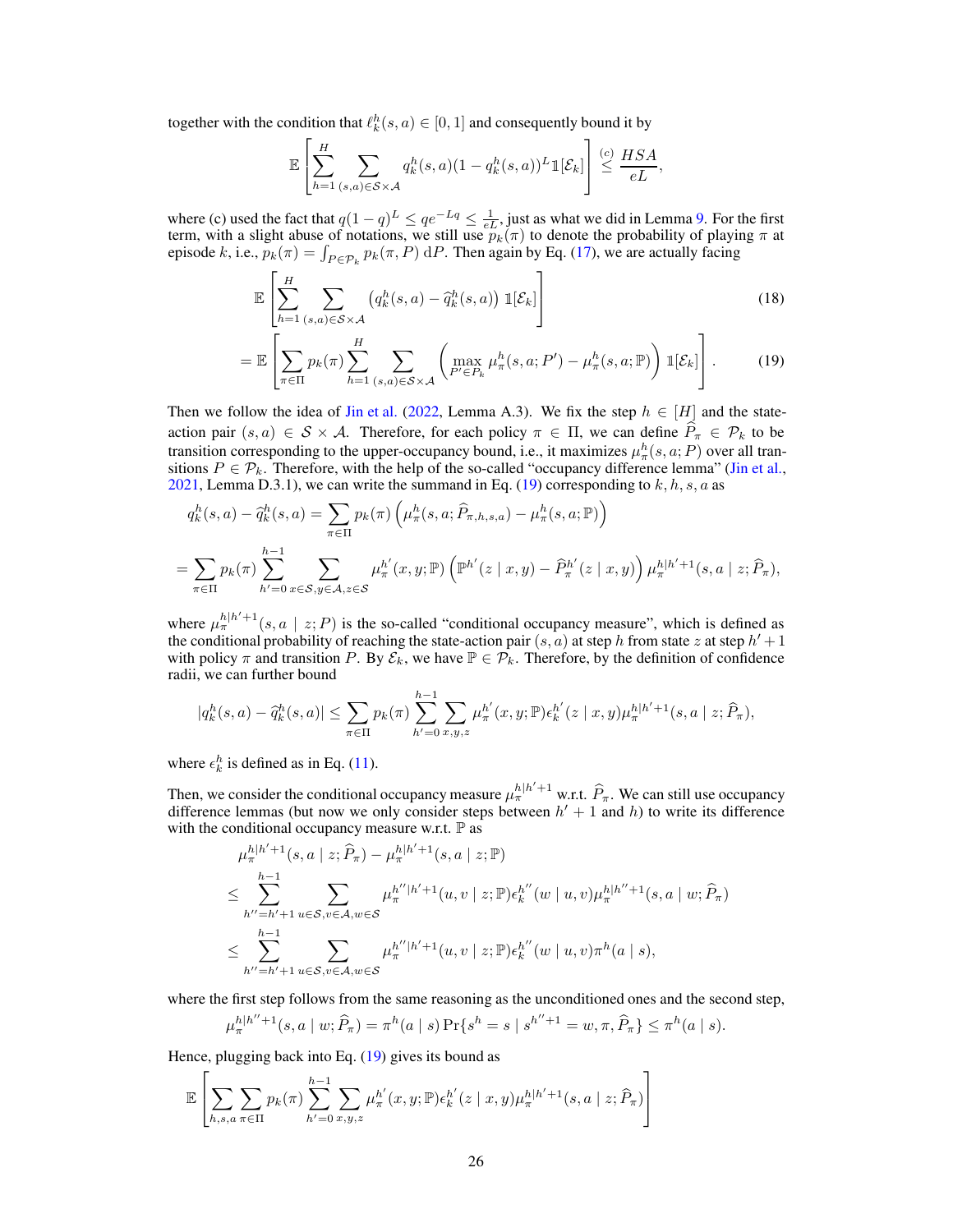together with the condition that  $\ell_k^h(s, a) \in [0, 1]$  and consequently bound it by

$$
\mathbb{E}\left[\sum_{h=1}^H \sum_{(s,a)\in\mathcal{S}\times\mathcal{A}} q_k^h(s,a)(1-q_k^h(s,a))^L \mathbb{1}[\mathcal{E}_k]\right] \stackrel{(c)}{\leq} \frac{HSA}{eL},
$$

where (c) used the fact that  $q(1-q)^L \le qe^{-Lq} \le \frac{1}{eL}$ , just as what we did in Lemma [9.](#page-13-3) For the first term, with a slight abuse of notations, we still use  $p_k(\pi)$  to denote the probability of playing  $\pi$  at episode k, i.e.,  $p_k(\pi) = \int_{P \in \mathcal{P}_k} p_k(\pi, P) dP$ . Then again by Eq. [\(17\)](#page-24-0), we are actually facing

<span id="page-25-0"></span>
$$
\mathbb{E}\left[\sum_{h=1}^{H}\sum_{(s,a)\in\mathcal{S}\times\mathcal{A}}\left(q_k^h(s,a)-\hat{q}_k^h(s,a)\right)\mathbb{1}[\mathcal{E}_k]\right]
$$
\n(18)

$$
= \mathbb{E}\left[\sum_{\pi \in \Pi} p_k(\pi) \sum_{h=1}^H \sum_{(s,a) \in \mathcal{S} \times \mathcal{A}} \left( \max_{P' \in P_k} \mu_\pi^h(s,a; P') - \mu_\pi^h(s,a; \mathbb{P}) \right) \mathbb{1}[\mathcal{E}_k] \right].
$$
 (19)

Then we follow the idea of [Jin et al.](#page-10-0) [\(2022](#page-10-0), Lemma A.3). We fix the step  $h \in [H]$  and the stateaction pair  $(s, a) \in S \times A$ . Therefore, for each policy  $\pi \in \Pi$ , we can define  $\hat{P}_{\pi} \in \mathcal{P}_k$  to be transition corresponding to the upper-occupancy bound, i.e., it maximizes  $\mu^h_\pi(s, a; P)$  over all transitions  $P \in \mathcal{P}_k$ . Therefore, with the help of the so-called "occupancy difference lemma" [\(Jin et al.,](#page-10-4) [2021,](#page-10-4) Lemma D.3.1), we can write the summand in Eq. [\(19\)](#page-25-0) corresponding to  $k, h, s, a$  as

$$
q_k^h(s, a) - \hat{q}_k^h(s, a) = \sum_{\pi \in \Pi} p_k(\pi) \left( \mu_\pi^h(s, a; \hat{P}_{\pi, h, s, a}) - \mu_\pi^h(s, a; \mathbb{P}) \right)
$$
  
= 
$$
\sum_{\pi \in \Pi} p_k(\pi) \sum_{h'=0}^{h-1} \sum_{x \in S, y \in A, z \in S} \mu_\pi^{h'}(x, y; \mathbb{P}) \left( \mathbb{P}^{h'}(z \mid x, y) - \hat{P}_{\pi}^{h'}(z \mid x, y) \right) \mu_\pi^{h|h'+1}(s, a \mid z; \hat{P}_{\pi}),
$$

where  $\mu_{\pi}^{h|h'+1}(s, a \mid z; P)$  is the so-called "conditional occupancy measure", which is defined as the conditional probability of reaching the state-action pair  $(s, a)$  at step h from state z at step  $h' + 1$ with policy  $\pi$  and transition P. By  $\mathcal{E}_k$ , we have  $\mathbb{P} \in \mathcal{P}_k$ . Therefore, by the definition of confidence radii, we can further bound

$$
|q_k^h(s, a) - \hat{q}_k^h(s, a)| \leq \sum_{\pi \in \Pi} p_k(\pi) \sum_{h'=0}^{h-1} \sum_{x, y, z} \mu_{\pi}^{h'}(x, y; \mathbb{P}) \epsilon_k^{h'}(z | x, y) \mu_{\pi}^{h|h'+1}(s, a | z; \hat{P}_{\pi}),
$$

where  $\epsilon_k^h$  is defined as in Eq. [\(11\)](#page-18-4).

Then, we consider the conditional occupancy measure  $\mu_{\pi}^{h|h'+1}$  w.r.t.  $\widehat{P}_{\pi}$ . We can still use occupancy difference lemmas (but now we only consider steps between  $h' + 1$  and  $h$ ) to write its difference with the conditional occupancy measure w.r.t.  $\mathbb P$  as

$$
\mu_{\pi}^{h|h'+1}(s, a | z; \hat{P}_{\pi}) - \mu_{\pi}^{h|h'+1}(s, a | z; \mathbb{P})
$$
\n
$$
\leq \sum_{h''=h'+1}^{h-1} \sum_{u \in S, v \in A, w \in S} \mu_{\pi}^{h''|h'+1}(u, v | z; \mathbb{P}) \epsilon_{k}^{h''}(w | u, v) \mu_{\pi}^{h|h''+1}(s, a | w; \hat{P}_{\pi})
$$
\n
$$
\leq \sum_{h''=h'+1}^{h-1} \sum_{u \in S, v \in A, w \in S} \mu_{\pi}^{h''|h'+1}(u, v | z; \mathbb{P}) \epsilon_{k}^{h''}(w | u, v) \pi^{h}(a | s),
$$

where the first step follows from the same reasoning as the unconditioned ones and the second step,

$$
\mu_{\pi}^{h|h''+1}(s, a \mid w; \widehat{P}_{\pi}) = \pi^h(a \mid s) \Pr\{s^h = s \mid s^{h''+1} = w, \pi, \widehat{P}_{\pi}\} \leq \pi^h(a \mid s).
$$

Hence, plugging back into Eq. [\(19\)](#page-25-0) gives its bound as

$$
\mathbb{E}\left[\sum_{h,s,a}\sum_{\pi\in\Pi}p_k(\pi)\sum_{h'=0}^{h-1}\sum_{x,y,z}\mu_\pi^{h'}(x,y;\mathbb{P})\epsilon_k^{h'}(z\mid x,y)\mu_\pi^{h|h'+1}(s,a\mid z;\widehat{P}_\pi)\right]
$$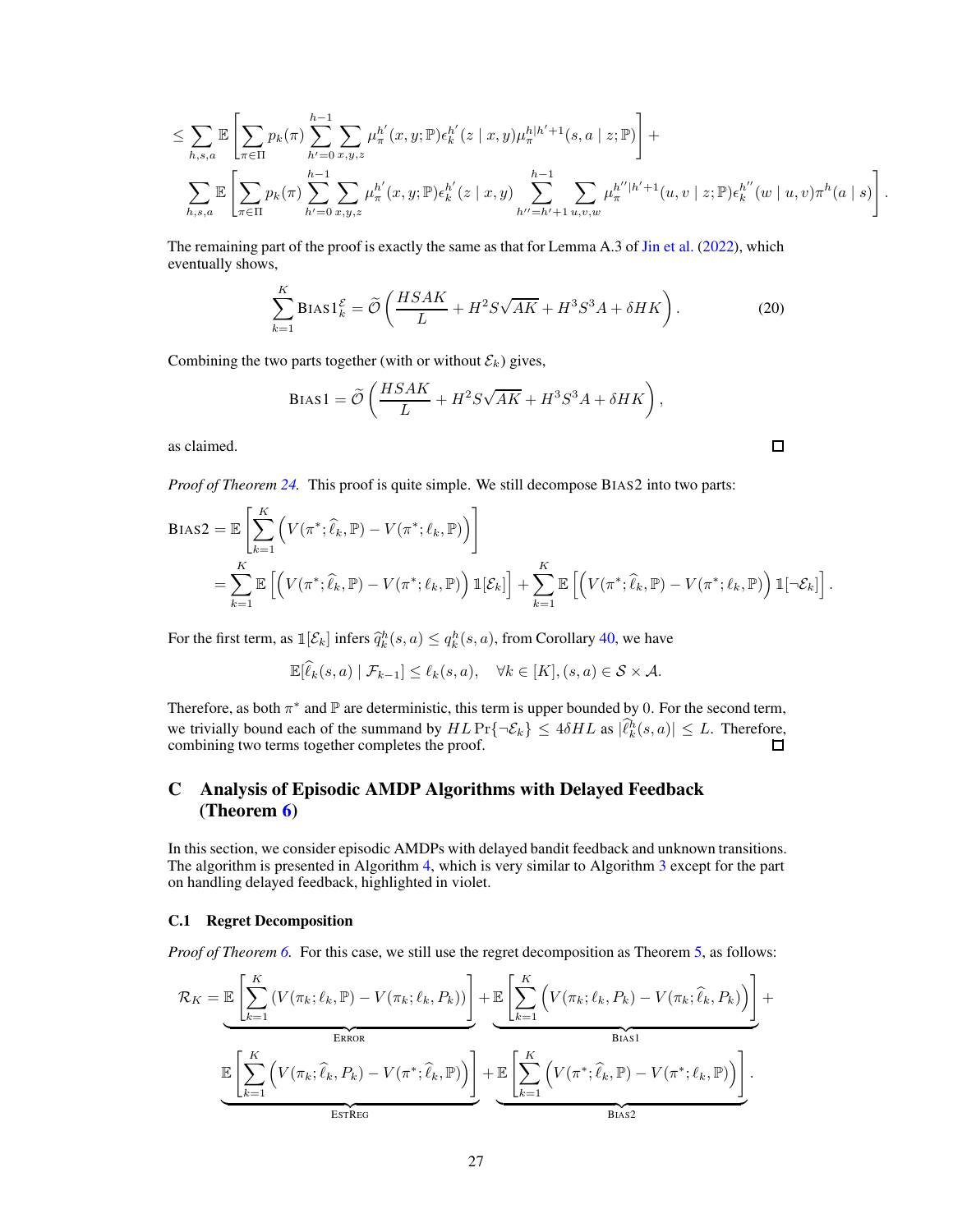$$
\leq \sum_{h,s,a} \mathbb{E} \left[ \sum_{\pi \in \Pi} p_k(\pi) \sum_{h'=0}^{h-1} \sum_{x,y,z} \mu_{\pi}^{h'}(x,y;\mathbb{P}) \epsilon_k^{h'}(z | x,y) \mu_{\pi}^{h|h'+1}(s,a | z;\mathbb{P}) \right] +
$$
  

$$
\sum_{h,s,a} \mathbb{E} \left[ \sum_{\pi \in \Pi} p_k(\pi) \sum_{h'=0}^{h-1} \sum_{x,y,z} \mu_{\pi}^{h'}(x,y;\mathbb{P}) \epsilon_k^{h'}(z | x,y) \sum_{h'=h'+1}^{h-1} \sum_{u,v,w} \mu_{\pi}^{h''|h'+1}(u,v | z;\mathbb{P}) \epsilon_k^{h''}(w | u,v) \pi^h(a | s) \right]
$$

.

.

The remaining part of the proof is exactly the same as that for Lemma A.3 of [Jin et al.](#page-10-0) [\(2022\)](#page-10-0), which eventually shows,

$$
\sum_{k=1}^{K} \text{Bias1}_{k}^{\mathcal{E}} = \widetilde{\mathcal{O}}\left(\frac{HSAK}{L} + H^{2}S\sqrt{AK} + H^{3}S^{3}A + \delta HK\right). \tag{20}
$$

Combining the two parts together (with or without  $\mathcal{E}_k$ ) gives,

$$
BIAS1 = \widetilde{\mathcal{O}}\left(\frac{HSAK}{L} + H^2S\sqrt{AK} + H^3S^3A + \delta HK\right),\tag{}
$$

as claimed.

*Proof of Theorem [24.](#page-23-1)* This proof is quite simple. We still decompose BIAS2 into two parts:

$$
BIAS2 = \mathbb{E}\left[\sum_{k=1}^{K} \left(V(\pi^*; \hat{\ell}_k, \mathbb{P}) - V(\pi^*; \ell_k, \mathbb{P})\right)\right]
$$
  
= 
$$
\sum_{k=1}^{K} \mathbb{E}\left[\left(V(\pi^*; \hat{\ell}_k, \mathbb{P}) - V(\pi^*; \ell_k, \mathbb{P})\right) \mathbb{1}[\mathcal{E}_k]\right] + \sum_{k=1}^{K} \mathbb{E}\left[\left(V(\pi^*; \hat{\ell}_k, \mathbb{P}) - V(\pi^*; \ell_k, \mathbb{P})\right) \mathbb{1}[\neg \mathcal{E}_k]\right]
$$

For the first term, as  $\mathbb{I}[\mathcal{E}_k]$  infers  $\widehat{q}_k^h(s, a) \leq q_k^h(s, a)$ , from Corollary [40,](#page-38-4) we have

$$
\mathbb{E}[\widehat{\ell}_k(s,a) | \mathcal{F}_{k-1}] \leq \ell_k(s,a), \quad \forall k \in [K], (s,a) \in \mathcal{S} \times \mathcal{A}.
$$

Therefore, as both  $\pi^*$  and  $\mathbb P$  are deterministic, this term is upper bounded by 0. For the second term, we trivially bound each of the summand by  $HL \Pr{\neg \mathcal{E}_k} \le 4\delta HL$  as  $|\ell_k^h(s, a)| \le L$ . Therefore, combining two terms together completes the proof.

# <span id="page-26-0"></span>C Analysis of Episodic AMDP Algorithms with Delayed Feedback (Theorem [6\)](#page-7-1)

In this section, we consider episodic AMDPs with delayed bandit feedback and unknown transitions. The algorithm is presented in Algorithm [4,](#page-27-0) which is very similar to Algorithm [3](#page-17-0) except for the part on handling delayed feedback, highlighted in violet.

## <span id="page-26-1"></span>C.1 Regret Decomposition

*Proof of Theorem [6.](#page-7-1)* For this case, we still use the regret decomposition as Theorem [5,](#page-7-0) as follows:

$$
\mathcal{R}_{K} = \underbrace{\mathbb{E}\left[\sum_{k=1}^{K} \left(V(\pi_{k};\ell_{k},\mathbb{P}) - V(\pi_{k};\ell_{k},P_{k})\right)\right]}_{\text{ERROR}} + \underbrace{\mathbb{E}\left[\sum_{k=1}^{K} \left(V(\pi_{k};\ell_{k},P_{k}) - V(\pi_{k};\hat{\ell}_{k},P_{k})\right)\right]}_{\text{Bias1}} + \underbrace{\mathbb{E}\left[\sum_{k=1}^{K} \left(V(\pi_{k};\hat{\ell}_{k},P_{k}) - V(\pi^{*};\hat{\ell}_{k},P_{k})\right)\right]}_{\text{Bias1}} + \underbrace{\mathbb{E}\left[\sum_{k=1}^{K} \left(V(\pi^{*};\hat{\ell}_{k},\mathbb{P}) - V(\pi^{*};\ell_{k},\mathbb{P})\right)\right]}_{\text{Bias2}}.
$$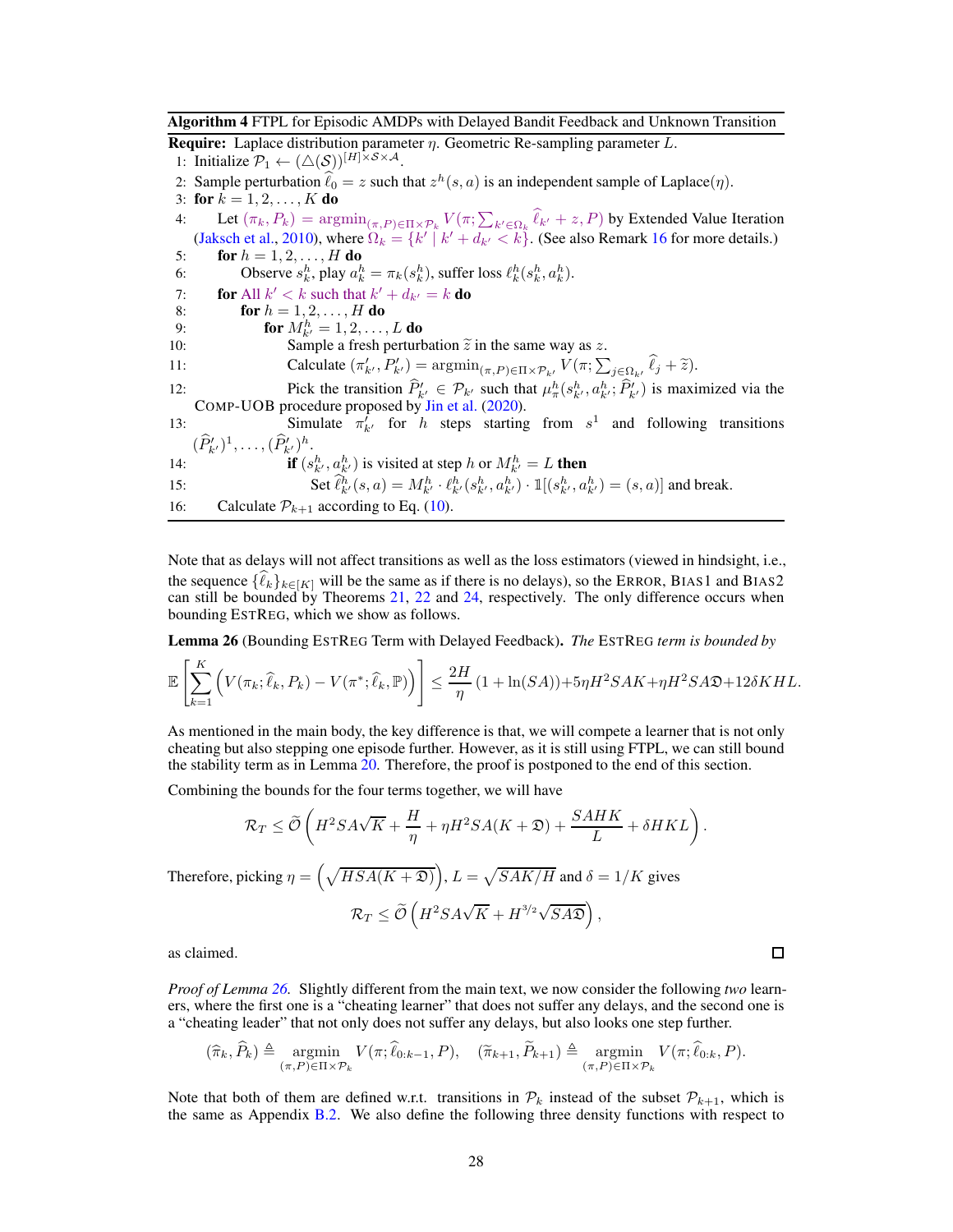<span id="page-27-0"></span>Algorithm 4 FTPL for Episodic AMDPs with Delayed Bandit Feedback and Unknown Transition

**Require:** Laplace distribution parameter  $\eta$ . Geometric Re-sampling parameter L.

1: Initialize  $\mathcal{P}_1 \leftarrow (\triangle(\mathcal{S}))^{[H] \times \mathcal{S} \times \mathcal{A}}$ .

2: Sample perturbation  $\hat{\ell}_0 = z$  such that  $z^h(s, a)$  is an independent sample of Laplace( $\eta$ ).

3: for  $k = 1, 2, ..., K$  do

4: Let  $(\pi_k, P_k) = \operatorname{argmin}_{(\pi, P) \in \Pi \times \mathcal{P}_k} V(\pi; \sum_{k' \in \Omega_k} \hat{\ell}_{k'} + z, P)$  by Extended Value Iteration [\(Jaksch et al.](#page-10-15), [2010](#page-10-15)), where  $\Omega_k = \{k' \mid k' + d_{k'} < k\}$ . (See also Remark [16](#page-18-1) for more details.)

5: **for**  $h = 1, 2, ..., H$  **do** 6: Observe  $s_k^h$ , play  $a_k^h = \pi_k(s_k^h)$ , suffer loss  $\ell_k^h(s_k^h, a_k^h)$ .

7: **for** All  $k' < k$  such that  $k' + d_{k'} = k$  **do** 

8: **for**  $h = 1, 2, ..., H$  **do** 

9: **for**  $M_{k'}^h = 1, 2, ..., L$  **do** 

10: Sample a fresh perturbation  $\tilde{z}$  in the same way as z.

11: Calculate 
$$
(\pi'_{k'}, P'_{k'})
$$
 = argmin <sub>$(\pi, P) \in \Pi \times \mathcal{P}_{k'}$</sub>   $V(\pi; \sum_{j \in \Omega_{k'}} \hat{\ell}_j + \tilde{\epsilon}).$ 

12: Pick the transition  $\hat{P}_{k'} \in \mathcal{P}_{k'}$  such that  $\mu_{\pi}^h(s_{k'}^h, a_{k'}^h; \hat{P}_{k'}^t)$  is maximized via the COMP-UOB procedure proposed by [Jin et al.](#page-10-3) [\(2020\)](#page-10-3).

13: Simulate  $\pi_{k'}^f$  for h steps starting from  $s^1$  and following transitions  $(\widehat{P}_{k'}')^1, \ldots, (\widehat{P}_{k'}')^h.$ 

14: if 
$$
(s_{k'}^h, a_{k'}^h)
$$
 is visited at step  $h$  or  $M_{k'}^h = L$  then

15: Set  $\hat{\ell}_{k'}^h(s, a) = M_{k'}^h \cdot \ell_{k'}^h(s_{k'}^h, a_{k'}^h) \cdot \mathbb{1}[(s_{k'}^h, a_{k'}^h) = (s, a)]$  and break.

16: Calculate  $P_{k+1}$  according to Eq. [\(10\)](#page-18-2).

Note that as delays will not affect transitions as well as the loss estimators (viewed in hindsight, i.e., the sequence  $\{\hat{\ell}_k\}_{k\in[K]}$  will be the same as if there is no delays), so the ERROR, BIAS1 and BIAS2 can still be bounded by Theorems [21,](#page-22-1) [22](#page-23-0) and [24,](#page-23-1) respectively. The only difference occurs when bounding ESTREG, which we show as follows.

<span id="page-27-1"></span>Lemma 26 (Bounding ESTREG Term with Delayed Feedback). *The* ESTREG *term is bounded by*

$$
\mathbb{E}\left[\sum_{k=1}^K \left(V(\pi_k; \widehat{\ell}_k, P_k) - V(\pi^*; \widehat{\ell}_k, \mathbb{P})\right)\right] \le \frac{2H}{\eta} \left(1 + \ln(SA)\right) + 5\eta H^2 S A K + \eta H^2 S A \mathfrak{D} + 12\delta K H L.
$$

As mentioned in the main body, the key difference is that, we will compete a learner that is not only cheating but also stepping one episode further. However, as it is still using FTPL, we can still bound the stability term as in Lemma [20.](#page-20-0) Therefore, the proof is postponed to the end of this section.

Combining the bounds for the four terms together, we will have

$$
\mathcal{R}_T \le \widetilde{\mathcal{O}}\left(H^2SA\sqrt{K} + \frac{H}{\eta} + \eta H^2SA(K+\mathfrak{D}) + \frac{SAHK}{L} + \delta HKL\right)
$$

Therefore, picking  $\eta = \left(\sqrt{HSA(K+2)}\right), L = \sqrt{SAK/H}$  and  $\delta = 1/K$  gives  $\kappa_T \leq \mathcal{O}$  $\left(H^2SA\sqrt{K} + H^{3/2}\sqrt{SA\mathfrak{D}}\right),$ 

as claimed.

 $\overline{a}$ 

*Proof of Lemma [26.](#page-27-1)* Slightly different from the main text, we now consider the following *two* learners, where the first one is a "cheating learner" that does not suffer any delays, and the second one is a "cheating leader" that not only does not suffer any delays, but also looks one step further.

$$
(\widehat{\pi}_k, \widehat{P}_k) \triangleq \underset{(\pi, P) \in \Pi \times \mathcal{P}_k}{\operatorname{argmin}} V(\pi; \widehat{\ell}_{0:k-1}, P), \quad (\widetilde{\pi}_{k+1}, \widetilde{P}_{k+1}) \triangleq \underset{(\pi, P) \in \Pi \times \mathcal{P}_k}{\operatorname{argmin}} V(\pi; \widehat{\ell}_{0:k}, P).
$$

Note that both of them are defined w.r.t. transitions in  $\mathcal{P}_k$  instead of the subset  $\mathcal{P}_{k+1}$ , which is the same as Appendix [B.2.](#page-17-2) We also define the following three density functions with respect to

 $\Box$ 

.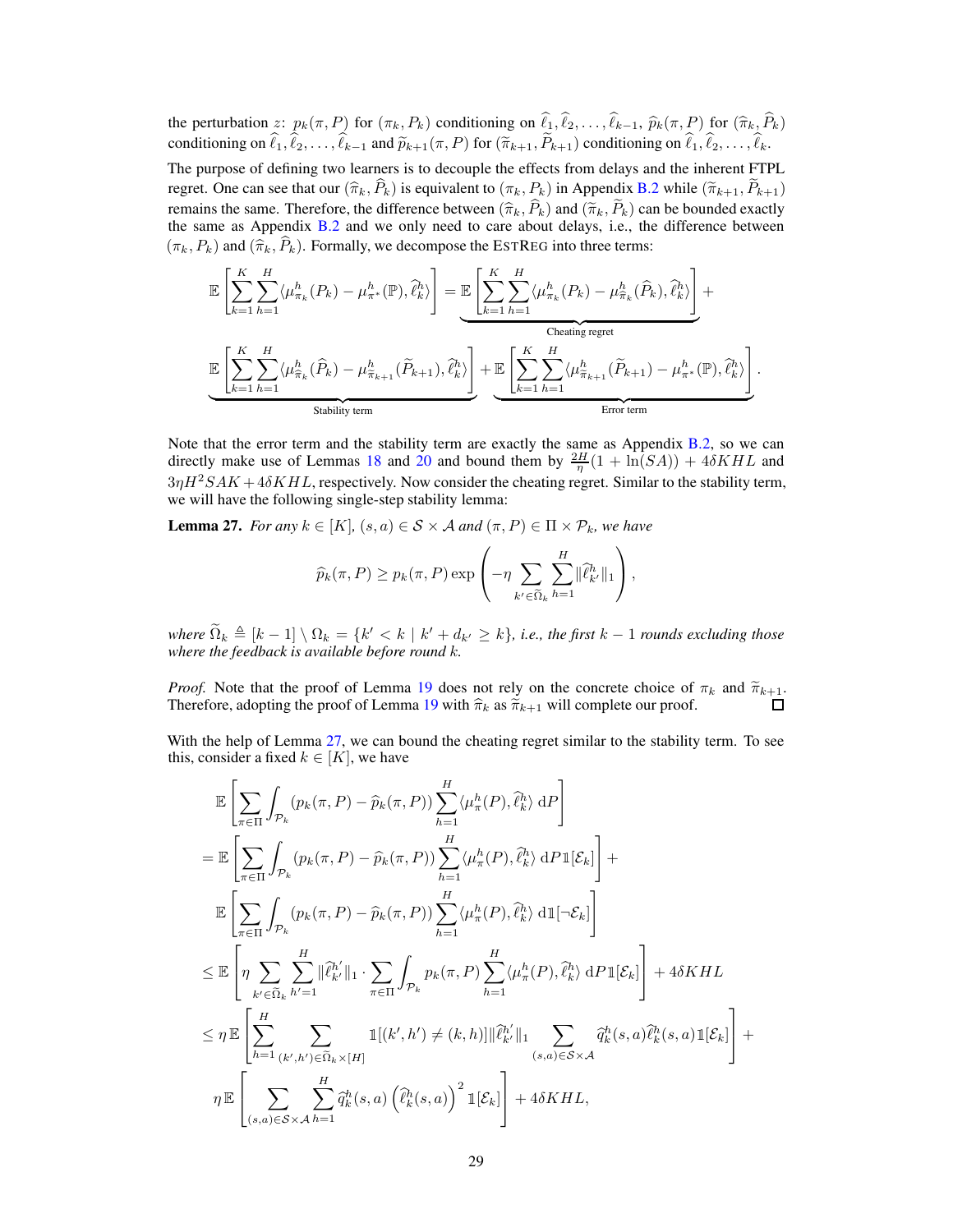the perturbation z:  $p_k(\pi, P)$  for  $(\pi_k, P_k)$  conditioning on  $\hat{\ell}_1, \hat{\ell}_2, \dots, \hat{\ell}_{k-1}, \hat{p}_k(\pi, P)$  for  $(\hat{\pi}_k, \hat{P}_k)$ conditioning on  $\hat{\ell}_1, \hat{\ell}_2, \dots, \hat{\ell}_{k-1}$  and  $\tilde{p}_{k+1}(\pi, P)$  for  $(\tilde{\pi}_{k+1}, \tilde{P}_{k+1})$  conditioning on  $\hat{\ell}_1, \hat{\ell}_2, \dots, \hat{\ell}_k$ .

The purpose of defining two learners is to decouple the effects from delays and the inherent FTPL regret. One can see that our  $(\hat{\pi}_k, \hat{P}_k)$  is equivalent to  $(\pi_k, P_k)$  in Appendix [B.2](#page-17-2) while  $(\tilde{\pi}_{k+1}, \tilde{P}_{k+1})$ remains the same. Therefore, the difference between  $(\hat{\pi}_k, P_k)$  and  $(\check{\pi}_k, P_k)$  can be bounded exactly the same as Appendix [B.2](#page-17-2) and we only need to care about delays, i.e., the difference between  $(\pi_k, P_k)$  and  $(\widehat{\pi}_k, \widehat{P}_k)$ . Formally, we decompose the ESTREG into three terms:

$$
\mathbb{E}\left[\sum_{k=1}^{K}\sum_{h=1}^{H}\langle\mu_{\pi_{k}}^{h}(P_{k})-\mu_{\pi^{*}}^{h}(\mathbb{P}),\hat{\ell}_{k}^{h}\rangle\right]=\underbrace{\mathbb{E}\left[\sum_{k=1}^{K}\sum_{h=1}^{H}\langle\mu_{\pi_{k}}^{h}(P_{k})-\mu_{\hat{\pi}_{k}}^{h}(\widehat{P}_{k}),\widehat{\ell}_{k}^{h}\rangle\right]}_{\text{Checking regret}}+\underbrace{\mathbb{E}\left[\sum_{k=1}^{K}\sum_{h=1}^{H}\langle\mu_{\pi_{k}}^{h}(\widehat{P}_{k}),\widehat{\ell}_{k}^{h}\rangle\right]}_{\text{Stability term}}+\underbrace{\mathbb{E}\left[\sum_{k=1}^{K}\sum_{h=1}^{H}\langle\mu_{\hat{\pi}_{k+1}}^{h}(\widetilde{P}_{k+1})-\mu_{\pi^{*}}^{h}(\mathbb{P}),\widehat{\ell}_{k}^{h}\rangle\right]}_{\text{Error term}}.
$$

Note that the error term and the stability term are exactly the same as Appendix [B.2,](#page-17-2) so we can directly make use of Lemmas [18](#page-19-0) and [20](#page-20-0) and bound them by  $\frac{2H}{\eta}(1 + \ln(SA)) + 4\delta KHL$  and  $3\eta H^2 SAK + 4\delta KHL$ , respectively. Now consider the cheating regret. Similar to the stability term, we will have the following single-step stability lemma:

<span id="page-28-0"></span>**Lemma 27.** *For any*  $k \in [K]$ *,*  $(s, a) \in S \times A$  *and*  $(\pi, P) \in \Pi \times P_k$ *, we have* 

$$
\widehat{p}_k(\pi, P) \ge p_k(\pi, P) \exp \left(-\eta \sum_{k' \in \widetilde{\Omega}_k} \sum_{h=1}^H \|\widehat{\ell}_{k'}^h\|_1\right),\,
$$

 $\widehat{\Omega}_k \triangleq [k-1] \setminus \Omega_k = \{k' < k \mid k' + d_{k'} \geq k\},\$ i.e., the first  $k-1$  *rounds excluding those where the feedback is available before round* k*.*

*Proof.* Note that the proof of Lemma [19](#page-19-1) does not rely on the concrete choice of  $\pi_k$  and  $\tilde{\pi}_{k+1}$ . Therefore, adopting the proof of Lemma [19](#page-19-1) with  $\hat{\pi}_k$  as  $\check{\pi}_{k+1}$  will complete our proof.

With the help of Lemma [27,](#page-28-0) we can bound the cheating regret similar to the stability term. To see this, consider a fixed  $k \in [K]$ , we have

$$
\mathbb{E}\left[\sum_{\pi\in\Pi}\int_{\mathcal{P}_k}(p_k(\pi,P)-\widehat{p}_k(\pi,P))\sum_{h=1}^H\langle\mu_{\pi}^h(P),\widehat{\ell}_k^h\rangle\,\mathrm{d}P\right]
$$
\n
$$
=\mathbb{E}\left[\sum_{\pi\in\Pi}\int_{\mathcal{P}_k}(p_k(\pi,P)-\widehat{p}_k(\pi,P))\sum_{h=1}^H\langle\mu_{\pi}^h(P),\widehat{\ell}_k^h\rangle\,\mathrm{d}P1[\mathcal{E}_k]\right]+\mathbb{E}\left[\sum_{\pi\in\Pi}\int_{\mathcal{P}_k}(p_k(\pi,P)-\widehat{p}_k(\pi,P))\sum_{h=1}^H\langle\mu_{\pi}^h(P),\widehat{\ell}_k^h\rangle\,\mathrm{d}1[-\mathcal{E}_k]\right]
$$
\n
$$
\leq\mathbb{E}\left[\eta\sum_{k'\in\widetilde{\Omega}_k}\sum_{h'=1}^H\|\widehat{\ell}_{k'}^{h'}\|_1\cdot\sum_{\pi\in\Pi}\int_{\mathcal{P}_k}p_k(\pi,P)\sum_{h=1}^H\langle\mu_{\pi}^h(P),\widehat{\ell}_k^h\rangle\,\mathrm{d}P1[\mathcal{E}_k]\right]+4\delta KHL
$$
\n
$$
\leq\eta\mathbb{E}\left[\sum_{h=1}^H\sum_{(k',h')\in\widetilde{\Omega}_k\times[H]}\mathbb{1}[(k',h')\neq(k,h)]\|\widehat{\ell}_{k'}^{h'}\|_1\sum_{(s,a)\in\mathcal{S}\times\mathcal{A}}\widehat{q}_k^h(s,a)\widehat{\ell}_k^h(s,a)1[\mathcal{E}_k]\right]+
$$
\n
$$
\eta\mathbb{E}\left[\sum_{(s,a)\in\mathcal{S}\times\mathcal{A}}\sum_{h=1}^H\widehat{q}_k^h(s,a)\left(\widehat{\ell}_k^h(s,a)\right)^21[\mathcal{E}_k]\right]+4\delta KHL,
$$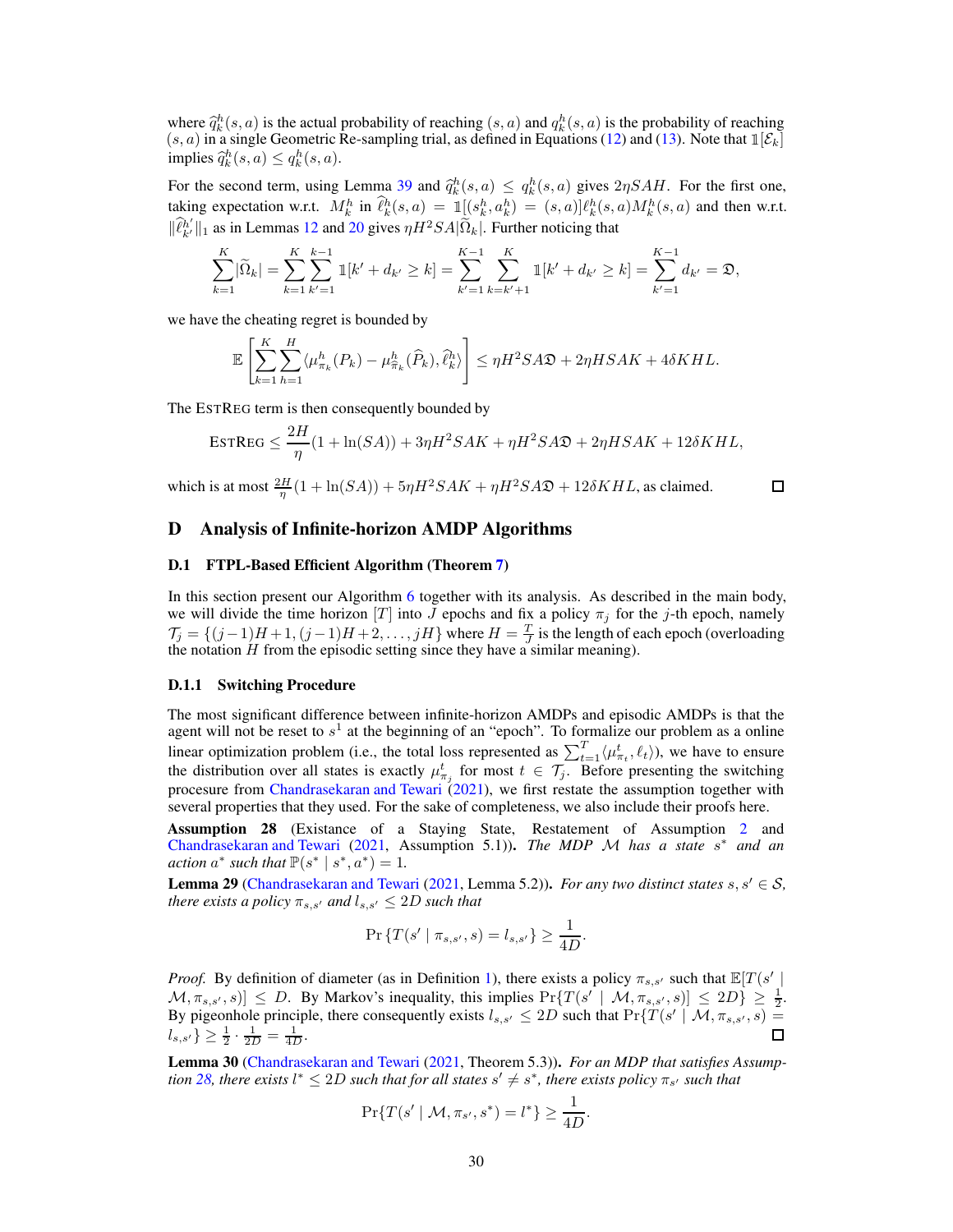where  $\hat{q}_k^h(s, a)$  is the actual probability of reaching  $(s, a)$  and  $q_k^h(s, a)$  is the probability of reaching  $(s, a)$  in a cincle Geometric Be sempling trial, as defined in Equations (12) and (13). Note that  $\mathbb{I}[S]$  $(s, a)$  in a single Geometric Re-sampling trial, as defined in Equations [\(12\)](#page-19-2) and [\(13\)](#page-20-1). Note that  $\mathbb{1}[\mathcal{E}_k]$ implies  $\hat{q}_k^h(s, a) \leq q_k^h(s, a)$ .

For the second term, using Lemma [39](#page-38-3) and  $\hat{q}_k^h(s, a) \leq q_k^h(s, a)$  gives  $2\eta SAH$ . For the first one, taking expectation w.r.t.  $M_k^h$  in  $\ell_k^h(s, a) = \mathbb{1}[(s_k^h, a_k^h) = (s, a)]\ell_k^h(s, a)M_k^h(s, a)$  and then w.r.t.  $\|\widehat{\ell}_{k'}^{h'}\|_1$  as in Lemmas [12](#page-15-0) and [20](#page-20-0) gives  $\eta H^2SA|\widetilde{\Omega}_k|$ . Further noticing that

$$
\sum_{k=1}^K |\widetilde{\Omega}_k| = \sum_{k=1}^K \sum_{k'=1}^{k-1} 1[k'+d_{k'} \ge k] = \sum_{k'=1}^{K-1} \sum_{k=k'+1}^K 1[k'+d_{k'} \ge k] = \sum_{k'=1}^{K-1} d_{k'} = \mathfrak{D},
$$

we have the cheating regret is bounded by

$$
\mathbb{E}\left[\sum_{k=1}^K \sum_{h=1}^H \langle \mu_{\pi_k}^h(P_k) - \mu_{\widehat{\pi}_k}^h(\widehat{P}_k), \widehat{\ell}_k^h \rangle \right] \le \eta H^2 S A \mathfrak{D} + 2\eta H S A K + 4\delta K H L.
$$

The ESTREG term is then consequently bounded by

$$
\text{ESTREG} \le \frac{2H}{\eta}(1 + \ln(SA)) + 3\eta H^2 S A K + \eta H^2 S A \mathfrak{D} + 2\eta H S A K + 12\delta K H L,
$$

which is at most  $\frac{2H}{\eta}(1 + \ln(SA)) + 5\eta H^2 S A K + \eta H^2 S A \mathfrak{D} + 12\delta K H L$ , as claimed.

#### $\Box$

# <span id="page-29-1"></span><span id="page-29-0"></span>D Analysis of Infinite-horizon AMDP Algorithms

#### D.1 FTPL-Based Efficient Algorithm (Theorem [7\)](#page-8-0)

In this section present our Algorithm [6](#page-31-0) together with its analysis. As described in the main body, we will divide the time horizon [T] into J epochs and fix a policy  $\pi_i$  for the j-th epoch, namely  $\mathcal{T}_j = \{(j-1)H + 1, (j-1)H + 2, \ldots, jH\}$  where  $H = \frac{T}{J}$  is the length of each epoch (overloading the notation  $H$  from the episodic setting since they have a similar meaning).

#### D.1.1 Switching Procedure

The most significant difference between infinite-horizon AMDPs and episodic AMDPs is that the agent will not be reset to  $s<sup>1</sup>$  at the beginning of an "epoch". To formalize our problem as a online linear optimization problem (i.e., the total loss represented as  $\sum_{t=1}^{T} \langle \mu_{\pi_t}^t, \ell_t \rangle$ ), we have to ensure the distribution over all states is exactly  $\mu_{\pi_j}^t$  for most  $t \in \mathcal{T}_j$ . Before presenting the switching procesure from [Chandrasekaran and Tewari](#page-9-0) [\(2021](#page-9-0)), we first restate the assumption together with several properties that they used. For the sake of completeness, we also include their proofs here.

<span id="page-29-2"></span>Assumption 28 (Existance of a Staying State, Restatement of Assumption [2](#page-4-4) and [Chandrasekaran and Tewari](#page-9-0) [\(2021,](#page-9-0) Assumption 5.1)). *The MDP* M *has a state* s ∗ *and an action*  $a^*$  *such that*  $\mathbb{P}(s^* | s^*, a^*) = 1$ *.* 

<span id="page-29-3"></span>**Lemma 29** [\(Chandrasekaran and Tewari](#page-9-0) [\(2021,](#page-9-0) Lemma 5.2)). *For any two distinct states*  $s, s' \in S$ , *there exists a policy*  $\pi_{s,s'}$  *and*  $l_{s,s'} \leq 2D$  *such that* 

$$
\Pr\left\{T(s' \mid \pi_{s,s'}, s) = l_{s,s'}\right\} \ge \frac{1}{4D}.
$$

*Proof.* By definition of diameter (as in Definition [1\)](#page-4-5), there exists a policy  $\pi_{s,s'}$  such that  $\mathbb{E}[T(s')]$  $[M, \pi_{s,s'}, s]] \leq D$ . By Markov's inequality, this implies  $Pr\{T(s' \mid M, \pi_{s,s'}, s)] \leq 2D\} \geq \frac{1}{2}$ . By pigeonhole principle, there consequently exists  $l_{s,s'} \leq 2D$  such that  $Pr\{T(s' \mid M, \pi_{s,s'}, s) =$  $l_{s,s'}\} \geq \frac{1}{2} \cdot \frac{1}{2D} = \frac{1}{4D}.$ 

<span id="page-29-4"></span>Lemma 30 [\(Chandrasekaran and Tewari](#page-9-0) [\(2021,](#page-9-0) Theorem 5.3)). *For an MDP that satisfies Assumption* [28,](#page-29-2) there exists  $l^* \leq 2D$  such that for all states  $s' \neq s^*$ , there exists policy  $\pi_{s'}$  such that

$$
\Pr\{T(s' \mid \mathcal{M}, \pi_{s'}, s^*) = l^*\} \ge \frac{1}{4D}.
$$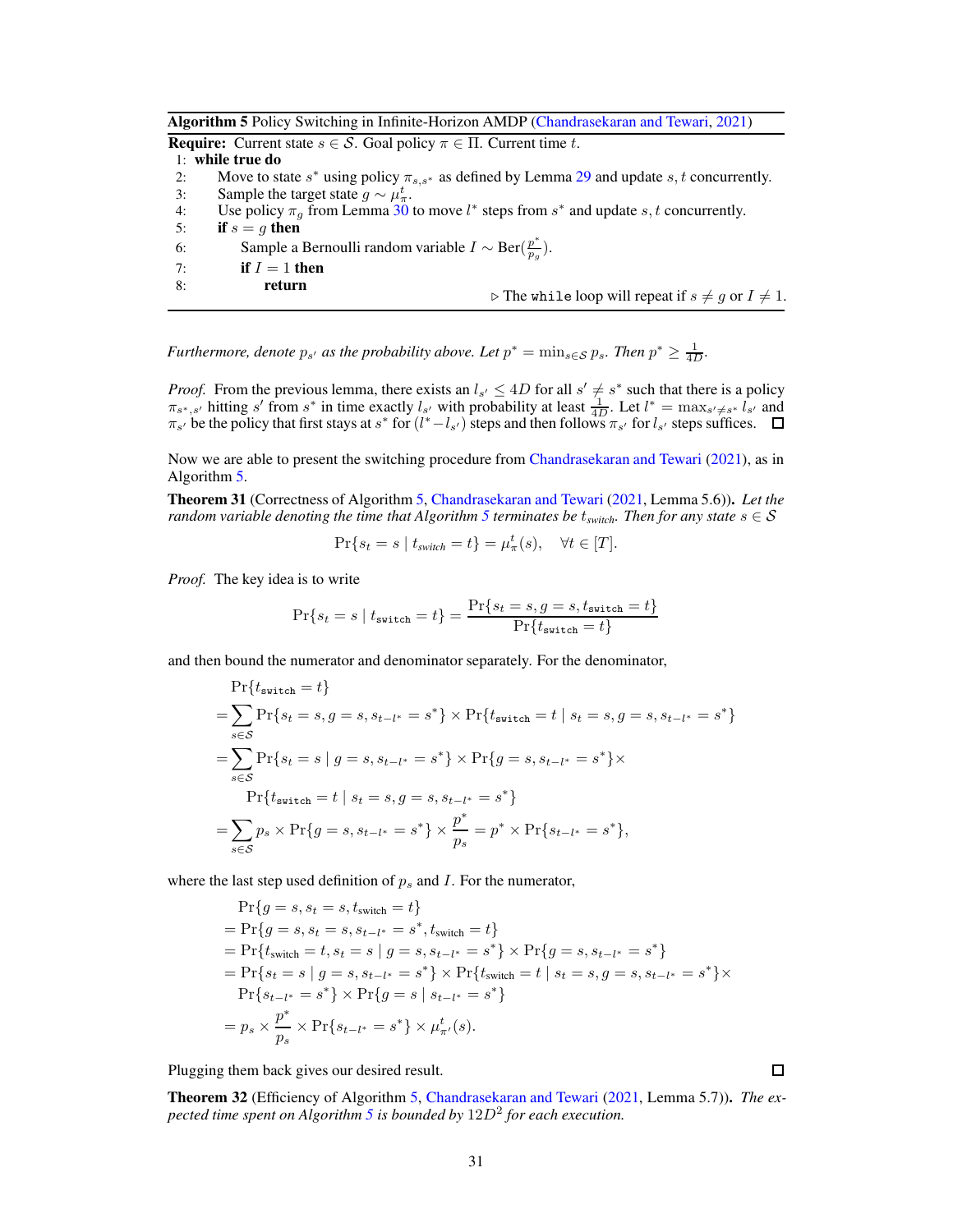<span id="page-30-0"></span>Algorithm 5 Policy Switching in Infinite-Horizon AMDP [\(Chandrasekaran and Tewari](#page-9-0), [2021](#page-9-0))

**Require:** Current state  $s \in \mathcal{S}$ . Goal policy  $\pi \in \Pi$ . Current time t.

## 1: while true do

- 2: Move to state  $s^*$  using policy  $\pi_{s,s^*}$  as defined by Lemma [29](#page-29-3) and update  $s, t$  concurrently.
- 3: Sample the target state  $g \sim \mu_{\pi}^{t}$ .
- 4: Use policy  $\pi_g$  from Lemma [30](#page-29-4) to move  $l^*$  steps from  $s^*$  and update  $s, t$  concurrently.
- 5: if  $s = g$  then
- 6: Sample a Bernoulli random variable  $I \sim \text{Ber}(\frac{p^*}{p_g})$  $\frac{p}{p_g}).$
- 7: if  $I = 1$  then
- 8: return  $\rhd$  The while loop will repeat if  $s \neq g$  or  $I \neq 1$ .

*Furthermore, denote*  $p_{s'}$  *as the probability above. Let*  $p^* = \min_{s \in S} p_s$ *. Then*  $p^* \geq \frac{1}{4D}$ *.* 

*Proof.* From the previous lemma, there exists an  $l_{s'} \le 4D$  for all  $s' \ne s^*$  such that there is a policy  $\pi_{s^*,s'}$  hitting s' from s<sup>\*</sup> in time exactly  $l_{s'}$  with probability at least  $\frac{1}{4D}$ . Let  $l^* = \max_{s' \neq s^*} l_{s'}$  and  $\pi_{s'}$  be the policy that first stays at  $s^*$  for  $(l^*-l_{s'})$  steps and then follows  $\pi_{s'}$  for  $l_{s'}$  steps suffices.

Now we are able to present the switching procedure from [Chandrasekaran and Tewari](#page-9-0) [\(2021\)](#page-9-0), as in Algorithm [5.](#page-30-0)

Theorem 31 (Correctness of Algorithm [5,](#page-30-0) [Chandrasekaran and Tewari](#page-9-0) [\(2021,](#page-9-0) Lemma 5.6)). *Let the random variable denoting the time that Algorithm [5](#page-30-0) terminates be*  $t_{switch}$ *. Then for any state*  $s \in S$ 

$$
\Pr\{s_t = s \mid t_{switch} = t\} = \mu^t_\pi(s), \quad \forall t \in [T].
$$

*Proof.* The key idea is to write

$$
\Pr\{s_t = s \mid t_{\text{switch}} = t\} = \frac{\Pr\{s_t = s, g = s, t_{\text{switch}} = t\}}{\Pr\{t_{\text{switch}} = t\}}
$$

and then bound the numerator and denominator separately. For the denominator,

$$
\Pr\{t_{\text{switch}} = t\}
$$
\n
$$
= \sum_{s \in S} \Pr\{s_t = s, g = s, s_{t-l^*} = s^*\} \times \Pr\{t_{\text{switch}} = t \mid s_t = s, g = s, s_{t-l^*} = s^*\}
$$
\n
$$
= \sum_{s \in S} \Pr\{s_t = s \mid g = s, s_{t-l^*} = s^*\} \times \Pr\{g = s, s_{t-l^*} = s^*\} \times \Pr\{t_{\text{switch}} = t \mid s_t = s, g = s, s_{t-l^*} = s^*\}
$$
\n
$$
= \sum_{s \in S} p_s \times \Pr\{g = s, s_{t-l^*} = s^*\} \times \frac{p^*}{p_s} = p^* \times \Pr\{s_{t-l^*} = s^*\},
$$

where the last step used definition of  $p_s$  and I. For the numerator,

$$
\Pr\{g = s, s_t = s, t_{switch} = t\}
$$
\n
$$
= \Pr\{g = s, s_t = s, s_{t-l^*} = s^*, t_{switch} = t\}
$$
\n
$$
= \Pr\{t_{switch} = t, s_t = s \mid g = s, s_{t-l^*} = s^* \} \times \Pr\{g = s, s_{t-l^*} = s^* \}
$$
\n
$$
= \Pr\{s_t = s \mid g = s, s_{t-l^*} = s^* \} \times \Pr\{t_{switch} = t \mid s_t = s, g = s, s_{t-l^*} = s^* \} \times \Pr\{s_{t-l^*} = s^* \} \times \Pr\{g = s \mid s_{t-l^*} = s^* \}
$$
\n
$$
= p_s \times \frac{p^*}{p_s} \times \Pr\{s_{t-l^*} = s^* \} \times \mu_{\pi'}^t(s).
$$

Plugging them back gives our desired result.

<span id="page-30-1"></span>Theorem 32 (Efficiency of Algorithm [5,](#page-30-0) [Chandrasekaran and Tewari](#page-9-0) [\(2021,](#page-9-0) Lemma 5.7)). *The expected time spent on Algorithm [5](#page-30-0) is bounded by* 12D<sup>2</sup> *for each execution.*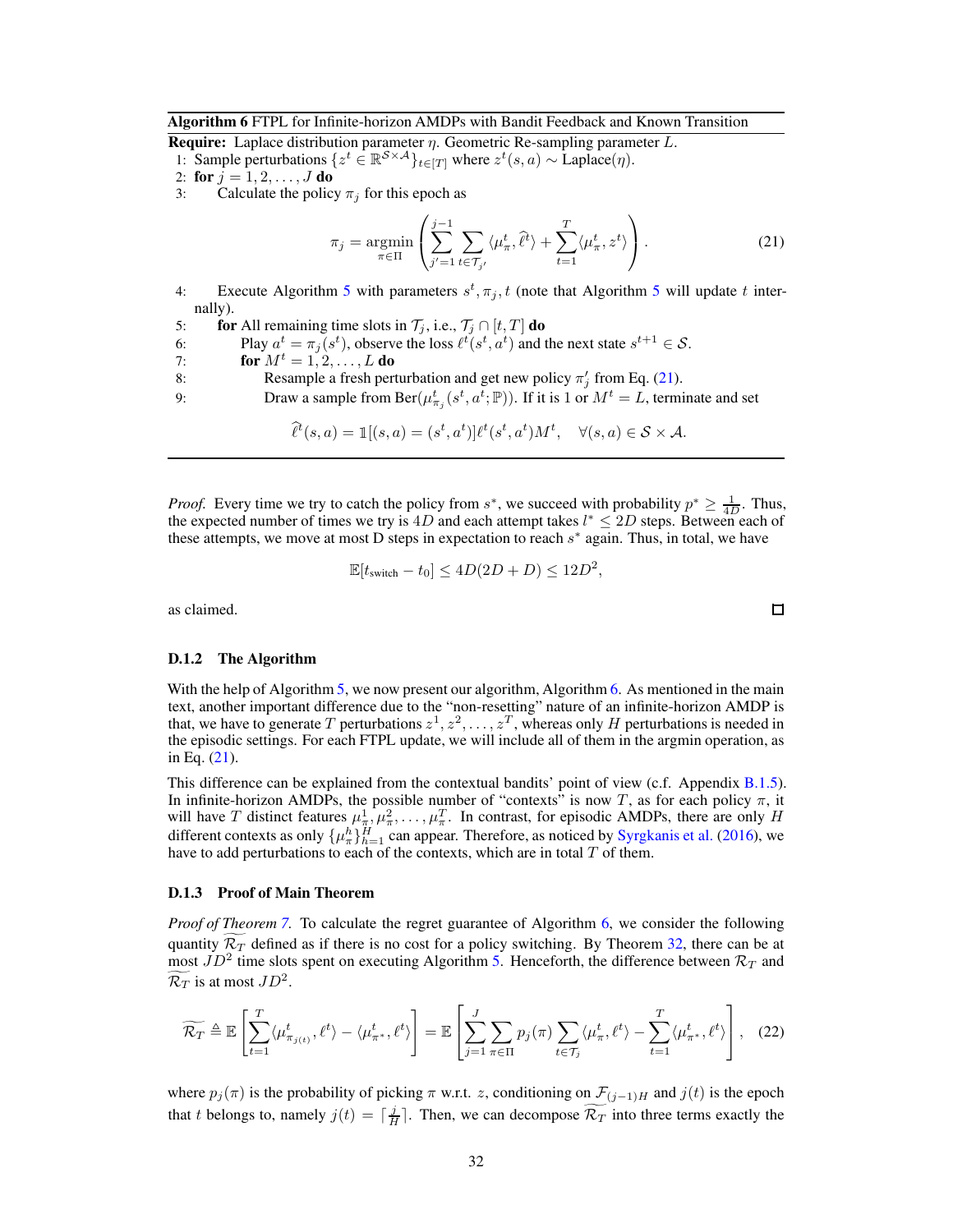#### <span id="page-31-0"></span>Algorithm 6 FTPL for Infinite-horizon AMDPs with Bandit Feedback and Known Transition

**Require:** Laplace distribution parameter  $\eta$ . Geometric Re-sampling parameter L. 1: Sample perturbations  $\{z^t \in \mathbb{R}^{S \times A}\}_{t \in [T]}$  where  $z^t(s, a) \sim \text{Laplace}(\eta)$ .<br>2: for  $j = 1, 2, ..., J$  do

2: for 
$$
i = 1, 2, ..., J
$$

3: Calculate the policy  $\pi_j$  for this epoch as

<span id="page-31-1"></span>
$$
\pi_j = \underset{\pi \in \Pi}{\text{argmin}} \left( \sum_{j'=1}^{j-1} \sum_{t \in \mathcal{T}_{j'}} \langle \mu_\pi^t, \hat{\ell}^t \rangle + \sum_{t=1}^T \langle \mu_\pi^t, z^t \rangle \right). \tag{21}
$$

- 4: Execute Algorithm [5](#page-30-0) with parameters  $s^t, \pi_j, t$  (note that Algorithm 5 will update t internally).
- 5: **for** All remaining time slots in  $\mathcal{T}_j$ , i.e.,  $\mathcal{T}_j \cap [t, T]$  **do**<br>6: **Play**  $a^t = \pi_i(s^t)$ , observe the loss  $\ell^t(s^t, a^t)$  and t
- 6: Play  $a^t = \pi_j(s^t)$ , observe the loss  $\ell^t(s^t, a^t)$  and the next state  $s^{t+1} \in S$ .
- 7: **for**  $M^t = 1, 2, ..., L$  **do**

8: Resample a fresh perturbation and get new policy  $\pi'_j$  from Eq. [\(21\)](#page-31-1).

9: Draw a sample from Ber $(\mu_{\pi_j}^t(s^t, a^t; \mathbb{P}))$ . If it is 1 or  $M^t = L$ , terminate and set

$$
\widehat{\ell}^t(s,a) = \mathbb{1}[(s,a) = (s^t, a^t)]\ell^t(s^t, a^t)M^t, \quad \forall (s,a) \in \mathcal{S} \times \mathcal{A}.
$$

*Proof.* Every time we try to catch the policy from  $s^*$ , we succeed with probability  $p^* \geq \frac{1}{4D}$ . Thus, the expected number of times we try is 4D and each attempt takes  $l^* \leq 2D$  steps. Between each of these attempts, we move at most D steps in expectation to reach  $s^*$  again. Thus, in total, we have

$$
\mathbb{E}[t_{switch} - t_0] \le 4D(2D + D) \le 12D^2,
$$

as claimed.

#### D.1.2 The Algorithm

With the help of Algorithm [5,](#page-30-0) we now present our algorithm, Algorithm [6.](#page-31-0) As mentioned in the main text, another important difference due to the "non-resetting" nature of an infinite-horizon AMDP is that, we have to generate T perturbations  $z^1, z^2, \ldots, z^T$ , whereas only H perturbations is needed in the episodic settings. For each FTPL update, we will include all of them in the argmin operation, as in Eq. [\(21\)](#page-31-1).

This difference can be explained from the contextual bandits' point of view (c.f. Appendix [B.1.5\)](#page-17-1). In infinite-horizon AMDPs, the possible number of "contexts" is now T, as for each policy  $\pi$ , it will have T distinct features  $\mu^1_{\pi}, \mu^2_{\pi}, \dots, \mu^T_{\pi}$ . In contrast, for episodic AMDPs, there are only H different contexts as only  $\{\mu_n^h\}_{h=1}^H$  can appear. Therefore, as noticed by [Syrgkanis et al.](#page-11-5) [\(2016](#page-11-5)), we have to add perturbations to each of the contexts, which are in total  $T$  of them.

#### D.1.3 Proof of Main Theorem

*Proof of Theorem [7.](#page-8-0)* To calculate the regret guarantee of Algorithm [6,](#page-31-0) we consider the following quantity  $\mathcal{R}_T$  defined as if there is no cost for a policy switching. By Theorem [32,](#page-30-1) there can be at most  $JD^2$  time slots spent on executing Algorithm [5.](#page-30-0) Henceforth, the difference between  $\mathcal{R}_T$  and  $\mathcal{R}_T$  is at most  $JD^2$ .

<span id="page-31-2"></span>
$$
\widetilde{\mathcal{R}_T} \triangleq \mathbb{E}\left[\sum_{t=1}^T \langle \mu^t_{\pi_{j(t)}}, \ell^t \rangle - \langle \mu^t_{\pi^*}, \ell^t \rangle \right] = \mathbb{E}\left[\sum_{j=1}^J \sum_{\pi \in \Pi} p_j(\pi) \sum_{t \in \mathcal{T}_j} \langle \mu^t_{\pi}, \ell^t \rangle - \sum_{t=1}^T \langle \mu^t_{\pi^*}, \ell^t \rangle \right], \quad (22)
$$

where  $p_j(\pi)$  is the probability of picking  $\pi$  w.r.t. z, conditioning on  $\mathcal{F}_{(j-1)H}$  and  $j(t)$  is the epoch that t belongs to, namely  $j(t) = \lceil \frac{j}{H} \rceil$ . Then, we can decompose  $\widetilde{\mathcal{R}_T}$  into three terms exactly the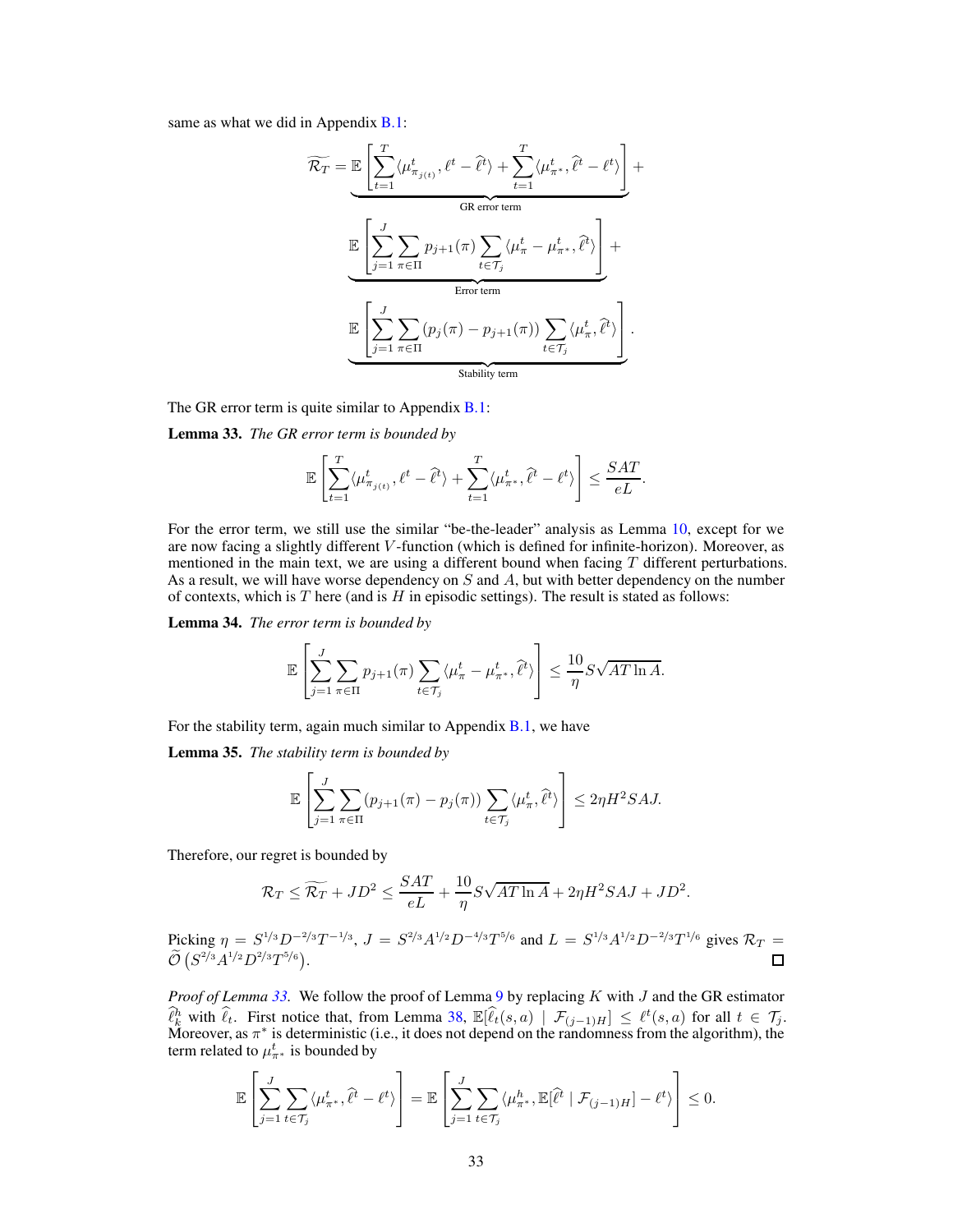same as what we did in Appendix **B.1**:

$$
\widetilde{\mathcal{R}_T} = \underbrace{\mathbb{E}\left[\sum_{t=1}^T \langle \mu_{\pi_{j(t)}}^t, \ell^t - \hat{\ell}^t \rangle + \sum_{t=1}^T \langle \mu_{\pi^*}^t, \hat{\ell}^t - \ell^t \rangle \right]}_{\text{GR error term}} + \underbrace{\mathbb{E}\left[\sum_{j=1}^J \sum_{\pi \in \Pi} p_{j+1}(\pi) \sum_{t \in \mathcal{T}_j} \langle \mu_{\pi}^t - \mu_{\pi^*}^t, \hat{\ell}^t \rangle \right]}_{\text{Error term}} + \underbrace{\mathbb{E}\left[\sum_{j=1}^J \sum_{\pi \in \Pi} (p_j(\pi) - p_{j+1}(\pi)) \sum_{t \in \mathcal{T}_j} \langle \mu_{\pi}^t, \hat{\ell}^t \rangle \right]}_{\text{Stability term}}.
$$

<span id="page-32-0"></span>The GR error term is quite similar to Appendix [B.1:](#page-13-0)

Lemma 33. *The GR error term is bounded by*

$$
\mathbb{E}\left[\sum_{t=1}^T \langle \mu^t_{\pi_{j(t)}}, \ell^t - \hat{\ell}^t \rangle + \sum_{t=1}^T \langle \mu^t_{\pi^*}, \hat{\ell}^t - \ell^t \rangle\right] \le \frac{SAT}{eL}.
$$

For the error term, we still use the similar "be-the-leader" analysis as Lemma [10,](#page-14-0) except for we are now facing a slightly different V -function (which is defined for infinite-horizon). Moreover, as mentioned in the main text, we are using a different bound when facing  $T$  different perturbations. As a result, we will have worse dependency on  $S$  and  $A$ , but with better dependency on the number of contexts, which is  $T$  here (and is  $H$  in episodic settings). The result is stated as follows:

<span id="page-32-1"></span>Lemma 34. *The error term is bounded by*

$$
\mathbb{E}\left[\sum_{j=1}^J\sum_{\pi\in\Pi}p_{j+1}(\pi)\sum_{t\in\mathcal{T}_j}\langle\mu_{\pi}^t-\mu_{\pi^*}^t,\widehat{\ell}^t\rangle\right] \leq \frac{10}{\eta}S\sqrt{AT\ln A}.
$$

<span id="page-32-2"></span>For the stability term, again much similar to Appendix  $B.1$ , we have

Lemma 35. *The stability term is bounded by*

$$
\mathbb{E}\left[\sum_{j=1}^J\sum_{\pi\in\Pi}(p_{j+1}(\pi)-p_j(\pi))\sum_{t\in\mathcal{T}_j}\langle\mu_{\pi}^t,\hat{\ell}^t\rangle\right]\leq 2\eta H^2SAJ.
$$

Therefore, our regret is bounded by

$$
\mathcal{R}_T \le \widetilde{\mathcal{R}_T} + JD^2 \le \frac{SAT}{eL} + \frac{10}{\eta} S\sqrt{AT\ln A} + 2\eta H^2 SAJ + JD^2.
$$

Picking  $\eta = S^{1/3} D^{-2/3} T^{-1/3}$ ,  $J = S^{2/3} A^{1/2} D^{-4/3} T^{5/6}$  and  $L = S^{1/3} A^{1/2} D^{-2/3} T^{1/6}$  gives  $\mathcal{R}_T = \tilde{\chi}$  $\widetilde{\mathcal{O}} \left( S^{2/3} A^{1/2} D^{2/3} T^{5/6} \right)$ .

*Proof of Lemma [33.](#page-32-0)* We follow the proof of Lemma [9](#page-13-3) by replacing K with J and the GR estimator  $\hat{\ell}_k^h$  with  $\hat{\ell}_t$ . First notice that, from Lemma [38,](#page-38-2)  $\mathbb{E}[\hat{\ell}_t(s, a) | \mathcal{F}_{(j-1)H}] \leq \ell^t(s, a)$  for all  $t \in \mathcal{T}_j$ .<br>Moreover, as  $\pi^*$  is deterministic (i.e., it does not depend on the randomness from the algori term related to  $\mu_{\pi^*}^t$  is bounded by

$$
\mathbb{E}\left[\sum_{j=1}^J\sum_{t\in\mathcal{T}_j}\langle\mu_{\pi^*}^t,\hat{\ell}^t-\ell^t\rangle\right]=\mathbb{E}\left[\sum_{j=1}^J\sum_{t\in\mathcal{T}_j}\langle\mu_{\pi^*}^h,\mathbb{E}[\hat{\ell}^t\mid\mathcal{F}_{(j-1)H}]-\ell^t\rangle\right]\leq 0.
$$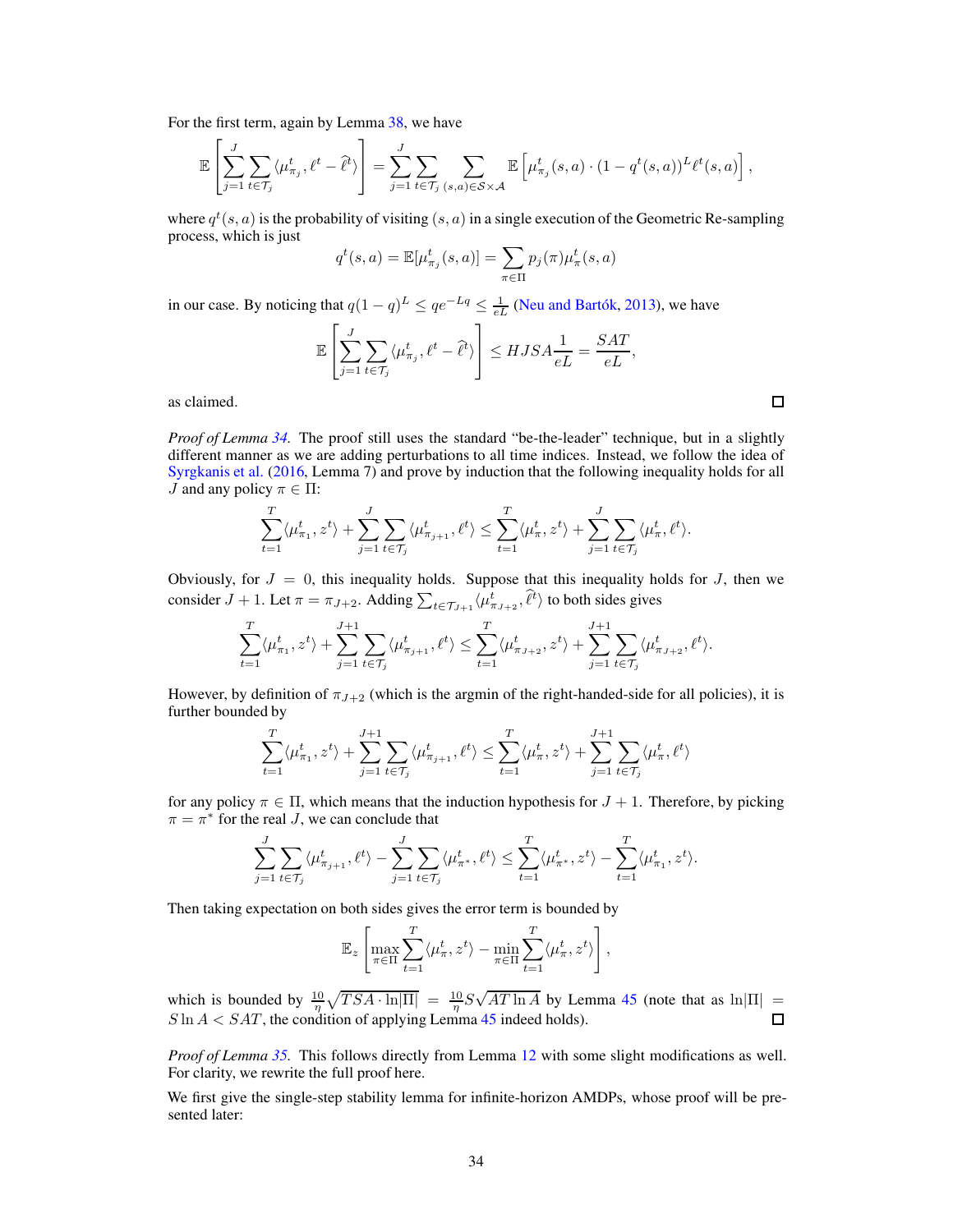For the first term, again by Lemma [38,](#page-38-2) we have

$$
\mathbb{E}\left[\sum_{j=1}^J\sum_{t\in\mathcal{T}_j}\langle\mu_{\pi_j}^t,\ell^t-\hat{\ell}^t\rangle\right]=\sum_{j=1}^J\sum_{t\in\mathcal{T}_j}\sum_{(s,a)\in\mathcal{S}\times\mathcal{A}}\mathbb{E}\left[\mu_{\pi_j}^t(s,a)\cdot(1-q^t(s,a))^L\ell^t(s,a)\right],
$$

where  $q^t(s, a)$  is the probability of visiting  $(s, a)$  in a single execution of the Geometric Re-sampling process, which is just

$$
q^t(s, a) = \mathbb{E}[\mu^t_{\pi_j}(s, a)] = \sum_{\pi \in \Pi} p_j(\pi) \mu^t_{\pi}(s, a)
$$

in our case. By noticing that  $q(1-q)^L \le qe^{-Lq} \le \frac{1}{eL}$  [\(Neu and Bartók,](#page-10-18) [2013\)](#page-10-18), we have

$$
\mathbb{E}\left[\sum_{j=1}^J\sum_{t\in\mathcal{T}_j}\langle\mu_{\pi_j}^t,\ell^t-\hat{\ell}^t\rangle\right]\leq HJSA\frac{1}{eL}=\frac{SAT}{eL},
$$

as claimed.

*Proof of Lemma* [34.](#page-32-1) The proof still uses the standard "be-the-leader" technique, but in a slightly different manner as we are adding perturbations to all time indices. Instead, we follow the idea of [Syrgkanis et al.](#page-11-5) [\(2016,](#page-11-5) Lemma 7) and prove by induction that the following inequality holds for all *J* and any policy  $\pi \in \Pi$ :

$$
\sum_{t=1}^T \langle \mu_{\pi_1}^t, z^t \rangle + \sum_{j=1}^J \sum_{t \in \mathcal{T}_j} \langle \mu_{\pi_{j+1}}^t, \ell^t \rangle \le \sum_{t=1}^T \langle \mu_{\pi}^t, z^t \rangle + \sum_{j=1}^J \sum_{t \in \mathcal{T}_j} \langle \mu_{\pi}^t, \ell^t \rangle.
$$

Obviously, for  $J = 0$ , this inequality holds. Suppose that this inequality holds for  $J$ , then we consider  $J + 1$ . Let  $\pi = \pi_{J+2}$ . Adding  $\sum_{t \in \mathcal{T}_{J+1}} \langle \mu^t_{\pi_{J+2}}, \hat{\ell}^t \rangle$  to both sides gives

$$
\sum_{t=1}^T \langle \mu_{\pi_1}^t, z^t \rangle + \sum_{j=1}^{J+1} \sum_{t \in \mathcal{T}_j} \langle \mu_{\pi_{j+1}}^t, \ell^t \rangle \le \sum_{t=1}^T \langle \mu_{\pi_{J+2}}^t, z^t \rangle + \sum_{j=1}^{J+1} \sum_{t \in \mathcal{T}_j} \langle \mu_{\pi_{J+2}}^t, \ell^t \rangle.
$$

However, by definition of  $\pi_{J+2}$  (which is the argmin of the right-handed-side for all policies), it is further bounded by

$$
\sum_{t=1}^T \langle \mu_{\pi_1}^t, z^t \rangle + \sum_{j=1}^{J+1} \sum_{t \in \mathcal{T}_j} \langle \mu_{\pi_{j+1}}^t, \ell^t \rangle \le \sum_{t=1}^T \langle \mu_{\pi}^t, z^t \rangle + \sum_{j=1}^{J+1} \sum_{t \in \mathcal{T}_j} \langle \mu_{\pi}^t, \ell^t \rangle
$$

for any policy  $\pi \in \Pi$ , which means that the induction hypothesis for  $J + 1$ . Therefore, by picking  $\pi = \pi^*$  for the real *J*, we can conclude that

$$
\sum_{j=1}^J \sum_{t \in \mathcal{T}_j} \langle \mu^t_{\pi_{j+1}}, \ell^t \rangle - \sum_{j=1}^J \sum_{t \in \mathcal{T}_j} \langle \mu^t_{\pi^*}, \ell^t \rangle \le \sum_{t=1}^T \langle \mu^t_{\pi^*}, z^t \rangle - \sum_{t=1}^T \langle \mu^t_{\pi_1}, z^t \rangle.
$$

Then taking expectation on both sides gives the error term is bounded by

$$
\mathbb{E}_z\left[\max_{\pi\in\Pi}\sum_{t=1}^T\langle\mu_\pi^t,z^t\rangle-\min_{\pi\in\Pi}\sum_{t=1}^T\langle\mu_\pi^t,z^t\rangle\right],
$$

which is bounded by  $\frac{10}{\eta} \sqrt{TSA \cdot \ln |\Pi|} = \frac{10}{\eta} S \sqrt{AT \ln A}$  by Lemma [45](#page-40-2) (note that as  $\ln |\Pi|$  =  $S \ln A < SAT$ , the condition of applying Lemma [45](#page-40-2) indeed holds).

*Proof of Lemma [35.](#page-32-2)* This follows directly from Lemma [12](#page-15-0) with some slight modifications as well. For clarity, we rewrite the full proof here.

<span id="page-33-0"></span>We first give the single-step stability lemma for infinite-horizon AMDPs, whose proof will be presented later: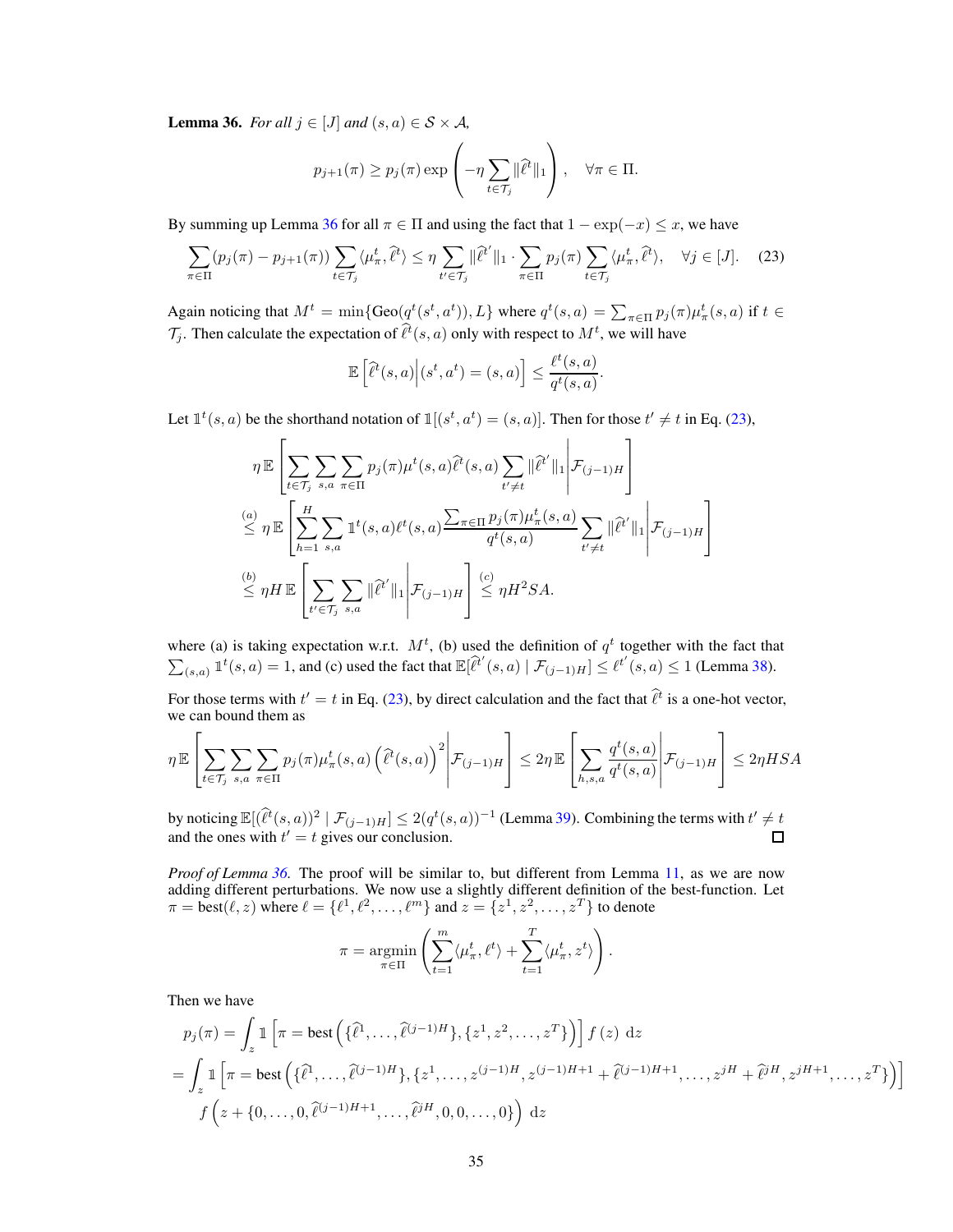**Lemma 36.** *For all*  $j \in [J]$  *and*  $(s, a) \in S \times A$ *,* 

$$
p_{j+1}(\pi) \ge p_j(\pi) \exp\left(-\eta \sum_{t \in \mathcal{T}_j} \|\hat{\ell}^t\|_1\right), \quad \forall \pi \in \Pi.
$$

By summing up Lemma [36](#page-33-0) for all  $\pi \in \Pi$  and using the fact that  $1 - \exp(-x) \leq x$ , we have

$$
\sum_{\pi \in \Pi} (p_j(\pi) - p_{j+1}(\pi)) \sum_{t \in \mathcal{T}_j} \langle \mu_\pi^t, \hat{\ell}^t \rangle \le \eta \sum_{t' \in \mathcal{T}_j} \|\hat{\ell}^{t'}\|_1 \cdot \sum_{\pi \in \Pi} p_j(\pi) \sum_{t \in \mathcal{T}_j} \langle \mu_\pi^t, \hat{\ell}^t \rangle, \quad \forall j \in [J]. \tag{23}
$$

Again noticing that  $M^t = \min\{\text{Geo}(q^t(s^t, a^t)), L\}$  where  $q^t(s, a) = \sum_{\pi \in \Pi} p_j(\pi) \mu_{\pi}^t(s, a)$  if  $t \in$  $\mathcal{T}_j$ . Then calculate the expectation of  $\hat{\ell}^t(s, a)$  only with respect to  $M^t$ , we will have

<span id="page-34-0"></span>
$$
\mathbb{E}\left[\widehat{\ell}^t(s,a)\Big|(s^t,a^t)=(s,a)\right] \leq \frac{\ell^t(s,a)}{q^t(s,a)}.
$$

Let  $\mathbb{1}^t(s, a)$  be the shorthand notation of  $\mathbb{1}[(s^t, a^t) = (s, a)]$ . Then for those  $t' \neq t$  in Eq. [\(23\)](#page-34-0),

$$
\eta \mathbb{E}\left[\sum_{t \in \mathcal{T}_j} \sum_{s,a} \sum_{\pi \in \Pi} p_j(\pi) \mu^t(s,a) \widehat{\ell}^t(s,a) \sum_{t' \neq t} ||\widehat{\ell}^t||_1 \middle| \mathcal{F}_{(j-1)H} \right]
$$
\n
$$
\stackrel{(a)}{\leq} \eta \mathbb{E}\left[\sum_{h=1}^H \sum_{s,a} \mathbb{1}^t(s,a) \ell^t(s,a) \frac{\sum_{\pi \in \Pi} p_j(\pi) \mu^t_{\pi}(s,a)}{q^t(s,a)} \sum_{t' \neq t} ||\widehat{\ell}^t||_1 \middle| \mathcal{F}_{(j-1)H} \right]
$$
\n
$$
\stackrel{(b)}{\leq} \eta H \mathbb{E}\left[\sum_{t' \in \mathcal{T}_j} \sum_{s,a} ||\widehat{\ell}^t||_1 \middle| \mathcal{F}_{(j-1)H} \right] \stackrel{(c)}{\leq} \eta H^2 SA.
$$

where (a) is taking expectation w.r.t.  $M<sup>t</sup>$ , (b) used the definition of  $q<sup>t</sup>$  together with the fact that  $\sum_{(s,a)} \mathbb{1}^t(s,a) = 1$ , and (c) used the fact that  $\mathbb{E}[\hat{\ell}^{t'}(s,a) | \mathcal{F}_{(j-1)H}] \leq \ell^{t'}(s,a) \leq 1$  (Lemma [38\)](#page-38-2).

For those terms with  $t' = t$  in Eq. [\(23\)](#page-34-0), by direct calculation and the fact that  $\hat{\ell}^t$  is a one-hot vector, we can bound them as  $\mathbf{r}$ 

$$
\eta \mathbb{E}\left[\sum_{t \in \mathcal{T}_j}\sum_{s,a}\sum_{\pi \in \Pi}p_j(\pi)\mu_{\pi}^t(s,a)\left(\hat{\ell}^t(s,a)\right)^2\middle|\mathcal{F}_{(j-1)H}\right] \leq 2\eta \mathbb{E}\left[\sum_{h,s,a}\frac{q^t(s,a)}{q^t(s,a)}\middle|\mathcal{F}_{(j-1)H}\right] \leq 2\eta HSA
$$

by noticing  $\mathbb{E}[(\hat{\ell}^t(s,a))^2 \mid \mathcal{F}_{(j-1)H}] \leq 2(q^t(s,a))^{-1}$  (Lemma [39\)](#page-38-3). Combining the terms with  $t' \neq t$ and the ones with  $t' = t$  gives our conclusion.

*Proof of Lemma [36.](#page-33-0)* The proof will be similar to, but different from Lemma [11,](#page-15-1) as we are now adding different perturbations. We now use a slightly different definition of the best-function. Let  $\pi = \text{best}(\ell, z)$  where  $\ell = \{\ell^1, \ell^2, \ldots, \ell^m\}$  and  $z = \{z^1, z^2, \ldots, z^T\}$  to denote

$$
\pi = \underset{\pi \in \Pi}{\operatorname{argmin}} \left( \sum_{t=1}^{m} \langle \mu_{\pi}^{t}, \ell^{t} \rangle + \sum_{t=1}^{T} \langle \mu_{\pi}^{t}, z^{t} \rangle \right).
$$

Then we have

$$
p_j(\pi) = \int_z \mathbb{1}\left[\pi = \text{best}\left(\{\hat{\ell}^1, \dots, \hat{\ell}^{(j-1)H}\}, \{z^1, z^2, \dots, z^T\}\right)\right] f(z) dz
$$
  
= 
$$
\int_z \mathbb{1}\left[\pi = \text{best}\left(\{\hat{\ell}^1, \dots, \hat{\ell}^{(j-1)H}\}, \{z^1, \dots, z^{(j-1)H}, z^{(j-1)H+1} + \hat{\ell}^{(j-1)H+1}, \dots, z^{jH} + \hat{\ell}^{jH}, z^{jH+1}, \dots, z^T\}\right)\right]
$$
  

$$
f\left(z + \{0, \dots, 0, \hat{\ell}^{(j-1)H+1}, \dots, \hat{\ell}^{jH}, 0, 0, \dots, 0\}\right) dz
$$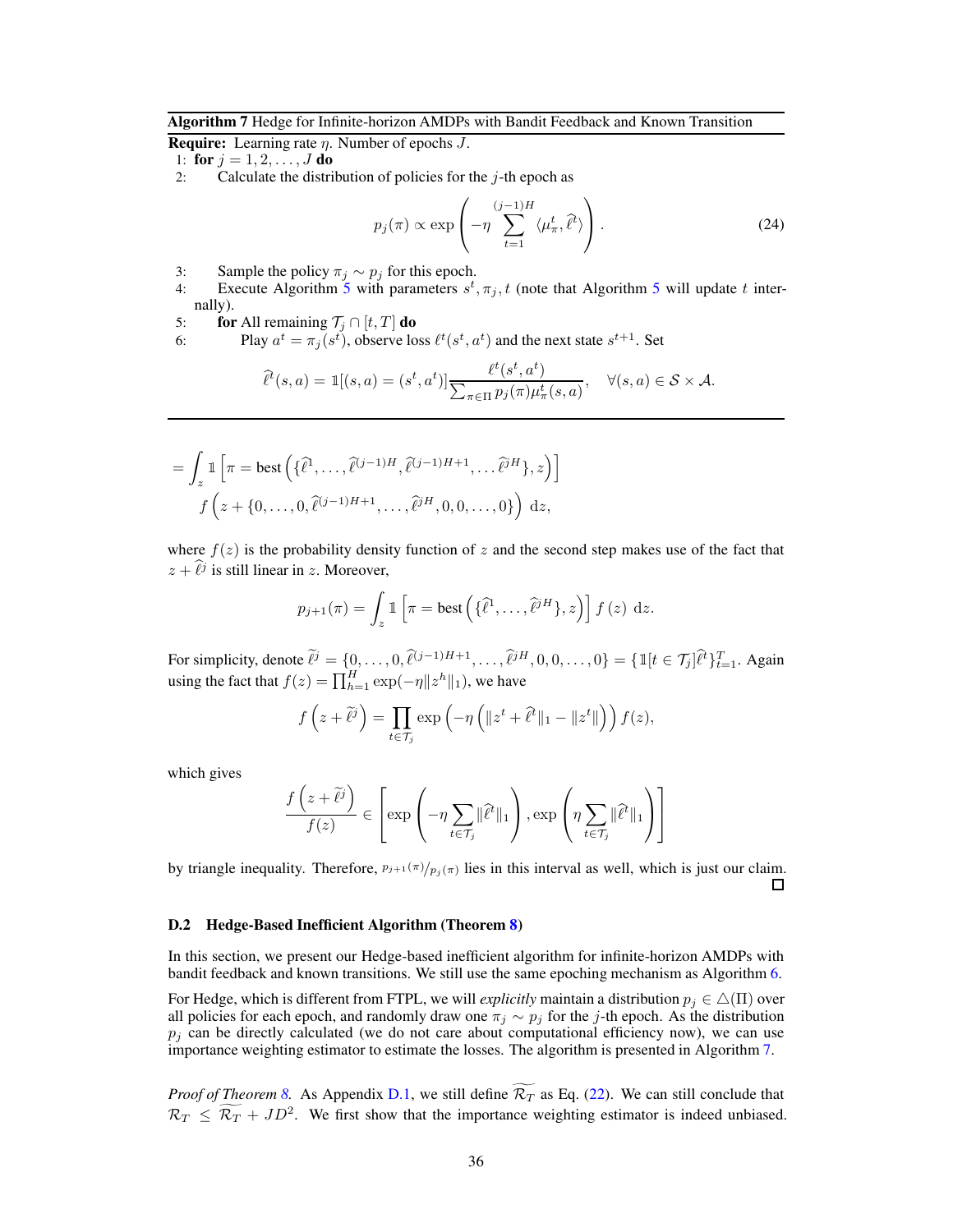<span id="page-35-0"></span>**Require:** Learning rate  $\eta$ . Number of epochs  $J$ .

1: for  $j = 1, 2, ..., J$  do

2: Calculate the distribution of policies for the  $j$ -th epoch as

<span id="page-35-2"></span>
$$
p_j(\pi) \propto \exp\left(-\eta \sum_{t=1}^{(j-1)H} \langle \mu_\pi^t, \hat{\ell}^t \rangle \right). \tag{24}
$$

- 
- 3: Sample the policy  $\pi_j \sim p_j$  for this epoch.<br>4: Execute Algorithm [5](#page-30-0) with parameters  $s^t, \pi_j, t$  (note that Algorithm 5 will update t internally).
- 5: **for** All remaining  $\mathcal{T}_j \cap [t, T]$  **do**<br>6: Play  $a^t = \pi_i(s^t)$ , observe lo
- 6: Play  $a^t = \pi_j(s^t)$ , observe loss  $\ell^t(s^t, a^t)$  and the next state  $s^{t+1}$ . Set

$$
\widehat{\ell}^t(s,a) = \mathbb{1}[(s,a) = (s^t, a^t)] \frac{\ell^t(s^t, a^t)}{\sum_{\pi \in \Pi} p_j(\pi) \mu^t_\pi(s,a)}, \quad \forall (s,a) \in \mathcal{S} \times \mathcal{A}.
$$

$$
= \int_{z} \mathbb{1} \left[ \pi = \text{best}\left( \{\widehat{\ell}^{1}, \ldots, \widehat{\ell}^{(j-1)H}, \widehat{\ell}^{(j-1)H+1}, \ldots \widehat{\ell}^{jH} \}, z \right) \right]
$$

$$
f\left(z + \{0, \ldots, 0, \widehat{\ell}^{(j-1)H+1}, \ldots, \widehat{\ell}^{jH}, 0, 0, \ldots, 0\} \right) dz,
$$

where  $f(z)$  is the probability density function of z and the second step makes use of the fact that  $z + \hat{\ell}^j$  is still linear in z. Moreover,

$$
p_{j+1}(\pi) = \int_z \mathbb{1}\left[\pi = \text{best}\left(\{\widehat{\ell}^1, \ldots, \widehat{\ell}^{jH}\}, z\right)\right] f(z) \, dz.
$$

For simplicity, denote  $\hat{\ell}^j = \{0, \ldots, 0, \hat{\ell}^{(j-1)H+1}, \ldots, \hat{\ell}^{jH}, 0, 0, \ldots, 0\} = \{\mathbb{1}[t \in \mathcal{T}_j] \hat{\ell}^t\}_{t=1}^T$ . Again using the fact that  $f(z) = \prod_{h=1}^{H} \exp(-\eta ||z^h||_1)$ , we have

$$
f(z+\widetilde{\ell}^j) = \prod_{t \in \mathcal{T}_j} \exp\left(-\eta \left(\|z^t + \widehat{\ell}^t\|_1 - \|z^t\|\right)\right) f(z),
$$

which gives

$$
\frac{f(z+\widetilde{\ell}^{j})}{f(z)} \in \left[\exp\left(-\eta \sum_{t \in \mathcal{T}_{j}} \|\widehat{\ell}^{t}\|_{1}\right), \exp\left(\eta \sum_{t \in \mathcal{T}_{j}} \|\widehat{\ell}^{t}\|_{1}\right)\right]
$$

by triangle inequality. Therefore,  $p_{j+1}(\pi)/p_j(\pi)$  lies in this interval as well, which is just our claim. □

#### <span id="page-35-1"></span>D.2 Hedge-Based Inefficient Algorithm (Theorem [8\)](#page-9-2)

In this section, we present our Hedge-based inefficient algorithm for infinite-horizon AMDPs with bandit feedback and known transitions. We still use the same epoching mechanism as Algorithm [6.](#page-31-0)

For Hedge, which is different from FTPL, we will *explicitly* maintain a distribution  $p_j \in \Delta(\Pi)$  over all policies for each epoch, and randomly draw one  $\pi_j \sim p_j$  for the j-th epoch. As the distribution  $p_i$  can be directly calculated (we do not care about computational efficiency now), we can use importance weighting estimator to estimate the losses. The algorithm is presented in Algorithm [7.](#page-35-0)

*Proof of Theorem [8.](#page-9-2)* As Appendix [D.1,](#page-29-0) we still define  $\widetilde{\mathcal{R}_T}$  as Eq. [\(22\)](#page-31-2). We can still conclude that  $\mathcal{R}_T \leq \overline{\mathcal{R}}_T + JD^2$ . We first show that the importance weighting estimator is indeed unbiased.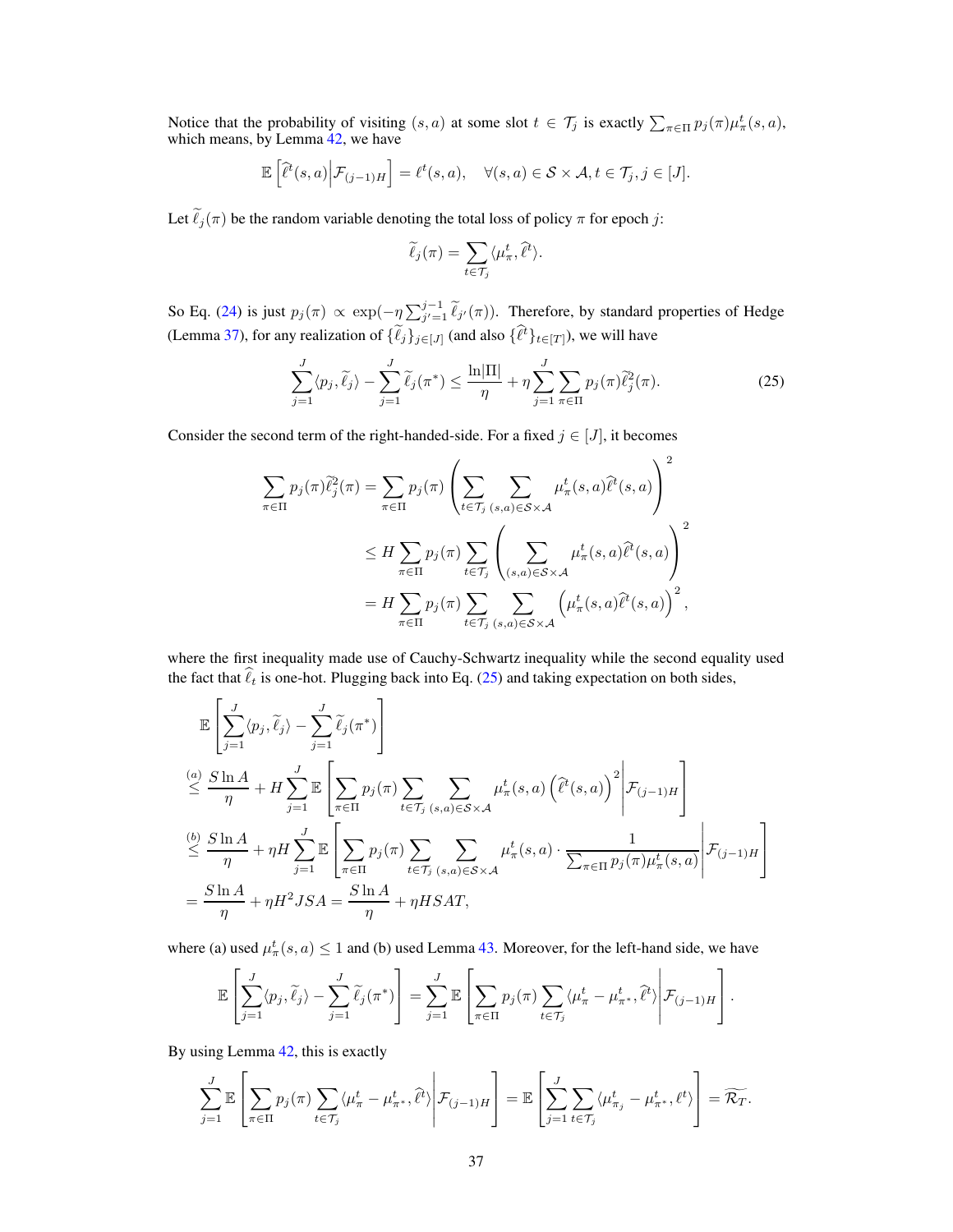Notice that the probability of visiting  $(s, a)$  at some slot  $t \in \mathcal{T}_j$  is exactly  $\sum_{\pi \in \Pi} p_j(\pi) \mu_{\pi}^t(s, a)$ , which means, by Lemma [42,](#page-39-2) we have

$$
\mathbb{E}\left[\widehat{\ell}^t(s,a)\Big|\mathcal{F}_{(j-1)H}\right] = \ell^t(s,a), \quad \forall (s,a) \in \mathcal{S} \times \mathcal{A}, t \in \mathcal{T}_j, j \in [J].
$$

Let  $\tilde{\ell}_j(\pi)$  be the random variable denoting the total loss of policy  $\pi$  for epoch j:

<span id="page-36-0"></span>
$$
\widetilde{\ell}_j(\pi) = \sum_{t \in \mathcal{T}_j} \langle \mu_\pi^t, \widehat{\ell}^t \rangle.
$$

So Eq. [\(24\)](#page-35-2) is just  $p_j(\pi) \propto \exp(-\eta \sum_{j'=1}^{j-1} \tilde{\ell}_{j'}(\pi))$ . Therefore, by standard properties of Hedge (Lemma [37\)](#page-37-0), for any realization of  $\{ \ell_j \}_{j \in [J]}$  (and also  $\{ \ell^t \}_{t \in [T]}$ ), we will have

$$
\sum_{j=1}^{J} \langle p_j, \tilde{\ell}_j \rangle - \sum_{j=1}^{J} \tilde{\ell}_j(\pi^*) \le \frac{\ln|\Pi|}{\eta} + \eta \sum_{j=1}^{J} \sum_{\pi \in \Pi} p_j(\pi) \tilde{\ell}_j^2(\pi).
$$
 (25)

Consider the second term of the right-handed-side. For a fixed  $j \in [J]$ , it becomes

$$
\sum_{\pi \in \Pi} p_j(\pi) \tilde{\ell}_j^2(\pi) = \sum_{\pi \in \Pi} p_j(\pi) \left( \sum_{t \in \mathcal{T}_j} \sum_{(s,a) \in S \times \mathcal{A}} \mu_{\pi}^t(s,a) \tilde{\ell}^t(s,a) \right)^2
$$
  

$$
\leq H \sum_{\pi \in \Pi} p_j(\pi) \sum_{t \in \mathcal{T}_j} \left( \sum_{(s,a) \in S \times \mathcal{A}} \mu_{\pi}^t(s,a) \tilde{\ell}^t(s,a) \right)^2
$$
  

$$
= H \sum_{\pi \in \Pi} p_j(\pi) \sum_{t \in \mathcal{T}_j} \sum_{(s,a) \in S \times \mathcal{A}} \left( \mu_{\pi}^t(s,a) \tilde{\ell}^t(s,a) \right)^2,
$$

where the first inequality made use of Cauchy-Schwartz inequality while the second equality used the fact that  $\hat{\ell}_t$  is one-hot. Plugging back into Eq. [\(25\)](#page-36-0) and taking expectation on both sides,

$$
\mathbb{E}\left[\sum_{j=1}^{J}\langle p_j,\tilde{\ell}_j\rangle-\sum_{j=1}^{J}\tilde{\ell}_j(\pi^*)\right]
$$
\n
$$
\stackrel{(a)}{\leq} \frac{S\ln A}{\eta} + H\sum_{j=1}^{J}\mathbb{E}\left[\sum_{\pi\in\Pi}p_j(\pi)\sum_{t\in\mathcal{T}_j}\sum_{(s,a)\in\mathcal{S}\times\mathcal{A}}\mu_{\pi}^t(s,a)\left(\hat{\ell}^t(s,a)\right)^2\middle|\mathcal{F}_{(j-1)H}\right]
$$
\n
$$
\stackrel{(b)}{\leq} \frac{S\ln A}{\eta} + \eta H\sum_{j=1}^{J}\mathbb{E}\left[\sum_{\pi\in\Pi}p_j(\pi)\sum_{t\in\mathcal{T}_j}\sum_{(s,a)\in\mathcal{S}\times\mathcal{A}}\mu_{\pi}^t(s,a)\cdot\frac{1}{\sum_{\pi\in\Pi}p_j(\pi)\mu_{\pi}^t(s,a)}\middle|\mathcal{F}_{(j-1)H}\right]
$$
\n
$$
= \frac{S\ln A}{\eta} + \eta H^2 JSA = \frac{S\ln A}{\eta} + \eta HSAT,
$$

where (a) used  $\mu_{\pi}^{t}(s, a) \leq 1$  and (b) used Lemma [43.](#page-39-3) Moreover, for the left-hand side, we have

$$
\mathbb{E}\left[\sum_{j=1}^J \langle p_j, \tilde{\ell}_j \rangle - \sum_{j=1}^J \tilde{\ell}_j(\pi^*)\right] = \sum_{j=1}^J \mathbb{E}\left[\sum_{\pi \in \Pi} p_j(\pi) \sum_{t \in \mathcal{T}_j} \langle \mu_{\pi}^t - \mu_{\pi^*}^t, \hat{\ell}^t \rangle \middle| \mathcal{F}_{(j-1)H}\right].
$$

By using Lemma [42,](#page-39-2) this is exactly

$$
\sum_{j=1}^{J} \mathbb{E}\left[\sum_{\pi \in \Pi} p_j(\pi) \sum_{t \in \mathcal{T}_j} \langle \mu_{\pi}^t - \mu_{\pi^*}^t, \hat{\ell}^t \rangle \middle| \mathcal{F}_{(j-1)H}\right] = \mathbb{E}\left[\sum_{j=1}^{J} \sum_{t \in \mathcal{T}_j} \langle \mu_{\pi_j}^t - \mu_{\pi^*}^t, \ell^t \rangle\right] = \widetilde{\mathcal{R}_T}.
$$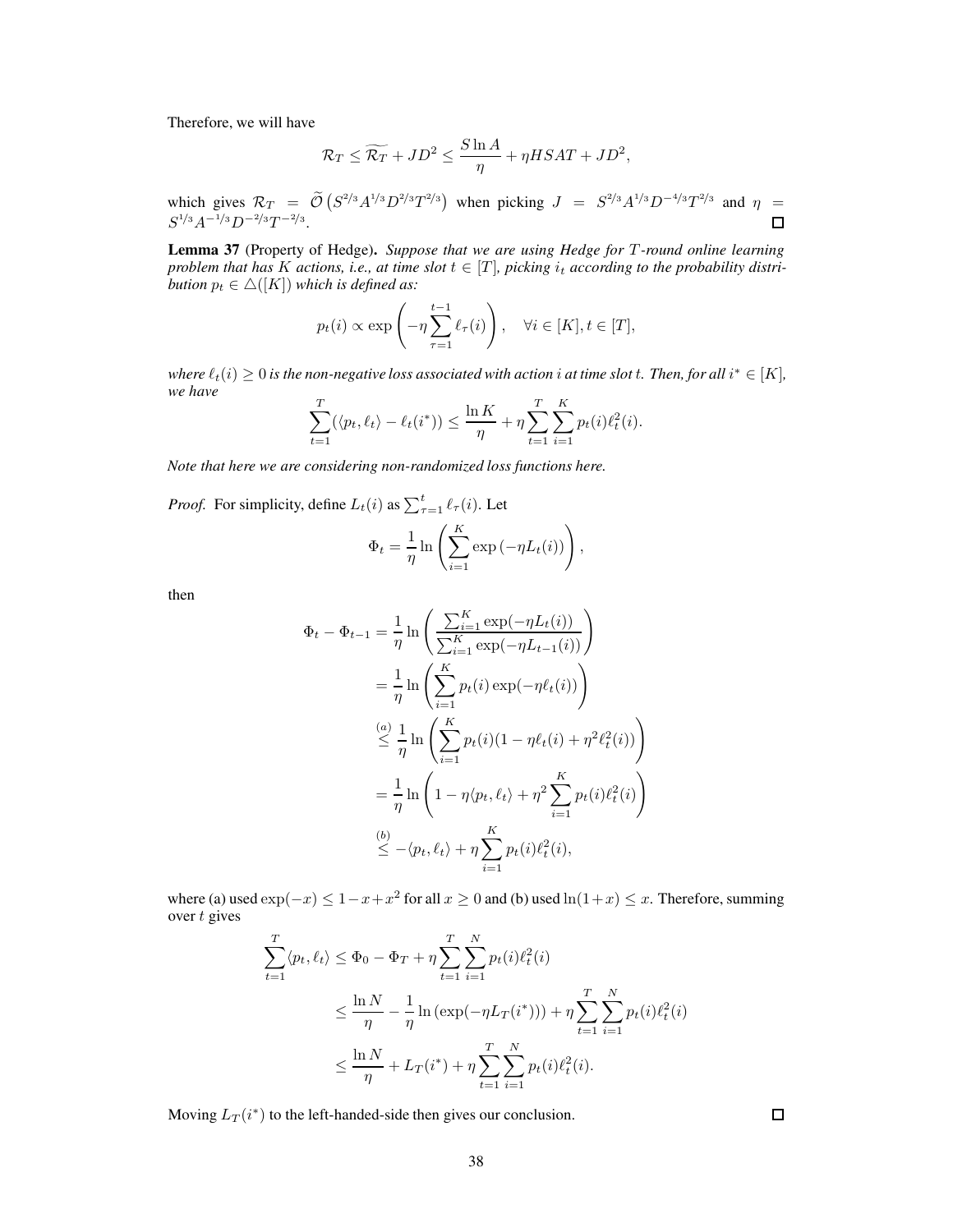Therefore, we will have

$$
\mathcal{R}_T \le \widetilde{\mathcal{R}_T} + JD^2 \le \frac{S \ln A}{\eta} + \eta HSAT + JD^2,
$$

which gives  $\mathcal{R}_T = \tilde{\mathcal{O}}\left( S^{2/3} A^{1/3} D^{2/3} T^{2/3} \right)$  when picking  $J = S^{2/3} A^{1/3} D^{-4/3} T^{2/3}$  and  $\eta =$  $S^{1/3}A^{-1/3}D^{-2/3}T^{-2/3}.$  $\Box$ 

<span id="page-37-0"></span>Lemma 37 (Property of Hedge). Suppose that we are using Hedge for T-round online learning *problem that has* K *actions, i.e., at time slot*  $t \in [T]$ *, picking*  $i_t$  *according to the probability distribution*  $p_t \in \Delta([K])$  *which is defined as:* 

$$
p_t(i) \propto \exp\left(-\eta \sum_{\tau=1}^{t-1} \ell_{\tau}(i)\right), \quad \forall i \in [K], t \in [T],
$$

where  $\ell_t(i) \geq 0$  is the non-negative loss associated with action  $i$  at time slot  $t$ . Then, for all  $i^* \in [K]$ , *we have*

$$
\sum_{t=1}^{T} (\langle p_t, \ell_t \rangle - \ell_t(i^*) ) \le \frac{\ln K}{\eta} + \eta \sum_{t=1}^{T} \sum_{i=1}^{K} p_t(i) \ell_t^2(i).
$$

*Note that here we are considering non-randomized loss functions here.*

*Proof.* For simplicity, define  $L_t(i)$  as  $\sum_{\tau=1}^t \ell_\tau(i)$ . Let

$$
\Phi_t = \frac{1}{\eta} \ln \left( \sum_{i=1}^K \exp(-\eta L_t(i)) \right),\,
$$

then

$$
\Phi_t - \Phi_{t-1} = \frac{1}{\eta} \ln \left( \frac{\sum_{i=1}^K \exp(-\eta L_t(i))}{\sum_{i=1}^K \exp(-\eta L_{t-1}(i))} \right)
$$
  
\n
$$
= \frac{1}{\eta} \ln \left( \sum_{i=1}^K p_t(i) \exp(-\eta \ell_t(i)) \right)
$$
  
\n
$$
\stackrel{(a)}{\leq} \frac{1}{\eta} \ln \left( \sum_{i=1}^K p_t(i) (1 - \eta \ell_t(i) + \eta^2 \ell_t^2(i)) \right)
$$
  
\n
$$
= \frac{1}{\eta} \ln \left( 1 - \eta \langle p_t, \ell_t \rangle + \eta^2 \sum_{i=1}^K p_t(i) \ell_t^2(i) \right)
$$
  
\n
$$
\stackrel{(b)}{\leq} - \langle p_t, \ell_t \rangle + \eta \sum_{i=1}^K p_t(i) \ell_t^2(i),
$$

where (a) used  $\exp(-x) \leq 1 - x + x^2$  for all  $x \geq 0$  and (b) used  $\ln(1+x) \leq x$ . Therefore, summing over  $t$  gives

$$
\sum_{t=1}^{T} \langle p_t, \ell_t \rangle \le \Phi_0 - \Phi_T + \eta \sum_{t=1}^{T} \sum_{i=1}^{N} p_t(i) \ell_t^2(i)
$$
  

$$
\le \frac{\ln N}{\eta} - \frac{1}{\eta} \ln \left( \exp(-\eta L_T(i^*)) \right) + \eta \sum_{t=1}^{T} \sum_{i=1}^{N} p_t(i) \ell_t^2(i)
$$
  

$$
\le \frac{\ln N}{\eta} + L_T(i^*) + \eta \sum_{t=1}^{T} \sum_{i=1}^{N} p_t(i) \ell_t^2(i).
$$

Moving  $L_T(i^*)$  to the left-handed-side then gives our conclusion.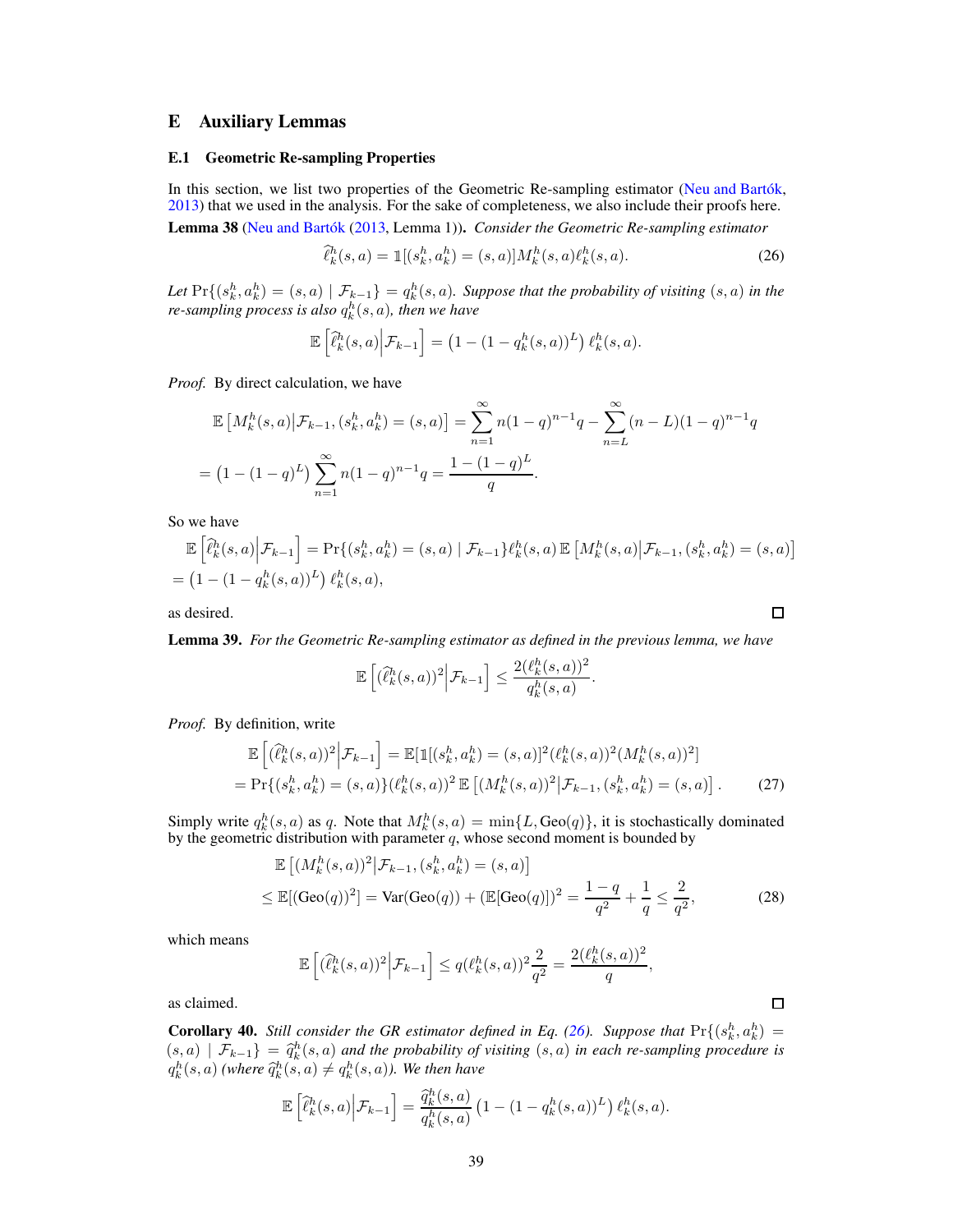# <span id="page-38-1"></span><span id="page-38-0"></span>E Auxiliary Lemmas

#### E.1 Geometric Re-sampling Properties

<span id="page-38-2"></span>In this section, we list two properties of the Geometric Re-sampling estimator [\(Neu and Bartók,](#page-10-18) [2013\)](#page-10-18) that we used in the analysis. For the sake of completeness, we also include their proofs here. Lemma 38 [\(Neu and Bartók](#page-10-18) [\(2013,](#page-10-18) Lemma 1)). *Consider the Geometric Re-sampling estimator*

$$
\hat{\ell}_k^h(s, a) = \mathbb{1}[(s_k^h, a_k^h) = (s, a)]M_k^h(s, a)\ell_k^h(s, a). \tag{26}
$$

Let  $\Pr\{(s_k^h, a_k^h) = (s, a) \mid \mathcal{F}_{k-1}\} = q_k^h(s, a)$ . Suppose that the probability of visiting  $(s, a)$  in the  $r$ e-sampling process is also  $q_k^h(s,a)$ , then we have

$$
\mathbb{E}\left[\widehat{\ell}_k^h(s,a)\middle|\mathcal{F}_{k-1}\right] = \left(1 - (1 - q_k^h(s,a))^L\right)\ell_k^h(s,a).
$$

*Proof.* By direct calculation, we have

$$
\mathbb{E}\left[M_k^h(s,a)\big|\mathcal{F}_{k-1},(s_k^h,a_k^h)=(s,a)\right] = \sum_{n=1}^{\infty} n(1-q)^{n-1}q - \sum_{n=L}^{\infty} (n-L)(1-q)^{n-1}q
$$

$$
= (1-(1-q)^L)\sum_{n=1}^{\infty} n(1-q)^{n-1}q = \frac{1-(1-q)^L}{q}.
$$

So we have

$$
\mathbb{E}\left[\hat{\ell}_k^h(s,a)\Big|\mathcal{F}_{k-1}\right] = \Pr\{(s_k^h, a_k^h) = (s,a) \mid \mathcal{F}_{k-1}\}\ell_k^h(s,a) \mathbb{E}\left[M_k^h(s,a)\big|\mathcal{F}_{k-1}, (s_k^h, a_k^h) = (s,a)\right]
$$

$$
= \left(1 - (1 - q_k^h(s,a))^L\right) \ell_k^h(s,a),
$$

<span id="page-38-3"></span>as desired.

Lemma 39. *For the Geometric Re-sampling estimator as defined in the previous lemma, we have*

$$
\mathbb{E}\left[ (\widehat{\ell}_k^h(s,a))^2 \Big| \mathcal{F}_{k-1} \right] \leq \frac{2(\ell_k^h(s,a))^2}{q_k^h(s,a)}.
$$

*Proof.* By definition, write

$$
\mathbb{E}\left[ (\hat{\ell}_k^h(s,a))^2 \Big| \mathcal{F}_{k-1} \right] = \mathbb{E}[\mathbb{1}[(s_k^h, a_k^h) = (s,a)]^2 (\ell_k^h(s,a))^2 (M_k^h(s,a))^2]
$$
  
=  $\Pr\{(s_k^h, a_k^h) = (s,a)\} (\ell_k^h(s,a))^2 \mathbb{E}\left[ (M_k^h(s,a))^2 \Big| \mathcal{F}_{k-1}, (s_k^h, a_k^h) = (s,a) \right].$  (27)

Simply write  $q_k^h(s, a)$  as q. Note that  $M_k^h(s, a) = \min\{L, \text{Geo}(q)\}\)$ , it is stochastically dominated by the geometric distribution with parameter  $q$ , whose second moment is bounded by

$$
\mathbb{E}\left[ (M_k^h(s,a))^2 \middle| \mathcal{F}_{k-1}, (s_k^h, a_k^h) = (s,a) \right]
$$
  
\n
$$
\leq \mathbb{E}[(\text{Geo}(q))^2] = \text{Var}(\text{Geo}(q)) + (\mathbb{E}[\text{Geo}(q)])^2 = \frac{1-q}{q^2} + \frac{1}{q} \leq \frac{2}{q^2},
$$
\n(28)

which means

$$
\mathbb{E}\left[\left(\widehat{\ell}_k^h(s,a)\right)^2 \Big| \mathcal{F}_{k-1}\right] \le q\left(\ell_k^h(s,a)\right)^2 \frac{2}{q^2} = \frac{2\left(\ell_k^h(s,a)\right)^2}{q},
$$

<span id="page-38-4"></span>as claimed.

**Corollary 40.** *Still consider the GR estimator defined in Eq.* [\(26\)](#page-38-5)*. Suppose that*  $\Pr\{(s_k^h, a_k^h) =$  $(s, a)$   $\mathcal{F}_{k-1}$  =  $\hat{q}_k^h(s, a)$  and the probability of visiting  $(s, a)$  in each re-sampling procedure is  $q_k^h(s, a)$  (where  $\widehat{q}_k^h(s, a) \neq q_k^h(s, a)$ ). We then have

$$
\mathbb{E}\left[\widehat{\ell}_k^h(s,a)\Big|\mathcal{F}_{k-1}\right] = \frac{\widehat{q}_k^h(s,a)}{q_k^h(s,a)}\left(1-(1-q_k^h(s,a))^L\right)\ell_k^h(s,a).
$$

<span id="page-38-6"></span><span id="page-38-5"></span>

<span id="page-38-7"></span> $\Box$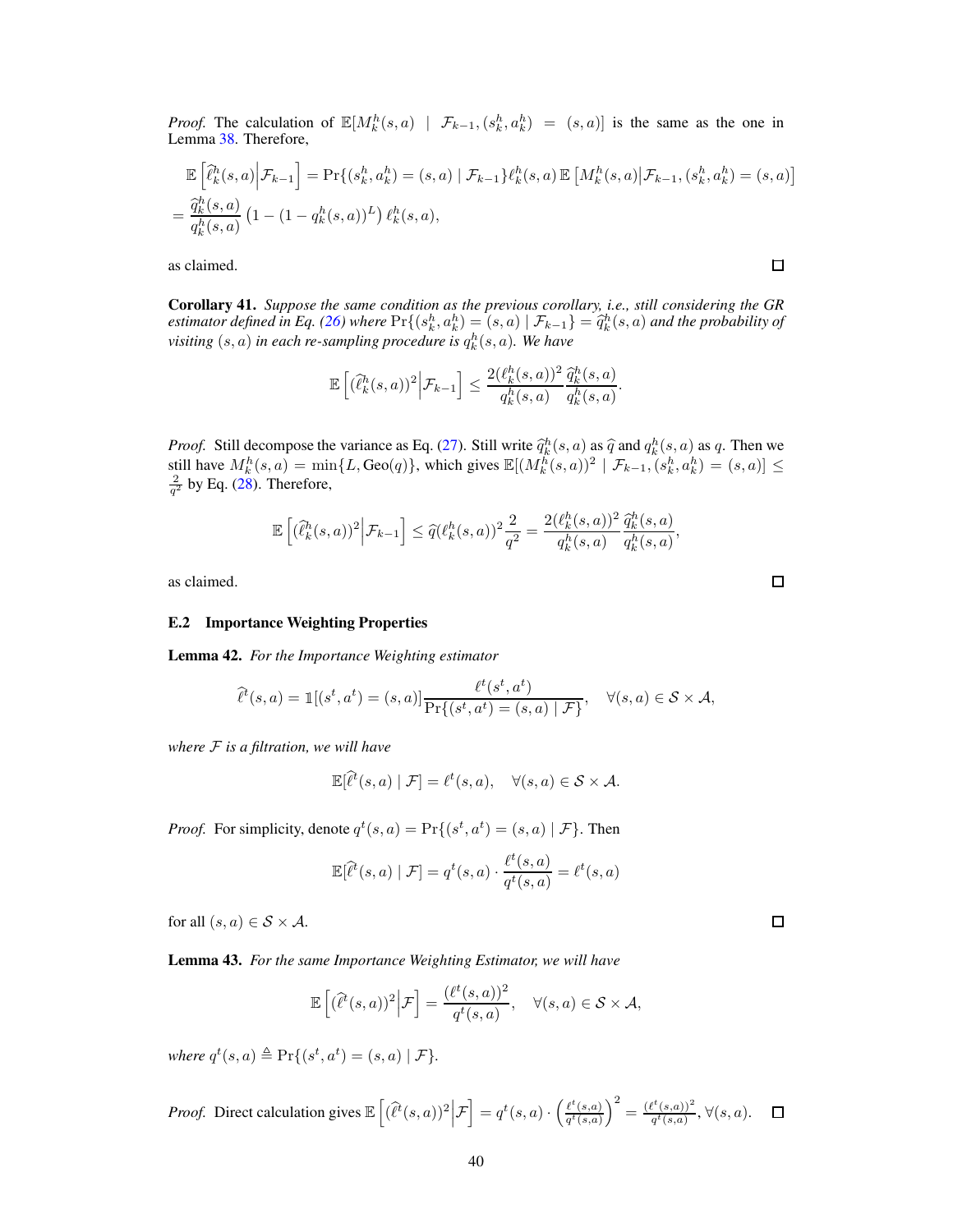*Proof.* The calculation of  $\mathbb{E}[M_k^h(s, a) | \mathcal{F}_{k-1}, (s_k^h, a_k^h) = (s, a)]$  is the same as the one in Lemma [38.](#page-38-2) Therefore,

$$
\mathbb{E}\left[\hat{\ell}_{k}^{h}(s,a)\Big|\mathcal{F}_{k-1}\right] = \Pr\{(s_{k}^{h}, a_{k}^{h}) = (s,a) \mid \mathcal{F}_{k-1}\}\ell_{k}^{h}(s,a) \mathbb{E}\left[M_{k}^{h}(s,a)\big|\mathcal{F}_{k-1}, (s_{k}^{h}, a_{k}^{h}) = (s,a)\right]
$$

$$
= \frac{\hat{q}_{k}^{h}(s,a)}{q_{k}^{h}(s,a)}\left(1 - (1 - q_{k}^{h}(s,a))^{L}\right) \ell_{k}^{h}(s,a),
$$

as claimed.

<span id="page-39-1"></span>Corollary 41. *Suppose the same condition as the previous corollary, i.e., still considering the GR estimator defined in Eq.* [\(26\)](#page-38-5) where  $\Pr\{(s_h^h, a_k^h) = (s, a) \mid \mathcal{F}_{k-1}\} = \hat{q}_k^h(s, a)$  and the probability of  $visting(s, a)$  in each re-sampling procedure is  $q_k^h(s, a)$ . We have

$$
\mathbb{E}\left[ (\widehat{\ell}_k^h(s,a))^2 \Big| \mathcal{F}_{k-1} \right] \leq \frac{2(\ell_k^h(s,a))^2}{q_k^h(s,a)} \frac{\widehat{q}_k^h(s,a)}{q_k^h(s,a)}.
$$

*Proof.* Still decompose the variance as Eq. [\(27\)](#page-38-6). Still write  $\hat{q}_k^h(s, a)$  as  $\hat{q}$  and  $q_k^h(s, a)$  as q. Then we still have  $M_k^h(s, a) = \min\{L, \text{Geo}(q)\},\$  which gives  $\mathbb{E}[(M_k^h(s, a))^2 \mid \mathcal{F}_{k-1}, (s_k^h, a_k^h) = (s, a)] \leq$  $\frac{2}{q^2}$  by Eq. [\(28\)](#page-38-7). Therefore,

$$
\mathbb{E}\left[ (\widehat{\ell}^h_k(s,a))^2 \Big| \mathcal{F}_{k-1} \right] \leq \widehat{q}(\ell^h_k(s,a))^2 \frac{2}{q^2} = \frac{2(\ell^h_k(s,a))^2}{q^h_k(s,a)} \frac{\widehat{q}^h_k(s,a)}{q^h_k(s,a)},
$$

<span id="page-39-0"></span>as claimed.

#### <span id="page-39-2"></span>E.2 Importance Weighting Properties

Lemma 42. *For the Importance Weighting estimator*

$$
\widehat{\ell}^t(s,a) = \mathbb{1}[(s^t, a^t) = (s,a)] \frac{\ell^t(s^t, a^t)}{\Pr\{(s^t, a^t) = (s,a) \mid \mathcal{F}\}}, \quad \forall (s,a) \in \mathcal{S} \times \mathcal{A},
$$

*where* F *is a filtration, we will have*

$$
\mathbb{E}[\hat{\ell}^t(s,a) | \mathcal{F}] = \ell^t(s,a), \quad \forall (s,a) \in \mathcal{S} \times \mathcal{A}.
$$

*Proof.* For simplicity, denote  $q^t(s, a) = Pr\{(s^t, a^t) = (s, a) | \mathcal{F}\}\.$  Then

$$
\mathbb{E}[\widehat{\ell}^t(s,a) | \mathcal{F}] = q^t(s,a) \cdot \frac{\ell^t(s,a)}{q^t(s,a)} = \ell^t(s,a)
$$

for all  $(s, a) \in S \times A$ .

<span id="page-39-3"></span>Lemma 43. *For the same Importance Weighting Estimator, we will have*

$$
\mathbb{E}\left[ (\hat{\ell}^t(s,a))^2 \Big| \mathcal{F} \right] = \frac{(\ell^t(s,a))^2}{q^t(s,a)}, \quad \forall (s,a) \in \mathcal{S} \times \mathcal{A},
$$

*where*  $q^t(s, a) \triangleq \Pr\{(s^t, a^t) = (s, a) | \mathcal{F}\}.$ 

*Proof.* Direct calculation gives 
$$
\mathbb{E}\left[ (\hat{\ell}^t(s, a))^2 \Big| \mathcal{F} \right] = q^t(s, a) \cdot \left( \frac{\ell^t(s, a)}{q^t(s, a)} \right)^2 = \frac{(\ell^t(s, a))^2}{q^t(s, a)}, \forall (s, a).
$$

 $\Box$ 

 $\Box$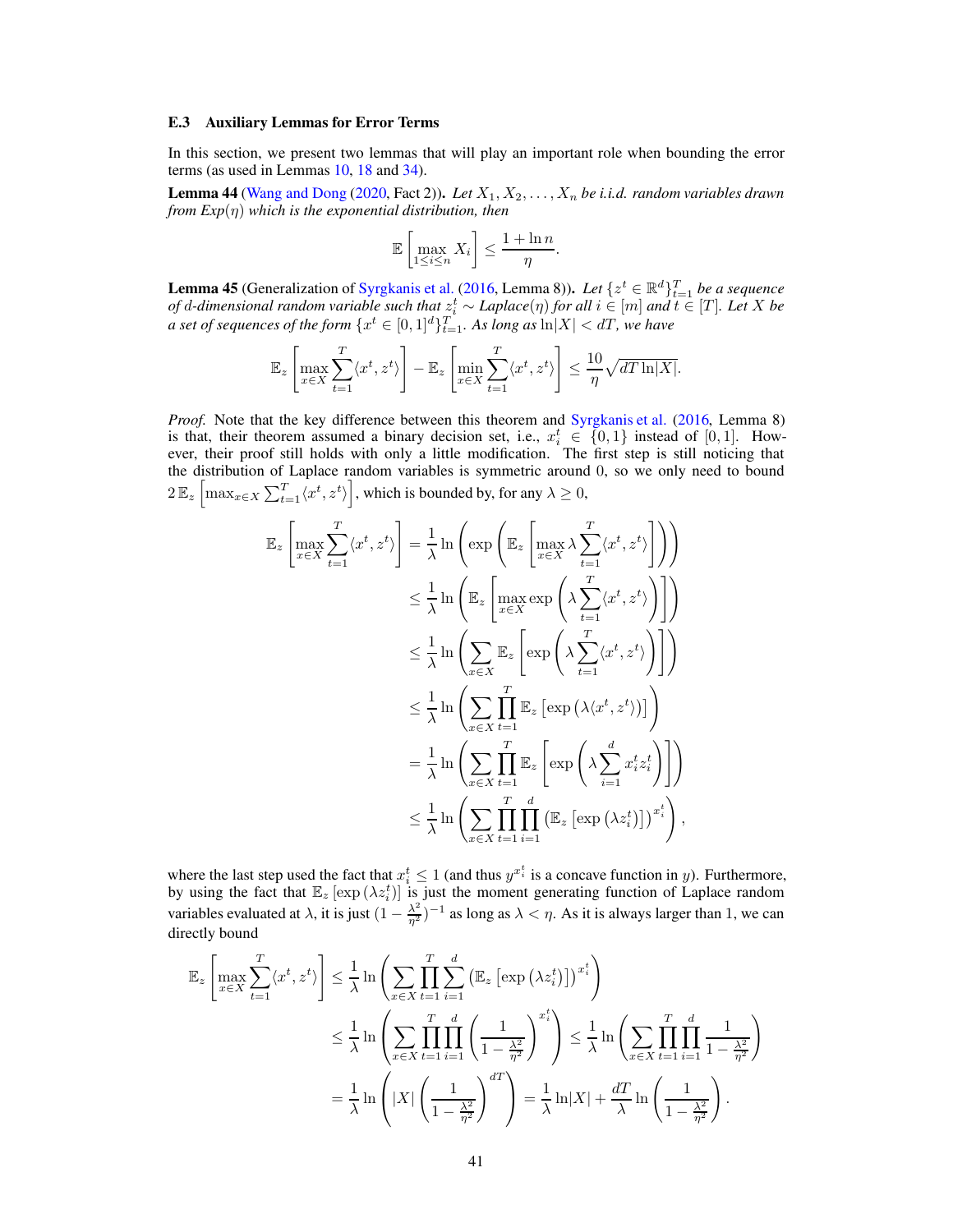#### <span id="page-40-1"></span>E.3 Auxiliary Lemmas for Error Terms

<span id="page-40-0"></span>In this section, we present two lemmas that will play an important role when bounding the error terms (as used in Lemmas [10,](#page-14-0) [18](#page-19-0) and [34\)](#page-32-1).

**Lemma 44** [\(Wang and Dong](#page-11-4) [\(2020,](#page-11-4) Fact 2)). Let  $X_1, X_2, \ldots, X_n$  be i.i.d. random variables drawn *from Exp*(η) *which is the exponential distribution, then*

$$
\mathbb{E}\left[\max_{1\leq i\leq n} X_i\right] \leq \frac{1+\ln n}{\eta}.
$$

<span id="page-40-2"></span>**Lemma 45** (Generalization of [Syrgkanis et al.](#page-11-5) [\(2016,](#page-11-5) Lemma 8)). Let  $\{z^t \in \mathbb{R}^d\}_{t=1}^T$  be a sequence *of d*-dimensional random variable such that  $z_i^t$  ∼ *Laplace*( $\eta$ ) *for all*  $i \in [m]$  *and*  $t \in [T]$ *. Let X* be *a set of sequences of the form*  $\{x^t \in [0,1]^d\}_{t=1}^T$ . As long as  $\ln |X| < dT$ , we have

$$
\mathbb{E}_z \left[ \max_{x \in X} \sum_{t=1}^T \langle x^t, z^t \rangle \right] - \mathbb{E}_z \left[ \min_{x \in X} \sum_{t=1}^T \langle x^t, z^t \rangle \right] \le \frac{10}{\eta} \sqrt{dT \ln |X|}.
$$

*Proof.* Note that the key difference between this theorem and [Syrgkanis et al.](#page-11-5) [\(2016,](#page-11-5) Lemma 8) is that, their theorem assumed a binary decision set, i.e.,  $x_i^t \in \{0, 1\}$  instead of [0, 1]. How-<br>ever, their proof still holds with only a little modification. The first step is still noticing that the distribution of Laplace random variables is symmetric around 0, so we only need to bound  $2\mathbb{E}_{z}\left[\max_{x\in X}\sum_{t=1}^{T}\langle x^{t}, z^{t}\rangle\right]$ which is bounded by, for any  $\lambda \geq 0$ ,

$$
\mathbb{E}_{z} \left[ \max_{x \in X} \sum_{t=1}^{T} \langle x^{t}, z^{t} \rangle \right] = \frac{1}{\lambda} \ln \left( \exp \left( \mathbb{E}_{z} \left[ \max_{x \in X} \lambda \sum_{t=1}^{T} \langle x^{t}, z^{t} \rangle \right] \right) \right)
$$
\n
$$
\leq \frac{1}{\lambda} \ln \left( \mathbb{E}_{z} \left[ \max_{x \in X} \exp \left( \lambda \sum_{t=1}^{T} \langle x^{t}, z^{t} \rangle \right) \right] \right)
$$
\n
$$
\leq \frac{1}{\lambda} \ln \left( \sum_{x \in X} \mathbb{E}_{z} \left[ \exp \left( \lambda \sum_{t=1}^{T} \langle x^{t}, z^{t} \rangle \right) \right] \right)
$$
\n
$$
\leq \frac{1}{\lambda} \ln \left( \sum_{x \in X} \prod_{t=1}^{T} \mathbb{E}_{z} \left[ \exp \left( \lambda \langle x^{t}, z^{t} \rangle \right) \right] \right)
$$
\n
$$
= \frac{1}{\lambda} \ln \left( \sum_{x \in X} \prod_{t=1}^{T} \mathbb{E}_{z} \left[ \exp \left( \lambda \sum_{i=1}^{T} x_{i}^{t} z_{i}^{t} \right) \right] \right)
$$
\n
$$
\leq \frac{1}{\lambda} \ln \left( \sum_{x \in X} \prod_{t=1}^{T} \prod_{i=1}^{d} \left( \mathbb{E}_{z} \left[ \exp \left( \lambda z_{i}^{t} \right) \right] \right)^{x_{i}^{t}} \right),
$$

where the last step used the fact that  $x_i^t \leq 1$  (and thus  $y^{x_i^t}$  is a concave function in y). Furthermore, by using the fact that  $\mathbb{E}_z [\exp(\lambda z_i^t)]$  is just the moment generating function of Laplace random variables evaluated at  $\lambda$ , it is just  $(1 - \frac{\lambda^2}{\eta^2})^{-1}$  as long as  $\lambda < \eta$ . As it is always larger than 1, we can directly bound

$$
\mathbb{E}_{z} \left[ \max_{x \in X} \sum_{t=1}^{T} \langle x^{t}, z^{t} \rangle \right] \leq \frac{1}{\lambda} \ln \left( \sum_{x \in X} \prod_{t=1}^{T} \sum_{i=1}^{d} \left( \mathbb{E}_{z} \left[ \exp \left( \lambda z_{i}^{t} \right) \right] \right)^{x_{i}^{t}} \right)
$$
  

$$
\leq \frac{1}{\lambda} \ln \left( \sum_{x \in X} \prod_{t=1}^{T} \prod_{i=1}^{d} \left( \frac{1}{1 - \frac{\lambda^{2}}{\eta^{2}}} \right)^{x_{i}^{t}} \right) \leq \frac{1}{\lambda} \ln \left( \sum_{x \in X} \prod_{t=1}^{T} \prod_{i=1}^{d} \frac{1}{1 - \frac{\lambda^{2}}{\eta^{2}}} \right)
$$
  

$$
= \frac{1}{\lambda} \ln \left( |X| \left( \frac{1}{1 - \frac{\lambda^{2}}{\eta^{2}}} \right)^{dT} \right) = \frac{1}{\lambda} \ln |X| + \frac{dT}{\lambda} \ln \left( \frac{1}{1 - \frac{\lambda^{2}}{\eta^{2}}} \right).
$$